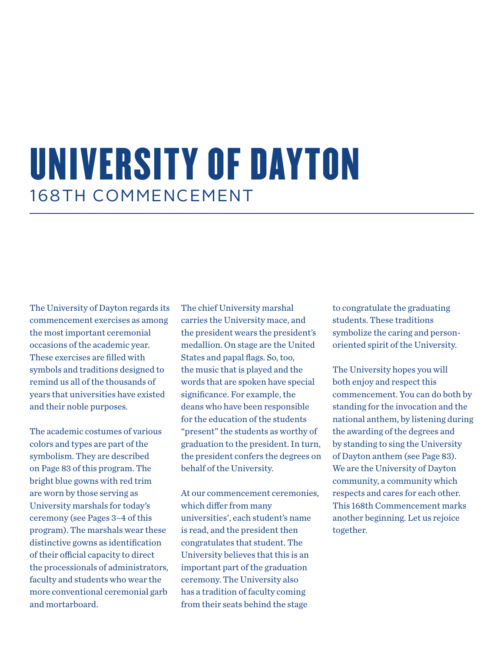# UNIVERSITY OF DAYTON 168TH COMMENCEMENT

The University of Dayton regards its commencement exercises as among the most important ceremonial occasions of the academic year. These exercises are filled with symbols and traditions designed to remind us all of the thousands of years that universities have existed and their noble purposes.

The academic costumes of various colors and types are part of the symbolism. They are described on Page 83 of this program. The bright blue gowns with red trim are worn by those serving as University marshals for today's ceremony (see Pages 3–4 of this program). The marshals wear these distinctive gowns as identification of their official capacity to direct the processionals of administrators, faculty and students who wear the more conventional ceremonial garb and mortarboard.

The chief University marshal carries the University mace, and the president wears the president's medallion. On stage are the United States and papal flags. So, too, the music that is played and the words that are spoken have special significance. For example, the deans who have been responsible for the education of the students "present" the students as worthy of graduation to the president. In turn, the president confers the degrees on behalf of the University.

At our commencement ceremonies, which differ from many universities', each student's name is read, and the president then congratulates that student. The University believes that this is an important part of the graduation ceremony. The University also has a tradition of faculty coming from their seats behind the stage

to congratulate the graduating students. These traditions symbolize the caring and personoriented spirit of the University.

The University hopes you will both enjoy and respect this commencement. You can do both by standing for the invocation and the national anthem, by listening during the awarding of the degrees and by standing to sing the University of Dayton anthem (see Page 83). We are the University of Dayton community, a community which respects and cares for each other. This 168th Commencement marks another beginning. Let us rejoice together.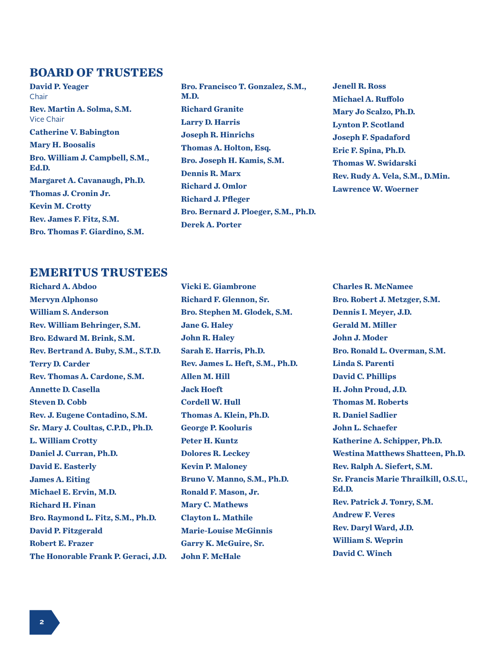# **BOARD OF TRUSTEES**

**David P. Yeager** Chair **Rev. Martin A. Solma, S.M.** Vice Chair **Catherine V. Babington Mary H. Boosalis Bro. William J. Campbell, S.M., Ed.D. Margaret A. Cavanaugh, Ph.D. Thomas J. Cronin Jr. Kevin M. Crotty Rev. James F. Fitz, S.M. Bro. Thomas F. Giardino, S.M.**

- **Bro. Francisco T. Gonzalez, S.M., M.D. Richard Granite Larry D. Harris Joseph R. Hinrichs Thomas A. Holton, Esq. Bro. Joseph H. Kamis, S.M. Dennis R. Marx Richard J. Omlor Richard J. Pfleger Bro. Bernard J. Ploeger, S.M., Ph.D. Derek A. Porter**
- **Jenell R. Ross Michael A. Ruffolo Mary Jo Scalzo, Ph.D. Lynton P. Scotland Joseph F. Spadaford Eric F. Spina, Ph.D. Thomas W. Swidarski Rev. Rudy A. Vela, S.M., D.Min. Lawrence W. Woerner**

# **EMERITUS TRUSTEES**

**Richard A. Abdoo Mervyn Alphonso William S. Anderson Rev. William Behringer, S.M. Bro. Edward M. Brink, S.M. Rev. Bertrand A. Buby, S.M., S.T.D. Terry D. Carder Rev. Thomas A. Cardone, S.M. Annette D. Casella Steven D. Cobb Rev. J. Eugene Contadino, S.M. Sr. Mary J. Coultas, C.P.D., Ph.D. L. William Crotty Daniel J. Curran, Ph.D. David E. Easterly James A. Eiting Michael E. Ervin, M.D. Richard H. Finan Bro. Raymond L. Fitz, S.M., Ph.D. David P. Fitzgerald Robert E. Frazer The Honorable Frank P. Geraci, J.D.** **Vicki E. Giambrone Richard F. Glennon, Sr. Bro. Stephen M. Glodek, S.M. Jane G. Haley John R. Haley Sarah E. Harris, Ph.D. Rev. James L. Heft, S.M., Ph.D. Allen M. Hill Jack Hoeft Cordell W. Hull Thomas A. Klein, Ph.D. George P. Kooluris Peter H. Kuntz Dolores R. Leckey Kevin P. Maloney Bruno V. Manno, S.M., Ph.D. Ronald F. Mason, Jr. Mary C. Mathews Clayton L. Mathile Marie-Louise McGinnis Garry K. McGuire, Sr. John F. McHale**

**Charles R. McNamee Bro. Robert J. Metzger, S.M. Dennis I. Meyer, J.D. Gerald M. Miller John J. Moder Bro. Ronald L. Overman, S.M. Linda S. Parenti David C. Phillips H. John Proud, J.D. Thomas M. Roberts R. Daniel Sadlier John L. Schaefer Katherine A. Schipper, Ph.D. Westina Matthews Shatteen, Ph.D. Rev. Ralph A. Siefert, S.M. Sr. Francis Marie Thrailkill, O.S.U., Ed.D. Rev. Patrick J. Tonry, S.M. Andrew F. Veres Rev. Daryl Ward, J.D. William S. Weprin David C. Winch**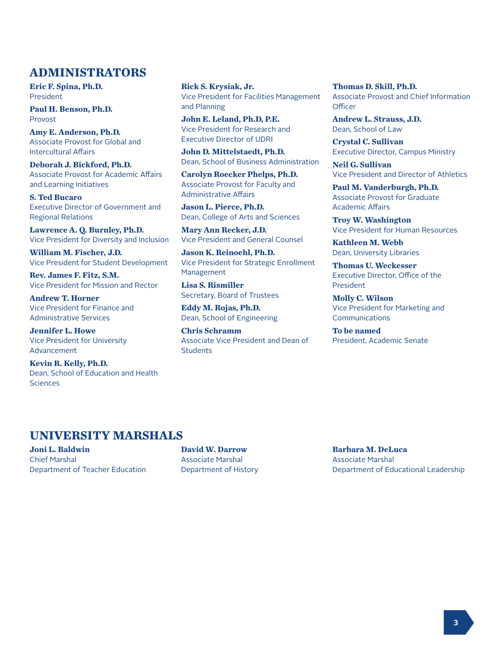# **ADMINISTRATORS**

**Eric F. Spina, Ph.D.** President

**Paul H. Benson, Ph.D.** Provost

**Amy E. Anderson, Ph.D.** Associate Provost for Global and Intercultural Affairs

**Deborah J. Bickford, Ph.D.** Associate Provost for Academic Affairs and Learning Initiatives

**S. Ted Bucaro** Executive Director of Government and Regional Relations

**Lawrence A. Q. Burnley, Ph.D.** Vice President for Diversity and Inclusion

**William M. Fischer, J.D.** Vice President for Student Development

**Rev. James F. Fitz, S.M.** Vice President for Mission and Rector

**Andrew T. Horner** Vice President for Finance and Administrative Services

**Jennifer L. Howe** Vice President for University Advancement

**Kevin R. Kelly, Ph.D.** Dean, School of Education and Health Sciences

**Rick S. Krysiak, Jr.** Vice President for Facilities Management and Planning

**John E. Leland, Ph.D, P.E.** Vice President for Research and Executive Director of UDRI

**John D. Mittelstaedt, Ph.D.** Dean, School of Business Administration

**Carolyn Roecker Phelps, Ph.D.** Associate Provost for Faculty and Administrative Affairs

**Jason L. Pierce, Ph.D.** Dean, College of Arts and Sciences

**Mary Ann Recker, J.D.** Vice President and General Counsel

**Jason K. Reinoehl, Ph.D.** Vice President for Strategic Enrollment Management

**Lisa S. Rismiller** Secretary, Board of Trustees

**Eddy M. Rojas, Ph.D.** Dean, School of Engineering

**Chris Schramm** Associate Vice President and Dean of **Students** 

**Thomas D. Skill, Ph.D.** Associate Provost and Chief Information **Officer** 

**Andrew L. Strauss, J.D.** Dean, School of Law

**Crystal C. Sullivan** Executive Director, Campus Ministry

**Neil G. Sullivan** Vice President and Director of Athletics

**Paul M. Vanderburgh, Ph.D.** Associate Provost for Graduate Academic Affairs

**Troy W. Washington** Vice President for Human Resources

**Kathleen M. Webb** Dean, University Libraries

**Thomas U. Weckesser** Executive Director, Office of the President

**Molly C. Wilson** Vice President for Marketing and Communications

**To be named** President, Academic Senate

# **UNIVERSITY MARSHALS**

**Joni L. Baldwin** Chief Marshal Department of Teacher Education **David W. Darrow** Associate Marshal Department of History **Barbara M. DeLuca** Associate Marshal Department of Educational Leadership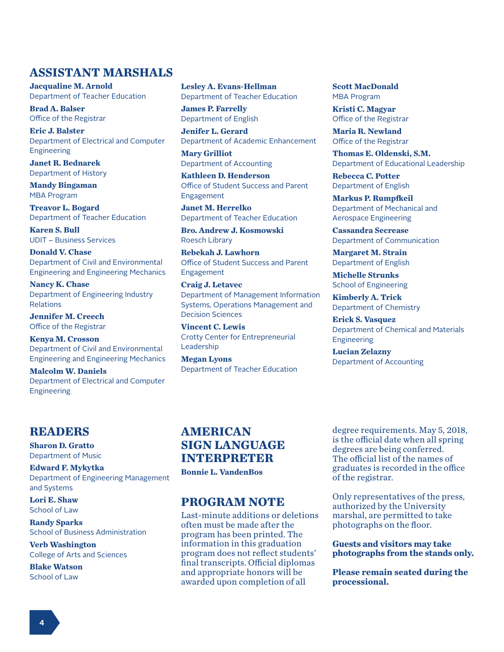# **ASSISTANT MARSHALS**

**Jacqualine M. Arnold** Department of Teacher Education

**Brad A. Balser** Office of the Registrar

**Eric J. Balster** Department of Electrical and Computer Engineering

**Janet R. Bednarek** Department of History

**Mandy Bingaman** MBA Program

**Treavor L. Bogard** Department of Teacher Education

**Karen S. Bull** UDIT – Business Services

**Donald V. Chase** Department of Civil and Environmental Engineering and Engineering Mechanics

**Nancy K. Chase** Department of Engineering Industry Relations

**Jennifer M. Creech** Office of the Registrar

**Kenya M. Crosson** Department of Civil and Environmental Engineering and Engineering Mechanics

**Malcolm W. Daniels** Department of Electrical and Computer Engineering

## **Lesley A. Evans-Hellman** Department of Teacher Education

**James P. Farrelly** Department of English

**Jenifer L. Gerard** Department of Academic Enhancement

**Mary Grilliot** Department of Accounting

**Kathleen D. Henderson** Office of Student Success and Parent Engagement

**Janet M. Herrelko** Department of Teacher Education

**Bro. Andrew J. Kosmowski** Roesch Library

**Rebekah J. Lawhorn** Office of Student Success and Parent

Engagement **Craig J. Letavec** Department of Management Information Systems, Operations Management and Decision Sciences

**Vincent C. Lewis** Crotty Center for Entrepreneurial **Leadership** 

**Megan Lyons** Department of Teacher Education **Scott MacDonald** MBA Program

**Kristi C. Magyar** Office of the Registrar

**Maria R. Newland** Office of the Registrar

**Thomas E. Oldenski, S.M.** Department of Educational Leadership

**Rebecca C. Potter** Department of English

**Markus P. Rumpfkeil** Department of Mechanical and Aerospace Engineering

**Cassandra Secrease** Department of Communication

**Margaret M. Strain** Department of English

**Michelle Strunks** School of Engineering

**Kimberly A. Trick** Department of Chemistry

**Erick S. Vasquez** Department of Chemical and Materials Engineering

**Lucian Zelazny** Department of Accounting

# **READERS**

**Sharon D. Gratto** Department of Music

**Edward F. Mykytka** Department of Engineering Management and Systems

**Lori E. Shaw** School of Law

**Randy Sparks** School of Business Administration

**Verb Washington** College of Arts and Sciences

**Blake Watson** School of Law

# **AMERICAN SIGN LANGUAGE INTERPRETER**

**Bonnie L. VandenBos**

# **PROGRAM NOTE**

Last-minute additions or deletions often must be made after the program has been printed. The information in this graduation program does not reflect students' final transcripts. Official diplomas and appropriate honors will be awarded upon completion of all

degree requirements. May 5, 2018, is the official date when all spring degrees are being conferred. The official list of the names of graduates is recorded in the office of the registrar.

Only representatives of the press, authorized by the University marshal, are permitted to take photographs on the floor.

**Guests and visitors may take photographs from the stands only.** 

**Please remain seated during the processional.**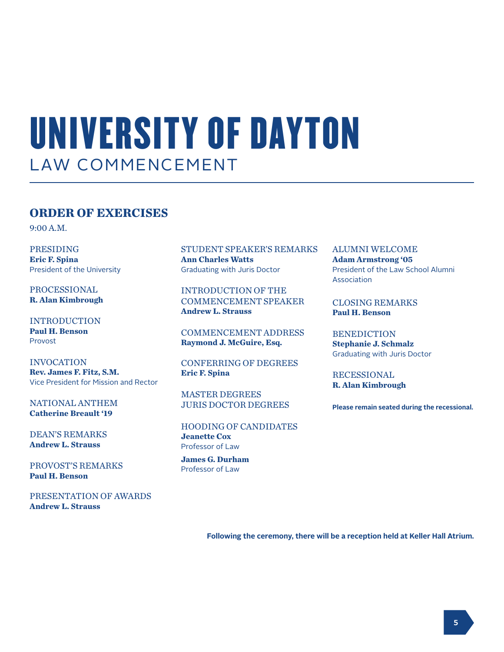# UNIVERSITY OF DAYTON LAW COMMENCEMENT

# **ORDER OF EXERCISES**

9:00 A.M.

PRESIDING **Eric F. Spina** President of the University

PROCESSIONAL **R. Alan Kimbrough**

INTRODUCTION **Paul H. Benson** Provost

INVOCATION **Rev. James F. Fitz, S.M.** Vice President for Mission and Rector

NATIONAL ANTHEM **Catherine Breault '19**

DEAN'S REMARKS **Andrew L. Strauss**

PROVOST'S REMARKS **Paul H. Benson**

PRESENTATION OF AWARDS **Andrew L. Strauss**

STUDENT SPEAKER'S REMARKS **Ann Charles Watts** Graduating with Juris Doctor

INTRODUCTION OF THE COMMENCEMENT SPEAKER **Andrew L. Strauss**

COMMENCEMENT ADDRESS **Raymond J. McGuire, Esq.**

CONFERRING OF DEGREES **Eric F. Spina**

MASTER DEGREES JURIS DOCTOR DEGREES

HOODING OF CANDIDATES **Jeanette Cox** Professor of Law

**James G. Durham** Professor of Law

ALUMNI WELCOME **Adam Armstrong '05** President of the Law School Alumni Association

CLOSING REMARKS **Paul H. Benson**

BENEDICTION **Stephanie J. Schmalz** Graduating with Juris Doctor

RECESSIONAL **R. Alan Kimbrough**

**Please remain seated during the recessional.** 

**Following the ceremony, there will be a reception held at Keller Hall Atrium.**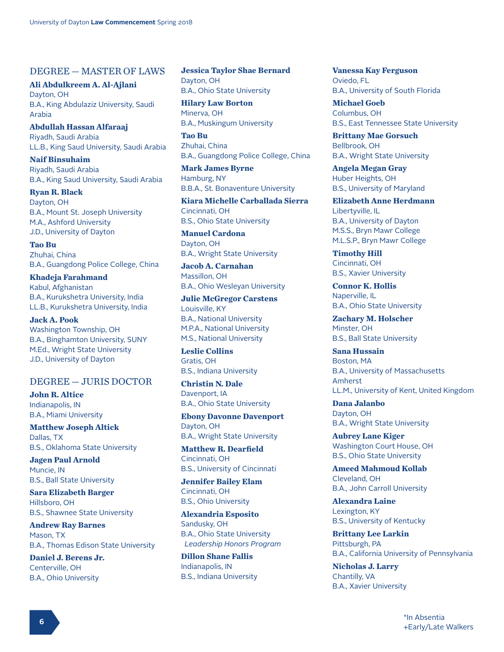#### DEGREE — MASTER OF LAWS

**Ali Abdulkreem A. Al-Ajlani** Dayton, OH B.A., King Abdulaziz University, Saudi Arabia

**Abdullah Hassan Alfaraaj** Riyadh, Saudi Arabia LL.B., King Saud University, Saudi Arabia

**Naif Binsuhaim** Riyadh, Saudi Arabia B.A., King Saud University, Saudi Arabia

**Ryan R. Black** Dayton, OH B.A., Mount St. Joseph University M.A., Ashford University J.D., University of Dayton

**Tao Bu** Zhuhai, China B.A., Guangdong Police College, China

**Khadeja Farahmand** Kabul, Afghanistan B.A., Kurukshetra University, India LL.B., Kurukshetra University, India

**Jack A. Pook** Washington Township, OH B.A., Binghamton University, SUNY M.Ed., Wright State University J.D., University of Dayton

## DEGREE — JURIS DOCTOR

**John R. Altice** Indianapolis, IN B.A., Miami University

**Matthew Joseph Altick** Dallas, TX B.S., Oklahoma State University

**Jagen Paul Arnold** Muncie, IN B.S., Ball State University

**Sara Elizabeth Barger** Hillsboro, OH B.S., Shawnee State University

**Andrew Ray Barnes** Mason, TX B.A., Thomas Edison State University

**Daniel J. Berens Jr.** Centerville, OH B.A., Ohio University

**Jessica Taylor Shae Bernard** Dayton, OH B.A., Ohio State University

**Hilary Law Borton** Minerva, OH B.A., Muskingum University

**Tao Bu** Zhuhai, China B.A., Guangdong Police College, China

**Mark James Byrne**  Hamburg, NY B.B.A., St. Bonaventure University

**Kiara Michelle Carballada Sierra** Cincinnati, OH B.S., Ohio State University

**Manuel Cardona** Dayton, OH B.A., Wright State University

**Jacob A. Carnahan** Massillon, OH B.A., Ohio Wesleyan University

**Julie McGregor Carstens** Louisville, KY B.A., National University M.P.A., National University M.S., National University

**Leslie Collins**  Gratis, OH B.S., Indiana University

**Christin N. Dale** Davenport, IA B.A., Ohio State University

**Ebony Davonne Davenport** Dayton, OH B.A., Wright State University

**Matthew R. Dearfield**  Cincinnati, OH B.S., University of Cincinnati

**Jennifer Bailey Elam** Cincinnati, OH B.S., Ohio University

**Alexandria Esposito** Sandusky, OH B.A., Ohio State University  *Leadership Honors Program* 

**Dillon Shane Fallis** Indianapolis, IN B.S., Indiana University **Vanessa Kay Ferguson** Oviedo, FL B.A., University of South Florida

**Michael Goeb** Columbus, OH B.S., East Tennessee State University

**Brittany Mae Gorsuch**  Bellbrook, OH B.A., Wright State University

**Angela Megan Gray**  Huber Heights, OH B.S., University of Maryland

**Elizabeth Anne Herdmann** Libertyville, IL B.A., University of Dayton M.S.S., Bryn Mawr College M.L.S.P., Bryn Mawr College

**Timothy Hill**  Cincinnati, OH B.S., Xavier University

**Connor K. Hollis**  Naperville, IL B.A., Ohio State University

**Zachary M. Holscher** Minster, OH B.S., Ball State University

**Sana Hussain** Boston, MA B.A., University of Massachusetts Amherst LL.M., University of Kent, United Kingdom

**Dana Jalanbo** Dayton, OH B.A., Wright State University

**Aubrey Lane Kiger** Washington Court House, OH B.S., Ohio State University

**Ameed Mahmoud Kollab** Cleveland, OH B.A., John Carroll University

**Alexandra Laine** Lexington, KY B.S., University of Kentucky

**Brittany Lee Larkin** Pittsburgh, PA B.A., California University of Pennsylvania

**Nicholas J. Larry** Chantilly, VA B.A., Xavier University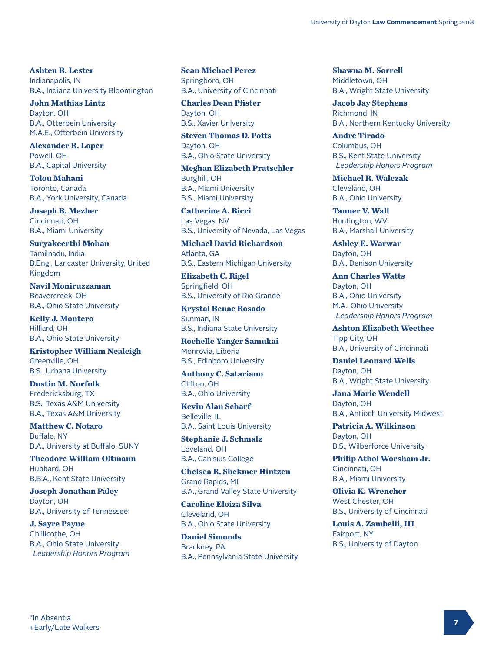**John Mathias Lintz** Dayton, OH B.A., Otterbein University M.A.E., Otterbein University

**Alexander R. Loper** Powell, OH B.A., Capital University

**Tolou Mahani** Toronto, Canada B.A., York University, Canada

**Joseph R. Mezher** Cincinnati, OH B.A., Miami University

**Suryakeerthi Mohan** Tamilnadu, India B.Eng., Lancaster University, United Kingdom

**Navil Moniruzzaman** Beavercreek, OH B.A., Ohio State University

**Kelly J. Montero** Hilliard, OH B.A., Ohio State University

**Kristopher William Nealeigh** Greenville, OH B.S., Urbana University

**Dustin M. Norfolk** Fredericksburg, TX B.S., Texas A&M University B.A., Texas A&M University

**Matthew C. Notaro** Buffalo, NY B.A., University at Buffalo, SUNY

**Theodore William Oltmann** Hubbard, OH B.B.A., Kent State University

**Joseph Jonathan Paley** Dayton, OH B.A., University of Tennessee

**J. Sayre Payne** Chillicothe, OH B.A., Ohio State University  *Leadership Honors Program*  **Sean Michael Perez** Springboro, OH B.A., University of Cincinnati

**Charles Dean Pfister** Dayton, OH B.S., Xavier University

**Steven Thomas D. Potts** Dayton, OH B.A., Ohio State University

**Meghan Elizabeth Pratschler** Burghill, OH B.A., Miami University B.S., Miami University

**Catherine A. Ricci** Las Vegas, NV B.S., University of Nevada, Las Vegas

**Michael David Richardson** Atlanta, GA B.S., Eastern Michigan University

**Elizabeth C. Rigel** Springfield, OH B.S., University of Rio Grande

**Krystal Renae Rosado** Sunman, IN B.S., Indiana State University

**Rochelle Yanger Samukai** Monrovia, Liberia B.S., Edinboro University

**Anthony C. Satariano** Clifton, OH B.A., Ohio University

**Kevin Alan Scharf** Belleville, IL B.A., Saint Louis University

**Stephanie J. Schmalz** Loveland, OH B.A., Canisius College

**Chelsea R. Shekmer Hintzen** Grand Rapids, MI B.A., Grand Valley State University

**Caroline Eloiza Silva** Cleveland, OH B.A., Ohio State University

**Daniel Simonds** Brackney, PA B.A., Pennsylvania State University **Shawna M. Sorrell** Middletown, OH B.A., Wright State University

**Jacob Jay Stephens** Richmond, IN B.A., Northern Kentucky University

**Andre Tirado** Columbus, OH B.S., Kent State University  *Leadership Honors Program* 

**Michael R. Walczak** Cleveland, OH B.A., Ohio University

**Tanner V. Wall** Huntington, WV B.A., Marshall University

**Ashley E. Warwar** Dayton, OH B.A., Denison University

**Ann Charles Watts** Dayton, OH B.A., Ohio University M.A., Ohio University  *Leadership Honors Program* 

**Ashton Elizabeth Weethee** Tipp City, OH B.A., University of Cincinnati

**Daniel Leonard Wells** Dayton, OH B.A., Wright State University

**Jana Marie Wendell** Dayton, OH B.A., Antioch University Midwest

**Patricia A. Wilkinson** Dayton, OH B.S., Wilberforce University

**Philip Athol Worsham Jr.** Cincinnati, OH B.A., Miami University

**Olivia K. Wrencher** West Chester, OH B.S., University of Cincinnati

**Louis A. Zambelli, III** Fairport, NY B.S., University of Dayton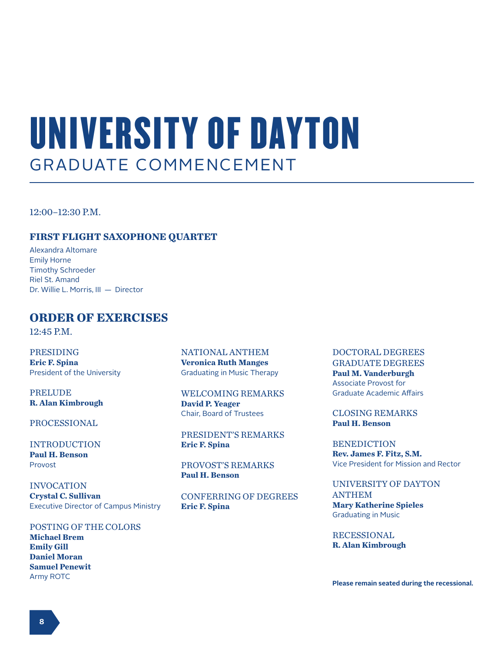# UNIVERSITY OF DAYTON GRADUATE COMMENCEMENT

12:00–12:30 P.M.

# **FIRST FLIGHT SAXOPHONE QUARTET**

Alexandra Altomare Emily Horne Timothy Schroeder Riel St. Amand Dr. Willie L. Morris, III — Director

# **ORDER OF EXERCISES**

12:45 P.M.

PRESIDING **Eric F. Spina** President of the University

PRELUDE **R. Alan Kimbrough**

PROCESSIONAL

INTRODUCTION **Paul H. Benson** Provost

INVOCATION **Crystal C. Sullivan** Executive Director of Campus Ministry

## POSTING OF THE COLORS

**Michael Brem Emily Gill Daniel Moran Samuel Penewit** Army ROTC

NATIONAL ANTHEM **Veronica Ruth Manges** Graduating in Music Therapy

WELCOMING REMARKS **David P. Yeager** Chair, Board of Trustees

PRESIDENT'S REMARKS **Eric F. Spina**

PROVOST'S REMARKS **Paul H. Benson**

CONFERRING OF DEGREES **Eric F. Spina**

DOCTORAL DEGREES GRADUATE DEGREES

**Paul M. Vanderburgh** Associate Provost for Graduate Academic Affairs

CLOSING REMARKS **Paul H. Benson**

BENEDICTION **Rev. James F. Fitz, S.M.** Vice President for Mission and Rector

UNIVERSITY OF DAYTON ANTHEM **Mary Katherine Spieles** Graduating in Music

RECESSIONAL **R. Alan Kimbrough**

**Please remain seated during the recessional.**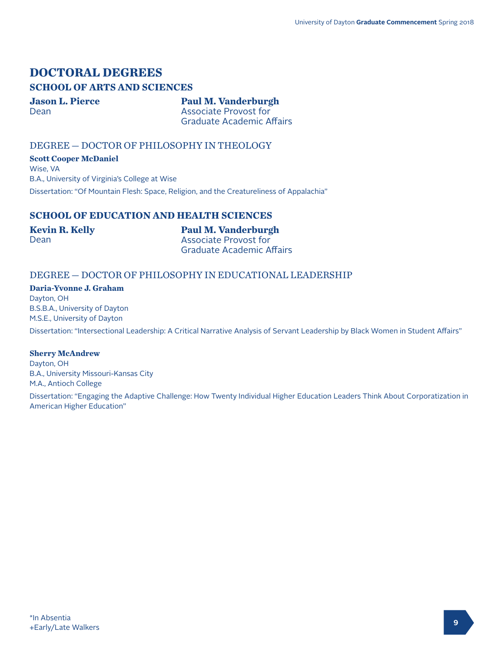# **DOCTORAL DEGREES**

# **SCHOOL OF ARTS AND SCIENCES**

**Jason L. Pierce** Dean

**Paul M. Vanderburgh** Associate Provost for Graduate Academic Affairs

# DEGREE — DOCTOR OF PHILOSOPHY IN THEOLOGY

**Scott Cooper McDaniel** Wise, VA B.A., University of Virginia's College at Wise Dissertation: "Of Mountain Flesh: Space, Religion, and the Creatureliness of Appalachia"

# **SCHOOL OF EDUCATION AND HEALTH SCIENCES**

**Kevin R. Kelly** Dean

**Paul M. Vanderburgh** Associate Provost for Graduate Academic Affairs

# DEGREE — DOCTOR OF PHILOSOPHY IN EDUCATIONAL LEADERSHIP

**Daria-Yvonne J. Graham** Dayton, OH B.S.B.A., University of Dayton M.S.E., University of Dayton

Dissertation: "Intersectional Leadership: A Critical Narrative Analysis of Servant Leadership by Black Women in Student Affairs"

## **Sherry McAndrew**

Dayton, OH B.A., University Missouri-Kansas City M.A., Antioch College

Dissertation: "Engaging the Adaptive Challenge: How Twenty Individual Higher Education Leaders Think About Corporatization in American Higher Education"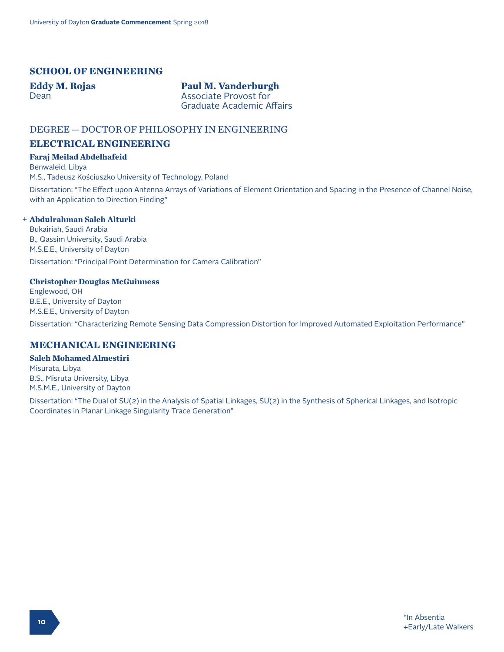## **SCHOOL OF ENGINEERING**

**Eddy M. Rojas** Dean

**Paul M. Vanderburgh** Associate Provost for Graduate Academic Affairs

## DEGREE — DOCTOR OF PHILOSOPHY IN ENGINEERING

## **ELECTRICAL ENGINEERING**

### **Faraj Meilad Abdelhafeid**

Benwaleid, Libya M.S., Tadeusz Kościuszko University of Technology, Poland

Dissertation: "The Effect upon Antenna Arrays of Variations of Element Orientation and Spacing in the Presence of Channel Noise, with an Application to Direction Finding"

## **Abdulrahman Saleh Alturki** +

Bukairiah, Saudi Arabia B., Qassim University, Saudi Arabia M.S.E.E., University of Dayton

Dissertation: "Principal Point Determination for Camera Calibration"

#### **Christopher Douglas McGuinness**

Englewood, OH B.E.E., University of Dayton M.S.E.E., University of Dayton

Dissertation: "Characterizing Remote Sensing Data Compression Distortion for Improved Automated Exploitation Performance"

# **MECHANICAL ENGINEERING**

## **Saleh Mohamed Almestiri**

Misurata, Libya B.S., Misruta University, Libya M.S.M.E., University of Dayton

Dissertation: "The Dual of SU(2) in the Analysis of Spatial Linkages, SU(2) in the Synthesis of Spherical Linkages, and Isotropic Coordinates in Planar Linkage Singularity Trace Generation"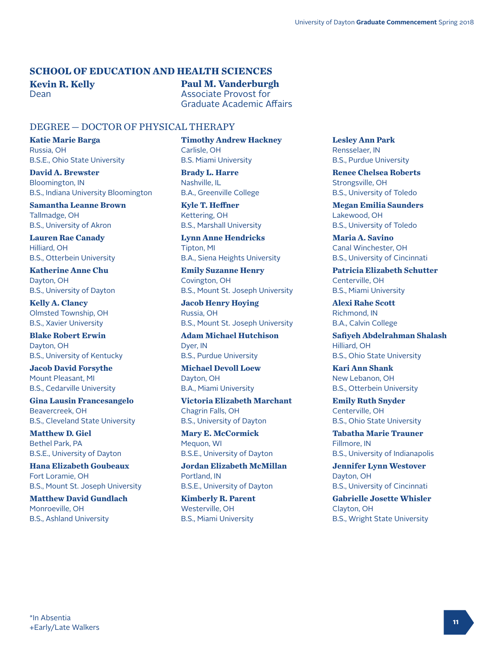# **SCHOOL OF EDUCATION AND HEALTH SCIENCES**

**Kevin R. Kelly** Dean

**Paul M. Vanderburgh** Associate Provost for Graduate Academic Affairs

# DEGREE — DOCTOR OF PHYSICAL THERAPY

**Katie Marie Barga** Russia, OH B.S.E., Ohio State University

**David A. Brewster** Bloomington, IN B.S., Indiana University Bloomington

**Samantha Leanne Brown** Tallmadge, OH B.S., University of Akron

**Lauren Rae Canady** Hilliard, OH B.S., Otterbein University

**Katherine Anne Chu** Dayton, OH B.S., University of Dayton

**Kelly A. Clancy** Olmsted Township, OH B.S., Xavier University

**Blake Robert Erwin** Dayton, OH B.S., University of Kentucky

**Jacob David Forsythe** Mount Pleasant, MI B.S., Cedarville University

**Gina Lausin Francesangelo** Beavercreek, OH B.S., Cleveland State University

**Matthew D. Giel** Bethel Park, PA B.S.E., University of Dayton

**Hana Elizabeth Goubeaux** Fort Loramie, OH B.S., Mount St. Joseph University

**Matthew David Gundlach** Monroeville, OH B.S., Ashland University

**Timothy Andrew Hackney** Carlisle, OH B.S. Miami University

**Brady L. Harre** Nashville, IL B.A., Greenville College

**Kyle T. Heffner** Kettering, OH B.S., Marshall University

**Lynn Anne Hendricks** Tipton, MI B.A., Siena Heights University

**Emily Suzanne Henry** Covington, OH B.S., Mount St. Joseph University

**Jacob Henry Hoying** Russia, OH B.S., Mount St. Joseph University

**Adam Michael Hutchison** Dyer, IN B.S., Purdue University

**Michael Devoll Loew** Dayton, OH B.A., Miami University

**Victoria Elizabeth Marchant** Chagrin Falls, OH B.S., University of Dayton

**Mary E. McCormick** Mequon, WI B.S.E., University of Dayton

**Jordan Elizabeth McMillan** Portland, IN B.S.E., University of Dayton

**Kimberly R. Parent** Westerville, OH B.S., Miami University

**Lesley Ann Park** Rensselaer, IN B.S., Purdue University

**Renee Chelsea Roberts** Strongsville, OH B.S., University of Toledo

**Megan Emilia Saunders** Lakewood, OH B.S., University of Toledo

**Maria A. Savino** Canal Winchester, OH B.S., University of Cincinnati

**Patricia Elizabeth Schutter** Centerville, OH B.S., Miami University

**Alexi Rahe Scott** Richmond, IN B.A., Calvin College

**Safiyeh Abdelrahman Shalash** Hilliard, OH B.S., Ohio State University

**Kari Ann Shank** New Lebanon, OH B.S., Otterbein University

**Emily Ruth Snyder** Centerville, OH B.S., Ohio State University

**Tabatha Marie Trauner** Fillmore, IN B.S., University of Indianapolis

**Jennifer Lynn Westover** Dayton, OH B.S., University of Cincinnati

**Gabrielle Josette Whisler** Clayton, OH B.S., Wright State University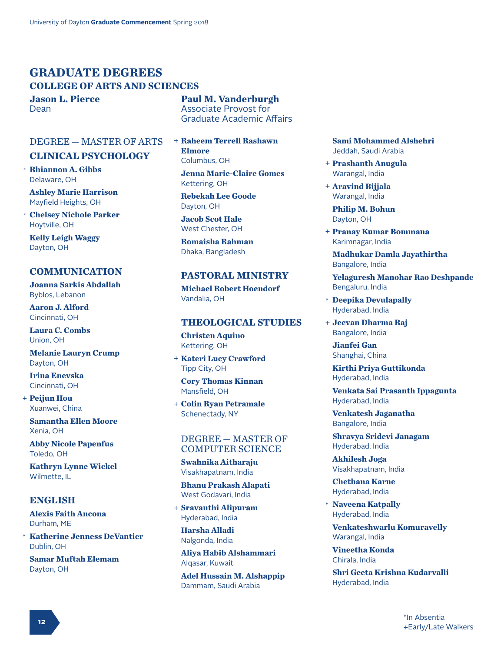# **GRADUATE DEGREES COLLEGE OF ARTS AND SCIENCES**

**Jason L. Pierce** Dean

# DEGREE — MASTER OF ARTS **CLINICAL PSYCHOLOGY**

**Rhiannon A. Gibbs** \* Delaware, OH

**Ashley Marie Harrison** Mayfield Heights, OH

**Chelsey Nichole Parker** \* Hoytville, OH

**Kelly Leigh Waggy** Dayton, OH

# **COMMUNICATION**

**Joanna Sarkis Abdallah** Byblos, Lebanon

**Aaron J. Alford** Cincinnati, OH

**Laura C. Combs** Union, OH

**Melanie Lauryn Crump** Dayton, OH

**Irina Enevska** Cincinnati, OH

**Peijun Hou** + Xuanwei, China

**Samantha Ellen Moore** Xenia, OH

**Abby Nicole Papenfus** Toledo, OH

**Kathryn Lynne Wickel** Wilmette, IL

# **ENGLISH**

**Alexis Faith Ancona** Durham, ME

**Katherine Jenness DeVantier** \* Dublin, OH

**Samar Muftah Elemam** Dayton, OH

**Paul M. Vanderburgh** Associate Provost for Graduate Academic Affairs

**Raheem Terrell Rashawn**  + **Elmore** Columbus, OH

**Jenna Marie-Claire Gomes** Kettering, OH

**Rebekah Lee Goode** Dayton, OH

**Jacob Scot Hale** West Chester, OH

**Romaisha Rahman** Dhaka, Bangladesh

# **PASTORAL MINISTRY**

**Michael Robert Hoendorf** Vandalia, OH

## **THEOLOGICAL STUDIES**

**Christen Aquino** Kettering, OH

**Kateri Lucy Crawford** + Tipp City, OH

**Cory Thomas Kinnan** Mansfield, OH

**Colin Ryan Petramale** + Schenectady, NY

## DEGREE — MASTER OF COMPUTER SCIENCE

**Swahnika Aitharaju** Visakhapatnam, India

**Bhanu Prakash Alapati** West Godavari, India

**Sravanthi Alipuram** + Hyderabad, India

**Harsha Alladi** Nalgonda, India

**Aliya Habib Alshammari** Alqasar, Kuwait

**Adel Hussain M. Alshappip** Dammam, Saudi Arabia

**Sami Mohammed Alshehri** Jeddah, Saudi Arabia

- **Prashanth Anugula** + Warangal, India
- **Aravind Bijjala** + Warangal, India

**Philip M. Bohun** Dayton, OH

**Pranay Kumar Bommana** + Karimnagar, India

**Madhukar Damla Jayathirtha** Bangalore, India

**Yelaguresh Manohar Rao Deshpande** Bengaluru, India

- **Deepika Devulapally** \* Hyderabad, India
- **Jeevan Dharma Raj** + Bangalore, India

**Jianfei Gan** Shanghai, China

**Kirthi Priya Guttikonda** Hyderabad, India

**Venkata Sai Prasanth Ippagunta** Hyderabad, India

**Venkatesh Jaganatha** Bangalore, India

**Shravya Sridevi Janagam** Hyderabad, India

**Akhilesh Joga** Visakhapatnam, India

**Chethana Karne** Hyderabad, India

**Naveena Katpally** \*Hyderabad, India

**Venkateshwarlu Komuravelly** Warangal, India

**Vineetha Konda** Chirala, India

**Shri Geeta Krishna Kudarvalli** Hyderabad, India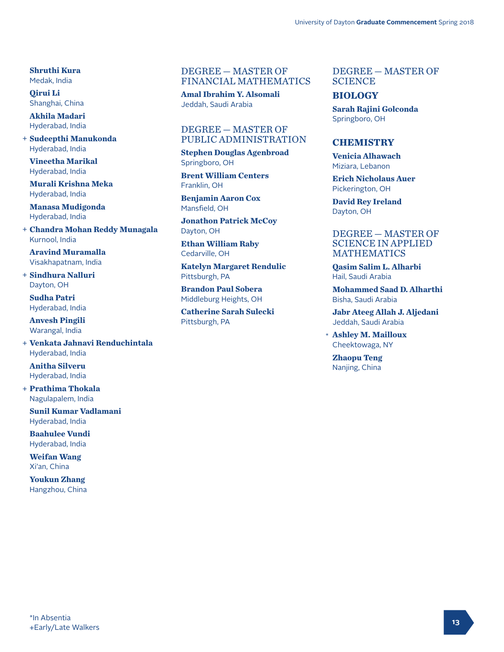**Shruthi Kura** Medak, India

**Qirui Li** Shanghai, China

**Akhila Madari** Hyderabad, India

**Sudeepthi Manukonda** + Hyderabad, India

**Vineetha Marikal** Hyderabad, India

**Murali Krishna Meka** Hyderabad, India

**Manasa Mudigonda** Hyderabad, India

**Chandra Mohan Reddy Munagala** + Kurnool, India

**Aravind Muramalla** Visakhapatnam, India

**Sindhura Nalluri** + Dayton, OH

**Sudha Patri** Hyderabad, India

**Anvesh Pingili** Warangal, India

**Venkata Jahnavi Renduchintala** + Hyderabad, India

**Anitha Silveru** Hyderabad, India

**Prathima Thokala** + Nagulapalem, India

**Sunil Kumar Vadlamani** Hyderabad, India

**Baahulee Vundi** Hyderabad, India

**Weifan Wang** Xi'an, China

**Youkun Zhang** Hangzhou, China

## DEGREE — MASTER OF FINANCIAL MATHEMATICS

**Amal Ibrahim Y. Alsomali** Jeddah, Saudi Arabia

## DEGREE — MASTER OF PUBLIC ADMINISTRATION

**Stephen Douglas Agenbroad** Springboro, OH

**Brent William Centers** Franklin, OH

**Benjamin Aaron Cox** Mansfield, OH

**Jonathon Patrick McCoy** Dayton, OH

**Ethan William Raby** Cedarville, OH

**Katelyn Margaret Rendulic** Pittsburgh, PA

**Brandon Paul Sobera** Middleburg Heights, OH

**Catherine Sarah Sulecki** Pittsburgh, PA

## DEGREE — MASTER OF **SCIENCE**

# **BIOLOGY**

**Sarah Rajini Golconda** Springboro, OH

## **CHEMISTRY**

**Venicia Alhawach** Miziara, Lebanon

**Erich Nicholaus Auer** Pickerington, OH

**David Rey Ireland** Dayton, OH

## DEGREE — MASTER OF SCIENCE IN APPLIED MATHEMATICS

**Qasim Salim L. Alharbi** Hail, Saudi Arabia

**Mohammed Saad D. Alharthi** Bisha, Saudi Arabia

**Jabr Ateeg Allah J. Aljedani** Jeddah, Saudi Arabia

**Ashley M. Mailloux** \*Cheektowaga, NY

**Zhaopu Teng** Nanjing, China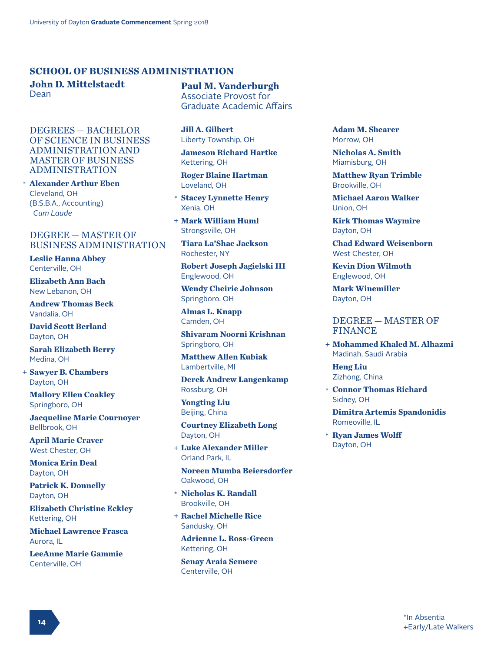## **SCHOOL OF BUSINESS ADMINISTRATION**

**John D. Mittelstaedt**

## DEGREES — BACHELOR OF SCIENCE IN BUSINESS ADMINISTRATION AND MASTER OF BUSINESS ADMINISTRATION

**Alexander Arthur Eben** \* Cleveland, OH (B.S.B.A., Accounting)  *Cum Laude*

## DEGREE — MASTER OF BUSINESS ADMINISTRATION

**Leslie Hanna Abbey** Centerville, OH

**Elizabeth Ann Bach** New Lebanon, OH

**Andrew Thomas Beck** Vandalia, OH

**David Scott Berland** Dayton, OH

**Sarah Elizabeth Berry** Medina, OH

**Sawyer B. Chambers** + Dayton, OH

**Mallory Ellen Coakley** Springboro, OH

**Jacqueline Marie Cournoyer** Bellbrook, OH

**April Marie Craver** West Chester, OH

**Monica Erin Deal** Dayton, OH

**Patrick K. Donnelly** Dayton, OH

**Elizabeth Christine Eckley** Kettering, OH

**Michael Lawrence Frasca** Aurora, IL

**LeeAnne Marie Gammie** Centerville, OH

Paul M. Vanderburgh Associate Provost for Graduate Academic Affairs

**Jill A. Gilbert** Liberty Township, OH

**Jameson Richard Hartke** Kettering, OH

**Roger Blaine Hartman** Loveland, OH

**Stacey Lynnette Henry** Xenia, OH \*

**Mark William Huml** + Strongsville, OH

**Tiara La'Shae Jackson** Rochester, NY

**Robert Joseph Jagielski III** Englewood, OH

**Wendy Cheirie Johnson** Springboro, OH

**Almas L. Knapp** Camden, OH

**Shivaram Noorni Krishnan** Springboro, OH

**Matthew Allen Kubiak** Lambertville, MI

**Derek Andrew Langenkamp** Rossburg, OH

**Yongting Liu** Beijing, China

**Courtney Elizabeth Long** Dayton, OH

**Luke Alexander Miller** + Orland Park, IL

**Noreen Mumba Beiersdorfer** Oakwood, OH

- **Nicholas K. Randall** \* Brookville, OH
- **Rachel Michelle Rice** + Sandusky, OH

**Adrienne L. Ross-Green** Kettering, OH

**Senay Araia Semere** Centerville, OH

**Adam M. Shearer** Morrow, OH

**Nicholas A. Smith** Miamisburg, OH

**Matthew Ryan Trimble** Brookville, OH

**Michael Aaron Walker** Union, OH

**Kirk Thomas Waymire** Dayton, OH

**Chad Edward Weisenborn** West Chester, OH

**Kevin Dion Wilmoth** Englewood, OH

**Mark Winemiller** Dayton, OH

## DEGREE — MASTER OF FINANCE

**Mohammed Khaled M. Alhazmi** + Madinah, Saudi Arabia

**Heng Liu** Zizhong, China

**Connor Thomas Richard** \* Sidney, OH

**Dimitra Artemis Spandonidis** Romeoville, IL

**Ryan James Wolff** \* Dayton, OH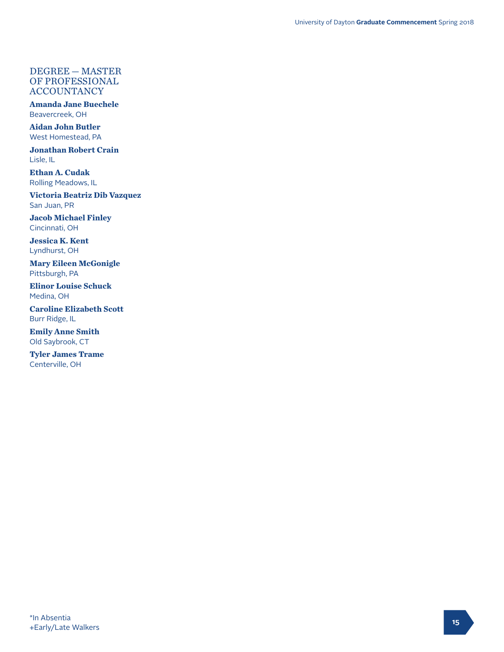## DEGREE — MASTER OF PROFESSIONAL ACCOUNTANCY

**Amanda Jane Buechele** Beavercreek, OH

**Aidan John Butler** West Homestead, PA

**Jonathan Robert Crain** Lisle, IL

**Ethan A. Cudak** Rolling Meadows, IL

**Victoria Beatriz Dib Vazquez** San Juan, PR

**Jacob Michael Finley** Cincinnati, OH

**Jessica K. Kent** Lyndhurst, OH

**Mary Eileen McGonigle** Pittsburgh, PA

**Elinor Louise Schuck** Medina, OH

**Caroline Elizabeth Scott** Burr Ridge, IL

**Emily Anne Smith** Old Saybrook, CT

**Tyler James Trame** Centerville, OH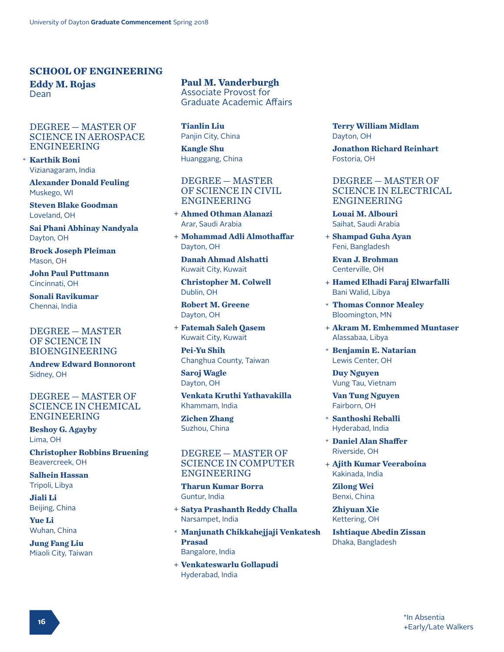# **SCHOOL OF ENGINEERING**

**Eddy M. Rojas** Dean

## DEGREE — MASTER OF SCIENCE IN AEROSPACE ENGINEERING

**Karthik Boni** \* Vizianagaram, India

**Alexander Donald Feuling** Muskego, WI

**Steven Blake Goodman** Loveland, OH

**Sai Phani Abhinay Nandyala** Dayton, OH

**Brock Joseph Pleiman** Mason, OH

**John Paul Puttmann** Cincinnati, OH

**Sonali Ravikumar** Chennai, India

DEGREE — MASTER OF SCIENCE IN BIOENGINEERING

**Andrew Edward Bonnoront** Sidney, OH

## DEGREE — MASTER OF SCIENCE IN CHEMICAL ENGINEERING

**Beshoy G. Agayby** Lima, OH

**Christopher Robbins Bruening** Beavercreek, OH

**Salhein Hassan** Tripoli, Libya

**Jiali Li** Beijing, China

**Yue Li** Wuhan, China

**Jung Fang Liu** Miaoli City, Taiwan **Paul M. Vanderburgh**

Associate Provost for Graduate Academic Affairs

**Tianlin Liu** Panjin City, China

**Kangle Shu** Huanggang, China

DEGREE — MASTER OF SCIENCE IN CIVIL ENGINEERING

**Ahmed Othman Alanazi** + Arar, Saudi Arabia

**Mohammad Adli Almothaffar** + Dayton, OH

**Danah Ahmad Alshatti** Kuwait City, Kuwait

**Christopher M. Colwell** Dublin, OH

**Robert M. Greene** Dayton, OH

**Fatemah Saleh Qasem** + Kuwait City, Kuwait

**Pei-Yu Shih** Changhua County, Taiwan

**Saroj Wagle** Dayton, OH

**Venkata Kruthi Yathavakilla** Khammam, India

**Zichen Zhang** Suzhou, China

DEGREE — MASTER OF SCIENCE IN COMPUTER ENGINEERING

**Tharun Kumar Borra** Guntur, India

- **Satya Prashanth Reddy Challa** + Narsampet, India
- **Manjunath Chikkahejjaji Venkatesh**  \* **Prasad** Bangalore, India
- **Venkateswarlu Gollapudi** + Hyderabad, India

**Terry William Midlam** Dayton, OH

**Jonathon Richard Reinhart** Fostoria, OH

## DEGREE — MASTER OF SCIENCE IN ELECTRICAL ENGINEERING

**Louai M. Albouri** Saihat, Saudi Arabia

**Shampad Guha Ayan** + Feni, Bangladesh

**Evan J. Brohman** Centerville, OH

- **Hamed Elhadi Faraj Elwarfalli** + Bani Walid, Libya
- **Thomas Connor Mealey** \* Bloomington, MN
- **Akram M. Emhemmed Muntaser** + Alassabaa, Libya
- **Benjamin E. Natarian** \* Lewis Center, OH

**Duy Nguyen** Vung Tau, Vietnam

**Van Tung Nguyen** Fairborn, OH

- **Santhoshi Reballi** \* Hyderabad, India
- **Daniel Alan Shaffer** \* Riverside, OH
- **Ajith Kumar Veeraboina** + Kakinada, India

**Zilong Wei** Benxi, China

**Zhiyuan Xie** Kettering, OH

**Ishtiaque Abedin Zissan** Dhaka, Bangladesh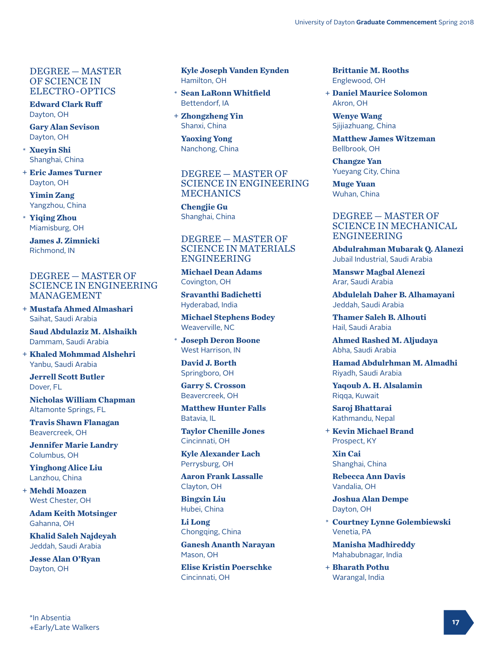## DEGREE — MASTER OF SCIENCE IN ELECTRO-OPTICS

**Edward Clark Ruff** Dayton, OH

**Gary Alan Sevison** Dayton, OH

**Xueyin Shi** Shanghai, China \*

**Eric James Turner** + Dayton, OH

**Yimin Zang** Yangzhou, China

**Yiqing Zhou** \* Miamisburg, OH

**James J. Zimnicki** Richmond, IN

## DEGREE — MASTER OF SCIENCE IN ENGINEERING MANAGEMENT

**Mustafa Ahmed Almashari** + Saihat, Saudi Arabia

**Saud Abdulaziz M. Alshaikh** Dammam, Saudi Arabia

**Khaled Mohmmad Alshehri** + Yanbu, Saudi Arabia

**Jerrell Scott Butler** Dover, FL

**Nicholas William Chapman** Altamonte Springs, FL

**Travis Shawn Flanagan** Beavercreek, OH

**Jennifer Marie Landry** Columbus, OH

**Yinghong Alice Liu** Lanzhou, China

**Mehdi Moazen** + West Chester, OH

**Adam Keith Motsinger** Gahanna, OH

**Khalid Saleh Najdeyah** Jeddah, Saudi Arabia

**Jesse Alan O'Ryan** Dayton, OH

**Kyle Joseph Vanden Eynden** Hamilton, OH

**Sean LaRonn Whitfield** \* Bettendorf, IA

**Zhongzheng Yin** + Shanxi, China

**Yaoxing Yong** Nanchong, China

DEGREE — MASTER OF SCIENCE IN ENGINEERING MECHANICS

**Chengjie Gu** Shanghai, China

## DEGREE — MASTER OF SCIENCE IN MATERIALS ENGINEERING

**Michael Dean Adams** Covington, OH

**Sravanthi Badichetti** Hyderabad, India

**Michael Stephens Bodey** Weaverville, NC

**Joseph Deron Boone** West Harrison, IN \*

**David J. Borth** Springboro, OH

**Garry S. Crosson** Beavercreek, OH

**Matthew Hunter Falls** Batavia, IL

**Taylor Chenille Jones** Cincinnati, OH

**Kyle Alexander Lach** Perrysburg, OH

**Aaron Frank Lassalle** Clayton, OH

**Bingxin Liu** Hubei, China

**Li Long** Chongqing, China

**Ganesh Ananth Narayan** Mason, OH

**Elise Kristin Poerschke** Cincinnati, OH

**Brittanie M. Rooths** Englewood, OH

**Daniel Maurice Solomon** + Akron, OH

**Wenye Wang** Sjijiazhuang, China

**Matthew James Witzeman** Bellbrook, OH

**Changze Yan** Yueyang City, China

**Muge Yuan** Wuhan, China

## DEGREE — MASTER OF SCIENCE IN MECHANICAL ENGINEERING

**Abdulrahman Mubarak Q. Alanezi** Jubail Industrial, Saudi Arabia

**Manswr Magbal Alenezi** Arar, Saudi Arabia

**Abdulelah Daher B. Alhamayani** Jeddah, Saudi Arabia

**Thamer Saleh B. Alhouti** Hail, Saudi Arabia

**Ahmed Rashed M. Aljudaya** Abha, Saudi Arabia

**Hamad Abdulrhman M. Almadhi** Riyadh, Saudi Arabia

**Yaqoub A. H. Alsalamin** Riqqa, Kuwait

**Saroj Bhattarai** Kathmandu, Nepal

**Kevin Michael Brand** + Prospect, KY

**Xin Cai** Shanghai, China

**Rebecca Ann Davis** Vandalia, OH

**Joshua Alan Dempe** Dayton, OH

**Courtney Lynne Golembiewski** \* Venetia, PA

**Manisha Madhireddy** Mahabubnagar, India

**Bharath Pothu** + Warangal, India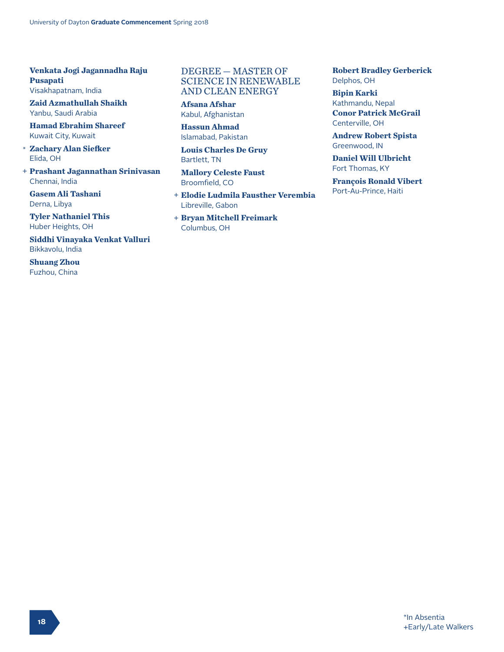## **Venkata Jogi Jagannadha Raju Pusapati** Visakhapatnam, India

**Zaid Azmathullah Shaikh** Yanbu, Saudi Arabia

**Hamad Ebrahim Shareef** Kuwait City, Kuwait

**Zachary Alan Siefker** \* Elida, OH

**Prashant Jagannathan Srinivasan** + Chennai, India

**Gasem Ali Tashani** Derna, Libya

**Tyler Nathaniel This** Huber Heights, OH

**Siddhi Vinayaka Venkat Valluri** Bikkavolu, India

**Shuang Zhou** Fuzhou, China

## DEGREE — MASTER OF SCIENCE IN RENEWABLE AND CLEAN ENERGY

**Afsana Afshar** Kabul, Afghanistan

**Hassun Ahmad** Islamabad, Pakistan

**Louis Charles De Gruy** Bartlett, TN

**Mallory Celeste Faust** Broomfield, CO

**Elodie Ludmila Fausther Verembia** + Libreville, Gabon

**Bryan Mitchell Freimark** + Columbus, OH

**Robert Bradley Gerberick** Delphos, OH

**Bipin Karki** Kathmandu, Nepal **Conor Patrick McGrail** Centerville, OH

**Andrew Robert Spista** Greenwood, IN

**Daniel Will Ulbricht** Fort Thomas, KY

**François Ronald Vibert** Port-Au-Prince, Haiti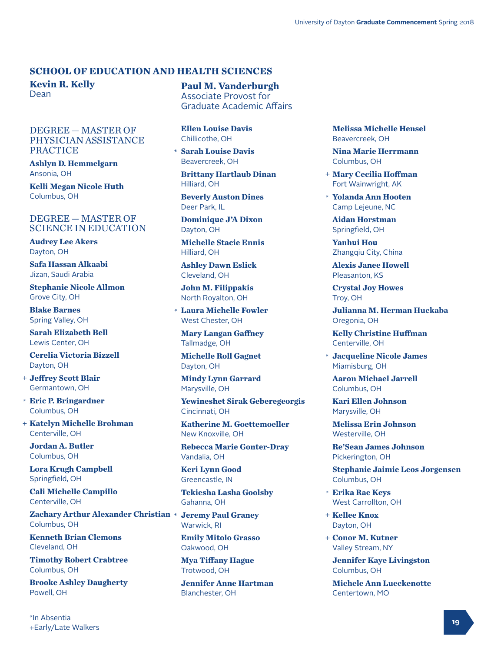# **SCHOOL OF EDUCATION AND HEALTH SCIENCES**

**Kevin R. Kelly**

DEGREE — MASTER OF PHYSICIAN ASSISTANCE PRACTICE

**Ashlyn D. Hemmelgarn** Ansonia, OH

**Kelli Megan Nicole Huth** Columbus, OH

DEGREE — MASTER OF SCIENCE IN EDUCATION

**Audrey Lee Akers** Dayton, OH

**Safa Hassan Alkaabi** Jizan, Saudi Arabia

**Stephanie Nicole Allmon** Grove City, OH

**Blake Barnes** Spring Valley, OH

**Sarah Elizabeth Bell** Lewis Center, OH

**Cerelia Victoria Bizzell** Dayton, OH

**Jeffrey Scott Blair** + Germantown, OH

**Eric P. Bringardner** \* Columbus, OH

**Katelyn Michelle Brohman** + Centerville, OH

**Jordan A. Butler** Columbus, OH

**Lora Krugh Campbell** Springfield, OH

**Cali Michelle Campillo** Centerville, OH

**Zachary Arthur Alexander Christian** \* Columbus, OH

**Kenneth Brian Clemons** Cleveland, OH

**Timothy Robert Crabtree** Columbus, OH

**Brooke Ashley Daugherty** Powell, OH

\*In Absentia +Early/Late Walkers **<sup>19</sup>**

**Kevin K. Kelly Example 2018 Paul M. Vanderburgh**<br>Dean Associate Provost for Associate Provost for Graduate Academic Affairs

> **Ellen Louise Davis** Chillicothe, OH

**Sarah Louise Davis** \* Beavercreek, OH

**Brittany Hartlaub Dinan** Hilliard, OH

**Beverly Auston Dines** Deer Park, IL

**Dominique J'A Dixon** Dayton, OH

**Michelle Stacie Ennis** Hilliard, OH

**Ashley Dawn Eslick** Cleveland, OH

**John M. Filippakis** North Royalton, OH

**Laura Michelle Fowler** \*West Chester, OH

**Mary Langan Gaffney** Tallmadge, OH

**Michelle Roll Gagnet** Dayton, OH

**Mindy Lynn Garrard** Marysville, OH

**Yewineshet Sirak Geberegeorgis** Cincinnati, OH

**Katherine M. Goettemoeller** New Knoxville, OH

**Rebecca Marie Gonter-Dray** Vandalia, OH

**Keri Lynn Good** Greencastle, IN

**Tekiesha Lasha Goolsby** Gahanna, OH

**Jeremy Paul Graney** Warwick, RI

**Emily Mitolo Grasso** Oakwood, OH

**Mya Tiffany Hague** Trotwood, OH

**Jennifer Anne Hartman** Blanchester, OH

**Melissa Michelle Hensel** Beavercreek, OH

**Nina Marie Herrmann** Columbus, OH

- **Mary Cecilia Hoffman** + Fort Wainwright, AK
- **Yolanda Ann Hooten** \* Camp Lejeune, NC

**Aidan Horstman** Springfield, OH

**Yanhui Hou** Zhangqiu City, China

**Alexis Janee Howell** Pleasanton, KS

**Crystal Joy Howes** Troy, OH

**Julianna M. Herman Huckaba** Oregonia, OH

**Kelly Christine Huffman** Centerville, OH

**Jacqueline Nicole James** \* Miamisburg, OH

**Aaron Michael Jarrell** Columbus, OH

**Kari Ellen Johnson** Marysville, OH

**Melissa Erin Johnson** Westerville, OH

**Re'Sean James Johnson** Pickerington, OH

**Stephanie Jaimie Leos Jorgensen** Columbus, OH

**Erika Rae Keys** \* West Carrollton, OH

**Kellee Knox** + Dayton, OH

**Conor M. Kutner** + Valley Stream, NY

**Jennifer Kaye Livingston** Columbus, OH

**Michele Ann Lueckenotte** Centertown, MO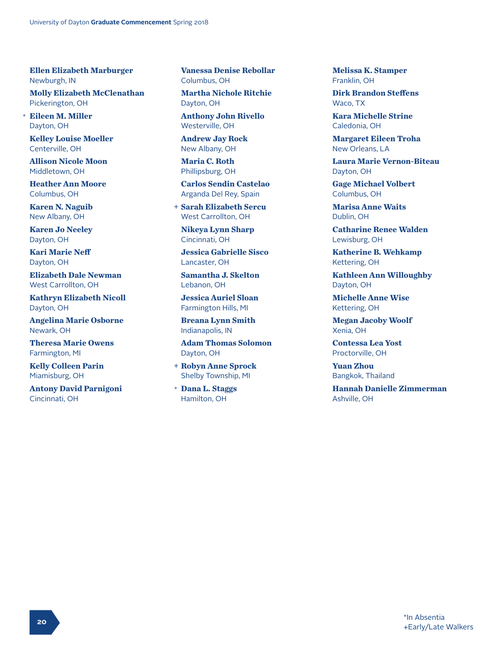**Ellen Elizabeth Marburger** Newburgh, IN

**Molly Elizabeth McClenathan** Pickerington, OH

\* **Eileen M. Miller** Dayton, OH

**Kelley Louise Moeller** Centerville, OH

**Allison Nicole Moon** Middletown, OH

**Heather Ann Moore** Columbus, OH

**Karen N. Naguib** New Albany, OH

**Karen Jo Neeley** Dayton, OH

**Kari Marie Neff** Dayton, OH

**Elizabeth Dale Newman** West Carrollton, OH

**Kathryn Elizabeth Nicoll** Dayton, OH

**Angelina Marie Osborne** Newark, OH

**Theresa Marie Owens** Farmington, MI

**Kelly Colleen Parin** Miamisburg, OH

**Antony David Parnigoni** Cincinnati, OH

**Vanessa Denise Rebollar** Columbus, OH

**Martha Nichole Ritchie** Dayton, OH

**Anthony John Rivello** Westerville, OH

**Andrew Jay Rock** New Albany, OH

**Maria C. Roth** Phillipsburg, OH

**Carlos Sendin Castelao** Arganda Del Rey, Spain

+ **Sarah Elizabeth Sercu** West Carrollton, OH

**Nikeya Lynn Sharp** Cincinnati, OH

**Jessica Gabrielle Sisco** Lancaster, OH

**Samantha J. Skelton** Lebanon, OH

**Jessica Auriel Sloan** Farmington Hills, MI

**Breana Lynn Smith** Indianapolis, IN

**Adam Thomas Solomon** Dayton, OH

+ **Robyn Anne Sprock** Shelby Township, MI

\* **Dana L. Staggs** Hamilton, OH

**Melissa K. Stamper** Franklin, OH

**Dirk Brandon Steffens** Waco, TX

**Kara Michelle Strine** Caledonia, OH

**Margaret Eileen Troha** New Orleans, LA

**Laura Marie Vernon-Biteau** Dayton, OH

**Gage Michael Volbert** Columbus, OH

**Marisa Anne Waits** Dublin, OH

**Catharine Renee Walden** Lewisburg, OH

**Katherine B. Wehkamp** Kettering, OH

**Kathleen Ann Willoughby** Dayton, OH

**Michelle Anne Wise** Kettering, OH

**Megan Jacoby Woolf** Xenia, OH

**Contessa Lea Yost** Proctorville, OH

**Yuan Zhou** Bangkok, Thailand

**Hannah Danielle Zimmerman** Ashville, OH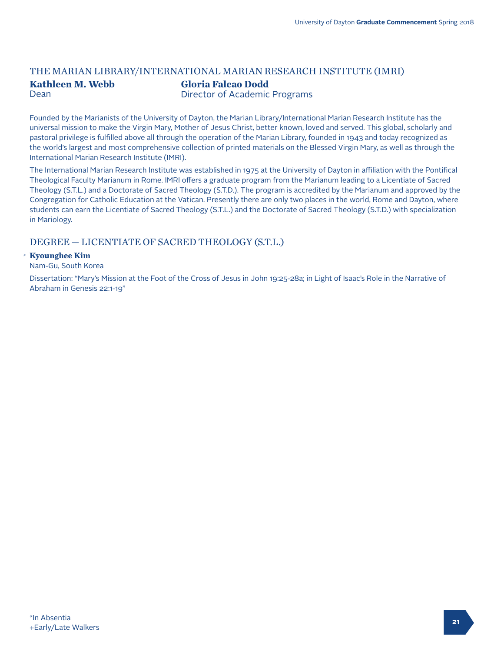#### THE MARIAN LIBRARY/INTERNATIONAL MARIAN RESEARCH INSTITUTE (IMRI) **Kathleen M. Webb** Dean **Gloria Falcao Dodd** Director of Academic Programs

Founded by the Marianists of the University of Dayton, the Marian Library/International Marian Research Institute has the universal mission to make the Virgin Mary, Mother of Jesus Christ, better known, loved and served. This global, scholarly and pastoral privilege is fulfilled above all through the operation of the Marian Library, founded in 1943 and today recognized as the world's largest and most comprehensive collection of printed materials on the Blessed Virgin Mary, as well as through the International Marian Research Institute (IMRI).

The International Marian Research Institute was established in 1975 at the University of Dayton in affiliation with the Pontifical Theological Faculty Marianum in Rome. IMRI offers a graduate program from the Marianum leading to a Licentiate of Sacred Theology (S.T.L.) and a Doctorate of Sacred Theology (S.T.D.). The program is accredited by the Marianum and approved by the Congregation for Catholic Education at the Vatican. Presently there are only two places in the world, Rome and Dayton, where students can earn the Licentiate of Sacred Theology (S.T.L.) and the Doctorate of Sacred Theology (S.T.D.) with specialization in Mariology.

# DEGREE — LICENTIATE OF SACRED THEOLOGY (S.T.L.)

## **Kyounghee Kim** \*

## Nam-Gu, South Korea

Dissertation: "Mary's Mission at the Foot of the Cross of Jesus in John 19:25-28a; in Light of Isaac's Role in the Narrative of Abraham in Genesis 22:1-19"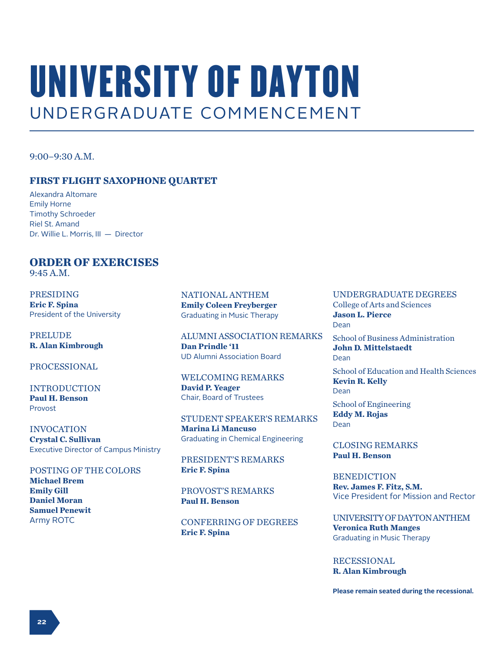# UNIVERSITY OF DAYTON UNDERGRADUATE COMMENCEMENT

9:00–9:30 A.M.

# **FIRST FLIGHT SAXOPHONE QUARTET**

Alexandra Altomare Emily Horne Timothy Schroeder Riel St. Amand Dr. Willie L. Morris, III — Director

# **ORDER OF EXERCISES**  9:45 A.M.

PRESIDING **Eric F. Spina**  President of the University

PRELUDE **R. Alan Kimbrough** 

## PROCESSIONAL

INTRODUCTION **Paul H. Benson** Provost

INVOCATION **Crystal C. Sullivan** Executive Director of Campus Ministry

POSTING OF THE COLORS **Michael Brem Emily Gill Daniel Moran Samuel Penewit** Army ROTC

NATIONAL ANTHEM **Emily Coleen Freyberger** Graduating in Music Therapy

ALUMNI ASSOCIATION REMARKS **Dan Prindle '11** UD Alumni Association Board

## WELCOMING REMARKS **David P. Yeager** Chair, Board of Trustees

STUDENT SPEAKER'S REMARKS **Marina Li Mancuso** Graduating in Chemical Engineering

PRESIDENT'S REMARKS **Eric F. Spina** 

PROVOST'S REMARKS **Paul H. Benson**

CONFERRING OF DEGREES **Eric F. Spina** 

# UNDERGRADUATE DEGREES

College of Arts and Sciences **Jason L. Pierce**  Dean

School of Business Administration **John D. Mittelstaedt** Dean

School of Education and Health Sciences **Kevin R. Kelly** Dean

School of Engineering **Eddy M. Rojas** Dean

CLOSING REMARKS **Paul H. Benson**

**BENEDICTION Rev. James F. Fitz, S.M.** Vice President for Mission and Rector

UNIVERSITY OF DAYTON ANTHEM **Veronica Ruth Manges** Graduating in Music Therapy

RECESSIONAL **R. Alan Kimbrough** 

**Please remain seated during the recessional.**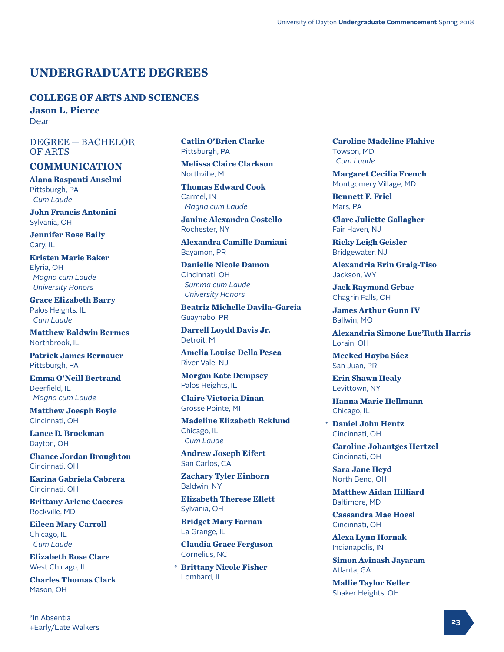# **UNDERGRADUATE DEGREES**

# **COLLEGE OF ARTS AND SCIENCES**

**Jason L. Pierce**  Dean

DEGREE — BACHELOR OF ARTS

## **COMMUNICATION**

**Alana Raspanti Anselmi** Pittsburgh, PA  *Cum Laude*

**John Francis Antonini** Sylvania, OH

**Jennifer Rose Baily** Cary, IL

**Kristen Marie Baker** Elyria, OH  *Magna cum Laude University Honors*

**Grace Elizabeth Barry** Palos Heights, IL  *Cum Laude*

**Matthew Baldwin Bermes** Northbrook, IL

**Patrick James Bernauer** Pittsburgh, PA

**Emma O'Neill Bertrand** Deerfield, IL  *Magna cum Laude*

**Matthew Joesph Boyle** Cincinnati, OH

**Lance D. Brockman** Dayton, OH

**Chance Jordan Broughton** Cincinnati, OH

**Karina Gabriela Cabrera** Cincinnati, OH

**Brittany Arlene Caceres** Rockville, MD

**Eileen Mary Carroll** Chicago, IL  *Cum Laude*

**Elizabeth Rose Clare** West Chicago, IL

**Charles Thomas Clark** Mason, OH

**Catlin O'Brien Clarke** Pittsburgh, PA

**Melissa Claire Clarkson** Northville, MI

**Thomas Edward Cook** Carmel, IN  *Magna cum Laude*

**Janine Alexandra Costello** Rochester, NY

**Alexandra Camille Damiani**  Bayamon, PR

**Danielle Nicole Damon** Cincinnati, OH  *Summa cum Laude University Honors*

**Beatriz Michelle Davila-Garcia** Guaynabo, PR

**Darrell Loydd Davis Jr.** Detroit, MI

**Amelia Louise Della Pesca** River Vale, NJ

**Morgan Kate Dempsey** Palos Heights, IL

**Claire Victoria Dinan** Grosse Pointe, MI

**Madeline Elizabeth Ecklund** Chicago, IL  *Cum Laude*

**Andrew Joseph Eifert** San Carlos, CA

**Zachary Tyler Einhorn** Baldwin, NY

**Elizabeth Therese Ellett**  Sylvania, OH

**Bridget Mary Farnan**  La Grange, IL

**Claudia Grace Ferguson** Cornelius, NC

**Brittany Nicole Fisher** \* Lombard, IL

**Caroline Madeline Flahive** Towson, MD  *Cum Laude*

**Margaret Cecilia French** Montgomery Village, MD

**Bennett F. Friel** Mars, PA

**Clare Juliette Gallagher** Fair Haven, NJ

**Ricky Leigh Geisler** Bridgewater, NJ

**Alexandria Erin Graig-Tiso** Jackson, WY

**Jack Raymond Grbac** Chagrin Falls, OH

**James Arthur Gunn IV** Ballwin, MO

**Alexandria Simone Lue'Ruth Harris** Lorain, OH

**Meeked Hayba Sáez** San Juan, PR

**Erin Shawn Healy** Levittown, NY

**Hanna Marie Hellmann** Chicago, IL

**Daniel John Hentz** \*Cincinnati, OH

**Caroline Johantges Hertzel** Cincinnati, OH

**Sara Jane Heyd** North Bend, OH

**Matthew Aidan Hilliard** Baltimore, MD

**Cassandra Mae Hoesl** Cincinnati, OH

**Alexa Lynn Hornak** Indianapolis, IN

**Simon Avinash Jayaram** Atlanta, GA

**Mallie Taylor Keller** Shaker Heights, OH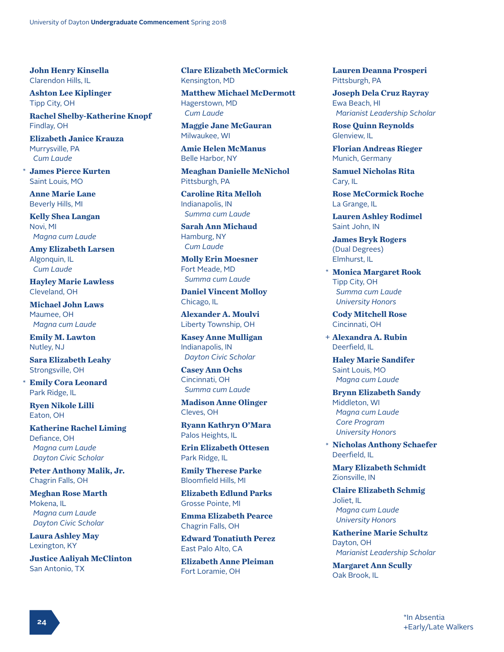**John Henry Kinsella** Clarendon Hills, IL

**Ashton Lee Kiplinger** Tipp City, OH

**Rachel Shelby-Katherine Knopf** Findlay, OH

**Elizabeth Janice Krauza** Murrysville, PA  *Cum Laude*

**James Pierce Kurten** Saint Louis, MO \*

**Anne Marie Lane** Beverly Hills, MI

**Kelly Shea Langan** Novi, MI  *Magna cum Laude*

**Amy Elizabeth Larsen** Algonquin, IL  *Cum Laude*

**Hayley Marie Lawless** Cleveland, OH

**Michael John Laws** Maumee, OH  *Magna cum Laude*

**Emily M. Lawton** Nutley, NJ

**Sara Elizabeth Leahy** Strongsville, OH

**Emily Cora Leonard** Park Ridge, IL

**Ryen Nikole Lilli** Eaton, OH

\*

**Katherine Rachel Liming** Defiance, OH  *Magna cum Laude Dayton Civic Scholar*

**Peter Anthony Malik, Jr.** Chagrin Falls, OH

**Meghan Rose Marth** Mokena, IL  *Magna cum Laude Dayton Civic Scholar*

**Laura Ashley May** Lexington, KY

**Justice Aaliyah McClinton** San Antonio, TX

**Clare Elizabeth McCormick** Kensington, MD

**Matthew Michael McDermott** Hagerstown, MD  *Cum Laude*

**Maggie Jane McGauran** Milwaukee, WI

**Amie Helen McManus** Belle Harbor, NY

**Meaghan Danielle McNichol**  Pittsburgh, PA

**Caroline Rita Melloh** Indianapolis, IN  *Summa cum Laude*

**Sarah Ann Michaud** Hamburg, NY  *Cum Laude*

**Molly Erin Moesner** Fort Meade, MD  *Summa cum Laude*

**Daniel Vincent Molloy** Chicago, IL

**Alexander A. Moulvi** Liberty Township, OH

**Kasey Anne Mulligan** Indianapolis, IN  *Dayton Civic Scholar*

**Casey Ann Ochs** Cincinnati, OH  *Summa cum Laude*

**Madison Anne Olinger** Cleves, OH

**Ryann Kathryn O'Mara** Palos Heights, IL

**Erin Elizabeth Ottesen** Park Ridge, IL

**Emily Therese Parke** Bloomfield Hills, MI

**Elizabeth Edlund Parks** Grosse Pointe, MI

**Emma Elizabeth Pearce** Chagrin Falls, OH

**Edward Tonatiuth Perez** East Palo Alto, CA

**Elizabeth Anne Pleiman** Fort Loramie, OH

**Lauren Deanna Prosperi** Pittsburgh, PA

**Joseph Dela Cruz Rayray** Ewa Beach, HI  *Marianist Leadership Scholar* 

**Rose Quinn Reynolds** Glenview, IL

**Florian Andreas Rieger** Munich, Germany

**Samuel Nicholas Rita** Cary, IL

**Rose McCormick Roche** La Grange, IL

**Lauren Ashley Rodimel** Saint John, IN

**James Bryk Rogers**  (Dual Degrees) Elmhurst, IL

**Monica Margaret Rook** \* Tipp City, OH  *Summa cum Laude University Honors*

**Cody Mitchell Rose** Cincinnati, OH

**Alexandra A. Rubin** + Deerfield, IL

**Haley Marie Sandifer** Saint Louis, MO  *Magna cum Laude*

**Brynn Elizabeth Sandy** Middleton, WI  *Magna cum Laude Core Program University Honors*

**Nicholas Anthony Schaefer** \*Deerfield, IL

**Mary Elizabeth Schmidt** Zionsville, IN

**Claire Elizabeth Schmig** Joliet, IL  *Magna cum Laude University Honors*

**Katherine Marie Schultz** Dayton, OH  *Marianist Leadership Scholar* 

**Margaret Ann Scully** Oak Brook, IL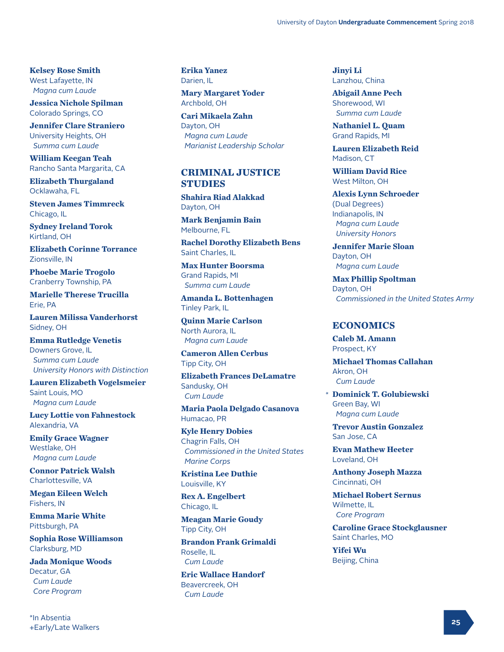**Kelsey Rose Smith** West Lafayette, IN  *Magna cum Laude*

**Jessica Nichole Spilman** Colorado Springs, CO

**Jennifer Clare Straniero** University Heights, OH  *Summa cum Laude*

**William Keegan Teah** Rancho Santa Margarita, CA

**Elizabeth Thurgaland** Ocklawaha, FL

**Steven James Timmreck** Chicago, IL

**Sydney Ireland Torok** Kirtland, OH

**Elizabeth Corinne Torrance** Zionsville, IN

**Phoebe Marie Trogolo** Cranberry Township, PA

**Marielle Therese Trucilla** Erie, PA

**Lauren Milissa Vanderhorst** Sidney, OH

**Emma Rutledge Venetis** Downers Grove, IL  *Summa cum Laude University Honors with Distinction*

**Lauren Elizabeth Vogelsmeier** Saint Louis, MO  *Magna cum Laude*

**Lucy Lottie von Fahnestock** Alexandria, VA

**Emily Grace Wagner** Westlake, OH  *Magna cum Laude*

**Connor Patrick Walsh**  Charlottesville, VA

**Megan Eileen Welch** Fishers, IN

**Emma Marie White** Pittsburgh, PA

**Sophia Rose Williamson** Clarksburg, MD

**Jada Monique Woods** Decatur, GA  *Cum Laude Core Program*

\*In Absentia +Early/Late Walkers **<sup>25</sup>**

**Erika Yanez** Darien, IL

**Mary Margaret Yoder** Archbold, OH

**Cari Mikaela Zahn** Dayton, OH  *Magna cum Laude Marianist Leadership Scholar*

## **CRIMINAL JUSTICE STUDIES**

**Shahira Riad Alakkad** Dayton, OH

**Mark Benjamin Bain** Melbourne, FL

**Rachel Dorothy Elizabeth Bens** Saint Charles, IL

**Max Hunter Boorsma** Grand Rapids, MI  *Summa cum Laude*

**Amanda L. Bottenhagen** Tinley Park, IL

**Quinn Marie Carlson** North Aurora, IL  *Magna cum Laude*

**Cameron Allen Cerbus** Tipp City, OH

**Elizabeth Frances DeLamatre** Sandusky, OH  *Cum Laude*

**Maria Paola Delgado Casanova** Humacao, PR

**Kyle Henry Dobies** Chagrin Falls, OH  *Commissioned in the United States Marine Corps*

**Kristina Lee Duthie** Louisville, KY

**Rex A. Engelbert** Chicago, IL

**Meagan Marie Goudy** Tipp City, OH

**Brandon Frank Grimaldi** Roselle, IL  *Cum Laude*

**Eric Wallace Handorf** Beavercreek, OH  *Cum Laude*

**Jinyi Li** Lanzhou, China

**Abigail Anne Pech** Shorewood, WI  *Summa cum Laude*

**Nathaniel L. Quam** Grand Rapids, MI

**Lauren Elizabeth Reid** Madison, CT

**William David Rice** West Milton, OH

**Alexis Lynn Schroeder**  (Dual Degrees) Indianapolis, IN  *Magna cum Laude University Honors*

**Jennifer Marie Sloan** Dayton, OH  *Magna cum Laude*

**Max Phillip Spoltman** Dayton, OH  *Commissioned in the United States Army*

## **ECONOMICS**

**Caleb M. Amann** Prospect, KY

**Michael Thomas Callahan** Akron, OH  *Cum Laude*

**Dominick T. Golubiewski** \*Green Bay, WI  *Magna cum Laude*

**Trevor Austin Gonzalez** San Jose, CA

**Evan Mathew Heeter** Loveland, OH

**Anthony Joseph Mazza** Cincinnati, OH

**Michael Robert Sernus** Wilmette, IL  *Core Program*

**Caroline Grace Stockglausner** Saint Charles, MO

**Yifei Wu** Beijing, China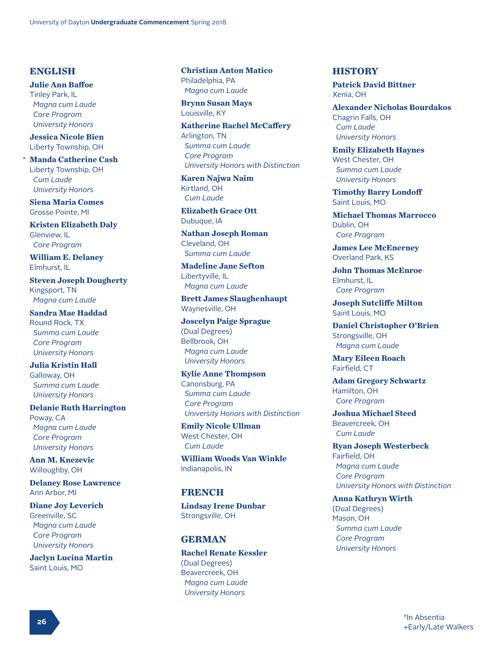## **ENGLISH**

\*

**Julie Ann Baffoe** Tinley Park, IL  *Magna cum Laude Core Program University Honors*

**Jessica Nicole Bien** Liberty Township, OH

**Manda Catherine Cash** Liberty Township, OH  *Cum Laude University Honors*

**Siena Maria Comes** Grosse Pointe, MI

**Kristen Elizabeth Daly** Glenview, IL  *Core Program*

**William E. Delaney** Elmhurst, IL

**Steven Joseph Dougherty** Kingsport, TN  *Magna cum Laude* 

## **Sandra Mae Haddad**

Round Rock, TX  *Summa cum Laude Core Program University Honors*

**Julia Kristin Hall**

Galloway, OH  *Summa cum Laude University Honors*

#### **Delanie Ruth Harrington**

Poway, CA  *Magna cum Laude Core Program University Honors*

**Ann M. Knezevic** Willoughby, OH

**Delaney Rose Lawrence** Ann Arbor, MI

**Diane Joy Leverich** Greenville, SC  *Magna cum Laude Core Program University Honors*

**Jaclyn Lucina Martin** Saint Louis, MO

**Christian Anton Matico** Philadelphia, PA  *Magna cum Laude*

**Brynn Susan Mays** Louisville, KY

**Katherine Rachel McCaffery** Arlington, TN  *Summa cum Laude Core Program University Honors with Distinction*

**Karen Najwa Naim** Kirtland, OH  *Cum Laude* 

**Elizabeth Grace Ott** Dubuque, IA

**Nathan Joseph Roman** Cleveland, OH  *Summa cum Laude* 

# **Madeline Jane Sefton**

Libertyville, IL  *Magna cum Laude* 

**Brett James Slaughenhaupt** Waynesville, OH

**Joscelyn Paige Sprague**  (Dual Degrees) Bellbrook, OH  *Magna cum Laude University Honors*

#### **Kylie Anne Thompson**

Canonsburg, PA  *Summa cum Laude Core Program University Honors with Distinction*

**Emily Nicole Ullman** West Chester, OH  *Cum Laude* 

**William Woods Van Winkle** Indianapolis, IN

## **FRENCH**

**Lindsay Irene Dunbar** Strongsville, OH

## **GERMAN**

**Rachel Renate Kessler**  (Dual Degrees) Beavercreek, OH  *Magna cum Laude University Honors*

#### **HISTORY**

**Patrick David Bittner** Xenia, OH

**Alexander Nicholas Bourdakos** Chagrin Falls, OH  *Cum Laude University Honors*

**Emily Elizabeth Haynes** West Chester, OH  *Summa cum Laude University Honors*

**Timothy Barry Londoff** Saint Louis, MO

**Michael Thomas Marrocco** Dublin, OH  *Core Program*

**James Lee McEnerney** Overland Park, KS

**John Thomas McEnroe** Elmhurst, IL  *Core Program*

**Joseph Sutcliffe Milton** Saint Louis, MO

**Daniel Christopher O'Brien** Strongsville, OH  *Magna cum Laude*

**Mary Eileen Roach** Fairfield, CT

**Adam Gregory Schwartz** Hamilton, OH  *Core Program*

**Joshua Michael Steed** Beavercreek, OH  *Cum Laude*

**Ryan Joseph Westerbeck** Fairfield, OH  *Magna cum Laude Core Program University Honors with Distinction*

**Anna Kathryn Wirth**  (Dual Degrees) Mason, OH  *Summa cum Laude Core Program University Honors*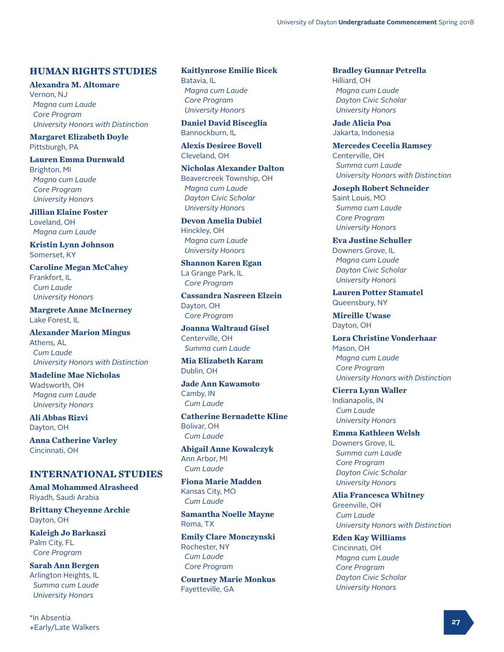# **HUMAN RIGHTS STUDIES**

## **Alexandra M. Altomare**

Vernon, NJ  *Magna cum Laude Core Program University Honors with Distinction*

**Margaret Elizabeth Doyle** Pittsburgh, PA

**Lauren Emma Durnwald** Brighton, MI  *Magna cum Laude*

 *Core Program University Honors* **Jillian Elaine Foster**

Loveland, OH  *Magna cum Laude* 

**Kristin Lynn Johnson** Somerset, KY

**Caroline Megan McCahey** Frankfort, IL  *Cum Laude University Honors*

**Margrete Anne McInerney** Lake Forest, IL

**Alexander Marion Mingus** Athens, AL  *Cum Laude University Honors with Distinction*

**Madeline Mae Nicholas** Wadsworth, OH  *Magna cum Laude University Honors*

**Ali Abbas Rizvi** Dayton, OH

**Anna Catherine Varley** Cincinnati, OH

# **INTERNATIONAL STUDIES**

**Amal Mohammed Alrasheed** Riyadh, Saudi Arabia

**Brittany Cheyenne Archie** Dayton, OH

**Kaleigh Jo Barkaszi** Palm City, FL  *Core Program*

**Sarah Ann Bergen** Arlington Heights, IL  *Summa cum Laude University Honors*

\*In Absentia +Early/Late Walkers **<sup>27</sup>**

#### **Kaitlynrose Emilie Bicek** Batavia, IL

 *Magna cum Laude Core Program University Honors*

**Daniel David Bisceglia** Bannockburn, IL

**Alexis Desiree Bovell** Cleveland, OH

**Nicholas Alexander Dalton** Beavercreek Township, OH  *Magna cum Laude Dayton Civic Scholar University Honors*

**Devon Amelia Dubiel** Hinckley, OH  *Magna cum Laude University Honors*

**Shannon Karen Egan**  La Grange Park, IL  *Core Program*

**Cassandra Nasreen Elzein** Dayton, OH  *Core Program*

**Joanna Waltraud Gisel** Centerville, OH  *Summa cum Laude* 

**Mia Elizabeth Karam** Dublin, OH

**Jade Ann Kawamoto** Camby, IN  *Cum Laude* 

**Catherine Bernadette Kline** Bolivar, OH  *Cum Laude* 

**Abigail Anne Kowalczyk** Ann Arbor, MI  *Cum Laude*

**Fiona Marie Madden** Kansas City, MO  *Cum Laude*

**Samantha Noelle Mayne** Roma, TX

**Emily Clare Monczynski** Rochester, NY  *Cum Laude Core Program*

**Courtney Marie Monkus** Fayetteville, GA

**Bradley Gunnar Petrella**

Hilliard, OH  *Magna cum Laude Dayton Civic Scholar University Honors*

**Jade Alicia Poa** Jakarta, Indonesia

**Mercedes Cecelia Ramsey** Centerville, OH  *Summa cum Laude University Honors with Distinction*

**Joseph Robert Schneider** Saint Louis, MO  *Summa cum Laude Core Program University Honors*

**Eva Justine Schuller** Downers Grove, IL  *Magna cum Laude Dayton Civic Scholar University Honors*

**Lauren Potter Stamatel** Queensbury, NY

**Mireille Uwase** Dayton, OH

**Lora Christine Vonderhaar** Mason, OH  *Magna cum Laude Core Program University Honors with Distinction*

**Cierra Lynn Waller** Indianapolis, IN  *Cum Laude University Honors*

**Emma Kathleen Welsh** Downers Grove, IL  *Summa cum Laude Core Program Dayton Civic Scholar University Honors*

**Alia Francesca Whitney** Greenville, OH  *Cum Laude University Honors with Distinction*

**Eden Kay Williams** Cincinnati, OH  *Magna cum Laude Core Program Dayton Civic Scholar University Honors*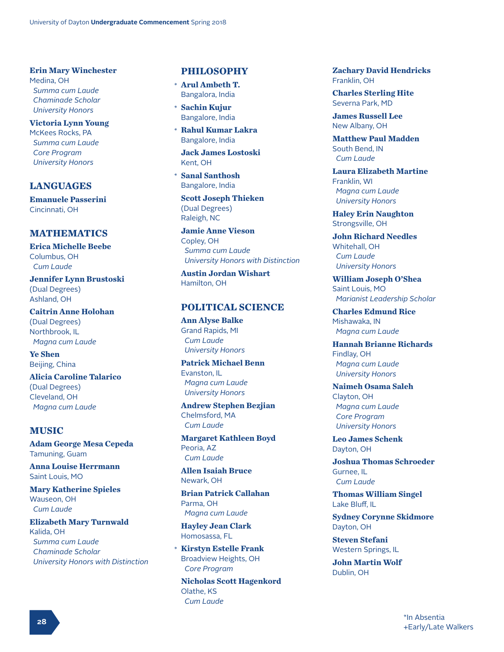#### **Erin Mary Winchester**

Medina, OH  *Summa cum Laude Chaminade Scholar University Honors*

**Victoria Lynn Young** McKees Rocks, PA  *Summa cum Laude Core Program University Honors*

# **LANGUAGES**

**Emanuele Passerini** Cincinnati, OH

## **MATHEMATICS**

**Erica Michelle Beebe** Columbus, OH  *Cum Laude*

**Jennifer Lynn Brustoski**  (Dual Degrees) Ashland, OH

**Caitrin Anne Holohan**  (Dual Degrees) Northbrook, IL  *Magna cum Laude*

**Ye Shen** Beijing, China

**Alicia Caroline Talarico**  (Dual Degrees) Cleveland, OH  *Magna cum Laude*

## **MUSIC**

**Adam George Mesa Cepeda** Tamuning, Guam

**Anna Louise Herrmann** Saint Louis, MO

**Mary Katherine Spieles** Wauseon, OH  *Cum Laude* 

**Elizabeth Mary Turnwald** Kalida, OH  *Summa cum Laude Chaminade Scholar University Honors with Distinction*

#### **PHILOSOPHY**

**Arul Ambeth T.** \* Bangalora, India

**Sachin Kujur** \* Bangalore, India

**Rahul Kumar Lakra** \* Bangalore, India

**Jack James Lostoski** Kent, OH

**Sanal Santhosh** \* Bangalore, India

**Scott Joseph Thieken** (Dual Degrees) Raleigh, NC

**Jamie Anne Vieson** Copley, OH  *Summa cum Laude University Honors with Distinction*

**Austin Jordan Wishart** Hamilton, OH

## **POLITICAL SCIENCE**

**Ann Alyse Balke** Grand Rapids, MI  *Cum Laude University Honors*

**Patrick Michael Benn** Evanston, IL  *Magna cum Laude University Honors*

**Andrew Stephen Bezjian** Chelmsford, MA  *Cum Laude*

**Margaret Kathleen Boyd** Peoria, AZ  *Cum Laude*

**Allen Isaiah Bruce** Newark, OH

**Brian Patrick Callahan** Parma, OH  *Magna cum Laude*

**Hayley Jean Clark** Homosassa, FL

**Kirstyn Estelle Frank** Broadview Heights, OH  *Core Program* \*

**Nicholas Scott Hagenkord** Olathe, KS  *Cum Laude*

**Zachary David Hendricks** Franklin, OH

**Charles Sterling Hite** Severna Park, MD

**James Russell Lee** New Albany, OH

**Matthew Paul Madden** South Bend, IN  *Cum Laude*

**Laura Elizabeth Martine** Franklin, WI  *Magna cum Laude University Honors*

**Haley Erin Naughton** Strongsville, OH

**John Richard Needles** Whitehall, OH  *Cum Laude University Honors*

**William Joseph O'Shea** Saint Louis, MO  *Marianist Leadership Scholar*

**Charles Edmund Rice** Mishawaka, IN  *Magna cum Laude*

**Hannah Brianne Richards** Findlay, OH  *Magna cum Laude University Honors*

**Naimeh Osama Saleh** Clayton, OH  *Magna cum Laude Core Program University Honors*

**Leo James Schenk** Dayton, OH

**Joshua Thomas Schroeder** Gurnee, IL  *Cum Laude*

**Thomas William Singel** Lake Bluff, IL

**Sydney Corynne Skidmore** Dayton, OH

**Steven Stefani** Western Springs, IL

**John Martin Wolf** Dublin, OH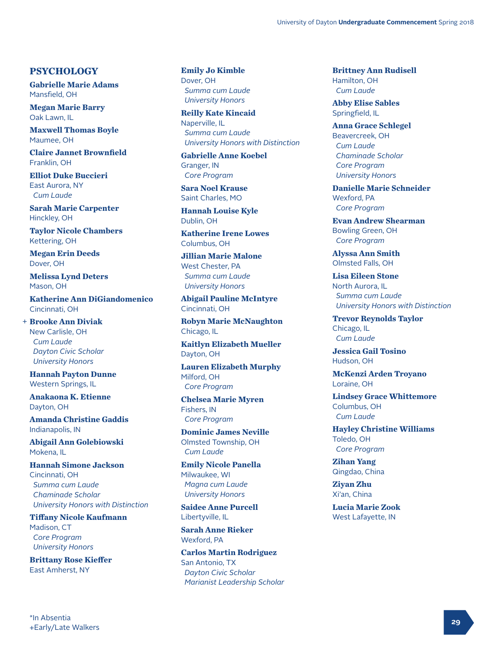# **PSYCHOLOGY**

**Gabrielle Marie Adams** Mansfield, OH

**Megan Marie Barry** Oak Lawn, IL

**Maxwell Thomas Boyle** Maumee, OH

**Claire Jannet Brownfield** Franklin, OH

**Elliot Duke Buccieri** East Aurora, NY  *Cum Laude*

**Sarah Marie Carpenter** Hinckley, OH

**Taylor Nicole Chambers** Kettering, OH

**Megan Erin Deeds** Dover, OH

**Melissa Lynd Deters** Mason, OH

**Katherine Ann DiGiandomenico** Cincinnati, OH

**Brooke Ann Diviak** + New Carlisle, OH  *Cum Laude Dayton Civic Scholar University Honors*

**Hannah Payton Dunne** Western Springs, IL

**Anakaona K. Etienne** Dayton, OH

**Amanda Christine Gaddis** Indianapolis, IN

**Abigail Ann Golebiowski** Mokena, IL

**Hannah Simone Jackson** Cincinnati, OH  *Summa cum Laude Chaminade Scholar University Honors with Distinction*

**Tiffany Nicole Kaufmann** Madison, CT  *Core Program University Honors*

**Brittany Rose Kieffer** East Amherst, NY

**Emily Jo Kimble** Dover, OH  *Summa cum Laude University Honors*

**Reilly Kate Kincaid** Naperville, IL  *Summa cum Laude University Honors with Distinction*

**Gabrielle Anne Koebel** Granger, IN  *Core Program*

**Sara Noel Krause** Saint Charles, MO

**Hannah Louise Kyle** Dublin, OH

**Katherine Irene Lowes** Columbus, OH

**Jillian Marie Malone** West Chester, PA  *Summa cum Laude University Honors*

**Abigail Pauline McIntyre** Cincinnati, OH

**Robyn Marie McNaughton** Chicago, IL

**Kaitlyn Elizabeth Mueller** Dayton, OH

**Lauren Elizabeth Murphy** Milford, OH  *Core Program*

**Chelsea Marie Myren** Fishers, IN  *Core Program*

**Dominic James Neville** Olmsted Township, OH  *Cum Laude*

**Emily Nicole Panella** Milwaukee, WI  *Magna cum Laude University Honors*

**Saidee Anne Purcell** Libertyville, IL

**Sarah Anne Rieker** Wexford, PA

**Carlos Martin Rodriguez** San Antonio, TX  *Dayton Civic Scholar Marianist Leadership Scholar* **Brittney Ann Rudisell** Hamilton, OH  *Cum Laude*

**Abby Elise Sables** Springfield, IL

**Anna Grace Schlegel** Beavercreek, OH  *Cum Laude Chaminade Scholar Core Program University Honors*

**Danielle Marie Schneider** Wexford, PA  *Core Program*

**Evan Andrew Shearman** Bowling Green, OH  *Core Program*

**Alyssa Ann Smith** Olmsted Falls, OH

**Lisa Eileen Stone** North Aurora, IL  *Summa cum Laude University Honors with Distinction*

**Trevor Reynolds Taylor** Chicago, IL  *Cum Laude*

**Jessica Gail Tosino** Hudson, OH

**McKenzi Arden Troyano** Loraine, OH

**Lindsey Grace Whittemore** Columbus, OH  *Cum Laude*

**Hayley Christine Williams** Toledo, OH  *Core Program*

**Zihan Yang** Qingdao, China

**Ziyan Zhu** Xi'an, China

**Lucia Marie Zook** West Lafayette, IN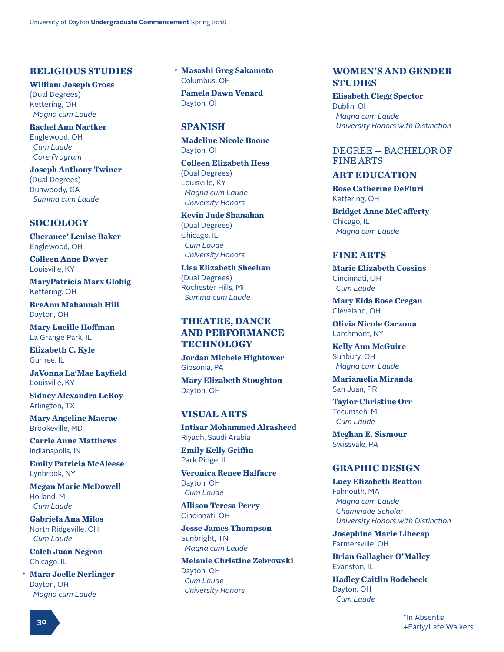## **RELIGIOUS STUDIES**

#### **William Joseph Gross**

(Dual Degrees) Kettering, OH  *Magna cum Laude*

**Rachel Ann Nartker** Englewood, OH  *Cum Laude Core Program*

**Joseph Anthony Twiner**  (Dual Degrees) Dunwoody, GA  *Summa cum Laude*

## **SOCIOLOGY**

**Cheranee' Lenise Baker** Englewood, OH

**Colleen Anne Dwyer** Louisville, KY

**MaryPatricia Marx Globig** Kettering, OH

**BreAnn Mahannah Hill** Dayton, OH

**Mary Lucille Hoffman** La Grange Park, IL

**Elizabeth C. Kyle** Gurnee, IL

**JaVonna La'Mae Layfield** Louisville, KY

**Sidney Alexandra LeRoy** Arlington, TX

**Mary Angeline Macrae** Brookeville, MD

**Carrie Anne Matthews** Indianapolis, IN

**Emily Patricia McAleese** Lynbrook, NY

**Megan Marie McDowell** Holland, MI  *Cum Laude*

**Gabriela Ana Milos** North Ridgeville, OH  *Cum Laude*

**Caleb Juan Negron** Chicago, IL

**Mara Joelle Nerlinger** \*Dayton, OH  *Magna cum Laude*

**Masashi Greg Sakamoto** \* Columbus, OH

**Pamela Dawn Venard** Dayton, OH

## **SPANISH**

**Madeline Nicole Boone** Dayton, OH

**Colleen Elizabeth Hess** (Dual Degrees) Louisville, KY  *Magna cum Laude University Honors*

**Kevin Jude Shanahan** (Dual Degrees)

Chicago, IL  *Cum Laude University Honors*

**Lisa Elizabeth Sheehan** (Dual Degrees) Rochester Hills, MI  *Summa cum Laude*

# **THEATRE, DANCE AND PERFORMANCE TECHNOLOGY**

**Jordan Michele Hightower** Gibsonia, PA

**Mary Elizabeth Stoughton** Dayton, OH

## **VISUAL ARTS**

**Intisar Mohammed Alrasheed** Riyadh, Saudi Arabia

**Emily Kelly Griffin** Park Ridge, IL

**Veronica Renee Halfacre** Dayton, OH  *Cum Laude*

**Allison Teresa Perry** Cincinnati, OH

**Jesse James Thompson** Sunbright, TN  *Magna cum Laude*

**Melanie Christine Zebrowski** Dayton, OH  *Cum Laude University Honors*

## **WOMEN'S AND GENDER STUDIES**

**Elisabeth Clegg Spector** Dublin, OH  *Magna cum Laude University Honors with Distinction*

## DEGREE — BACHELOR OF FINE ARTS

#### **ART EDUCATION**

**Rose Catherine DeFluri** Kettering, OH

**Bridget Anne McCafferty** Chicago, IL  *Magna cum Laude*

## **FINE ARTS**

**Marie Elizabeth Cossins** Cincinnati, OH  *Cum Laude*

**Mary Elda Rose Cregan** Cleveland, OH

**Olivia Nicole Garzona** Larchmont, NY

**Kelly Ann McGuire** Sunbury, OH  *Magna cum Laude*

**Mariamelia Miranda** San Juan, PR

**Taylor Christine Orr** Tecumseh, MI  *Cum Laude*

**Meghan E. Sismour** Swissvale, PA

## **GRAPHIC DESIGN**

**Lucy Elizabeth Bratton** Falmouth, MA  *Magna cum Laude Chaminade Scholar University Honors with Distinction*

**Josephine Marie Libecap** Farmersville, OH

**Brian Gallagher O'Malley** Evanston, IL

**Hadley Caitlin Rodebeck** Dayton, OH  *Cum Laude*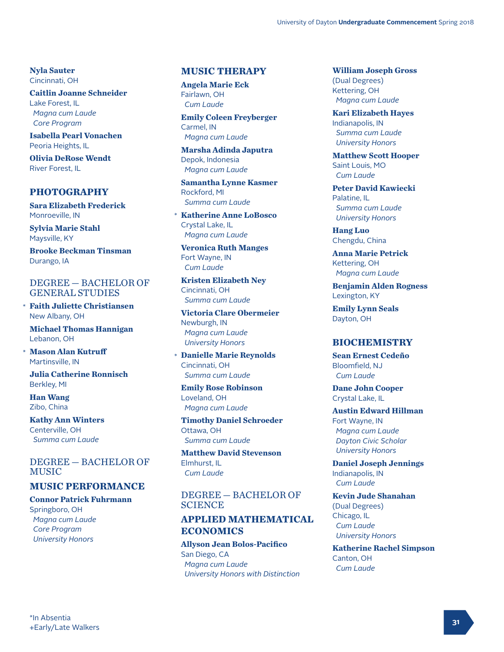**Nyla Sauter** Cincinnati, OH

**Caitlin Joanne Schneider** Lake Forest, IL  *Magna cum Laude Core Program*

**Isabella Pearl Vonachen** Peoria Heights, IL

**Olivia DeRose Wendt** River Forest, IL

## **PHOTOGRAPHY**

**Sara Elizabeth Frederick** Monroeville, IN

**Sylvia Marie Stahl** Maysville, KY

**Brooke Beckman Tinsman** Durango, IA

## DEGREE — BACHELOR OF GENERAL STUDIES

**Faith Juliette Christiansen** New Albany, OH \*

**Michael Thomas Hannigan** Lebanon, OH

**Mason Alan Kutruff** \* \* Martinsville, IN

**Julia Catherine Ronnisch** Berkley, MI

**Han Wang** Zibo, China

**Kathy Ann Winters** Centerville, OH  *Summa cum Laude*

DEGREE — BACHELOR OF MUSIC

# **MUSIC PERFORMANCE**

**Connor Patrick Fuhrmann** Springboro, OH  *Magna cum Laude Core Program University Honors*

## **MUSIC THERAPY**

**Angela Marie Eck** Fairlawn, OH  *Cum Laude* **Emily Coleen Freyberger**

Carmel, IN  *Magna cum Laude*

**Marsha Adinda Japutra** Depok, Indonesia  *Magna cum Laude*

**Samantha Lynne Kasmer** Rockford, MI  *Summa cum Laude*

**Katherine Anne LoBosco** \*Crystal Lake, IL  *Magna cum Laude*

**Veronica Ruth Manges** Fort Wayne, IN  *Cum Laude*

**Kristen Elizabeth Ney** Cincinnati, OH  *Summa cum Laude*

**Victoria Clare Obermeier** Newburgh, IN  *Magna cum Laude University Honors*

**Danielle Marie Reynolds** Cincinnati, OH  *Summa cum Laude*

**Emily Rose Robinson** Loveland, OH  *Magna cum Laude*

**Timothy Daniel Schroeder** Ottawa, OH  *Summa cum Laude*

**Matthew David Stevenson** Elmhurst, IL  *Cum Laude*

## DEGREE — BACHELOR OF SCIENCE

# **APPLIED MATHEMATICAL ECONOMICS**

**Allyson Jean Bolos-Pacifico** San Diego, CA  *Magna cum Laude University Honors with Distinction* **William Joseph Gross**  (Dual Degrees) Kettering, OH  *Magna cum Laude*

**Kari Elizabeth Hayes** Indianapolis, IN  *Summa cum Laude University Honors*

**Matthew Scott Hooper** Saint Louis, MO  *Cum Laude*

**Peter David Kawiecki** Palatine, IL  *Summa cum Laude University Honors*

**Hang Luo** Chengdu, China

**Anna Marie Petrick** Kettering, OH  *Magna cum Laude*

**Benjamin Alden Rogness**  Lexington, KY

**Emily Lynn Seals** Dayton, OH

## **BIOCHEMISTRY**

**Sean Ernest Cedeño** Bloomfield, NJ  *Cum Laude*

**Dane John Cooper** Crystal Lake, IL

## **Austin Edward Hillman** Fort Wayne, IN

 *Magna cum Laude Dayton Civic Scholar University Honors*

**Daniel Joseph Jennings** Indianapolis, IN  *Cum Laude*

**Kevin Jude Shanahan** (Dual Degrees) Chicago, IL  *Cum Laude University Honors*

**Katherine Rachel Simpson** Canton, OH  *Cum Laude*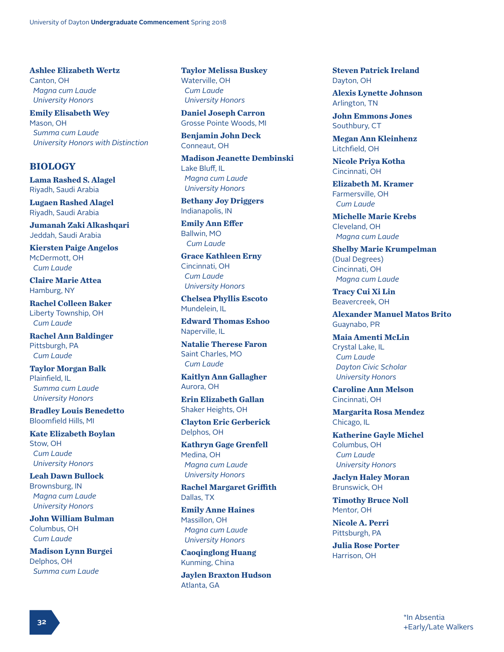**Ashlee Elizabeth Wertz** Canton, OH  *Magna cum Laude University Honors* **Emily Elisabeth Wey**

Mason, OH  *Summa cum Laude University Honors with Distinction*

## **BIOLOGY**

**Lama Rashed S. Alagel** Riyadh, Saudi Arabia

**Lugaen Rashed Alagel** Riyadh, Saudi Arabia

**Jumanah Zaki Alkashqari** Jeddah, Saudi Arabia

**Kiersten Paige Angelos** McDermott, OH  *Cum Laude* 

**Claire Marie Attea** Hamburg, NY

**Rachel Colleen Baker** Liberty Township, OH  *Cum Laude* 

**Rachel Ann Baldinger** Pittsburgh, PA  *Cum Laude* 

**Taylor Morgan Balk** Plainfield, IL  *Summa cum Laude University Honors*

**Bradley Louis Benedetto** Bloomfield Hills, MI

**Kate Elizabeth Boylan** Stow, OH  *Cum Laude University Honors*

**Leah Dawn Bullock** Brownsburg, IN  *Magna cum Laude University Honors*

**John William Bulman** Columbus, OH  *Cum Laude* 

**Madison Lynn Burgei** Delphos, OH  *Summa cum Laude* 

**Taylor Melissa Buskey** Waterville, OH  *Cum Laude University Honors*

**Daniel Joseph Carron** Grosse Pointe Woods, MI

**Benjamin John Deck** Conneaut, OH

**Madison Jeanette Dembinski** Lake Bluff, IL  *Magna cum Laude University Honors*

**Bethany Joy Driggers** Indianapolis, IN

**Emily Ann Effer** Ballwin, MO  *Cum Laude* 

**Grace Kathleen Erny** Cincinnati, OH  *Cum Laude University Honors*

**Chelsea Phyllis Escoto** Mundelein, IL

**Edward Thomas Eshoo** Naperville, IL

**Natalie Therese Faron** Saint Charles, MO  *Cum Laude* 

**Kaitlyn Ann Gallagher** Aurora, OH

**Erin Elizabeth Gallan** Shaker Heights, OH

**Clayton Eric Gerberick** Delphos, OH

**Kathryn Gage Grenfell** Medina, OH  *Magna cum Laude University Honors*

**Rachel Margaret Griffith** Dallas, TX

**Emily Anne Haines** Massillon, OH  *Magna cum Laude University Honors*

**Caoqinglong Huang** Kunming, China

**Jaylen Braxton Hudson** Atlanta, GA

**Steven Patrick Ireland** Dayton, OH

**Alexis Lynette Johnson** Arlington, TN

**John Emmons Jones** Southbury, CT

**Megan Ann Kleinhenz** Litchfield, OH

**Nicole Priya Kotha** Cincinnati, OH

**Elizabeth M. Kramer** Farmersville, OH  *Cum Laude* 

**Michelle Marie Krebs** Cleveland, OH  *Magna cum Laude* 

**Shelby Marie Krumpelman** (Dual Degrees) Cincinnati, OH  *Magna cum Laude* 

**Tracy Cui Xi Lin** Beavercreek, OH

**Alexander Manuel Matos Brito** Guaynabo, PR

**Maia Amenti McLin** Crystal Lake, IL  *Cum Laude Dayton Civic Scholar University Honors*

**Caroline Ann Melson** Cincinnati, OH

**Margarita Rosa Mendez** Chicago, IL

**Katherine Gayle Michel**  Columbus, OH  *Cum Laude University Honors*

**Jaclyn Haley Moran** Brunswick, OH

**Timothy Bruce Noll** Mentor, OH

**Nicole A. Perri** Pittsburgh, PA

**Julia Rose Porter** Harrison, OH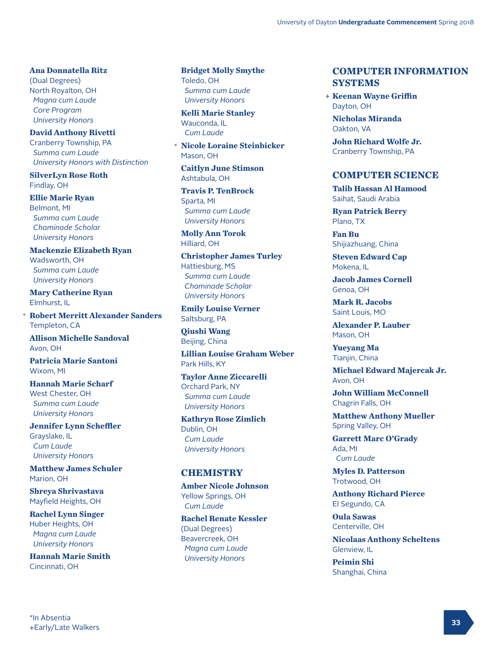# **Ana Donnatella Ritz**

(Dual Degrees) North Royalton, OH  *Magna cum Laude Core Program University Honors*

# **David Anthony Rivetti**

Cranberry Township, PA  *Summa cum Laude University Honors with Distinction*

**SilverLyn Rose Roth** Findlay, OH

# **Ellie Marie Ryan**

Belmont, MI  *Summa cum Laude Chaminade Scholar University Honors*

**Mackenzie Elizabeth Ryan** Wadsworth, OH  *Summa cum Laude University Honors*

**Mary Catherine Ryan** Elmhurst, IL

**Robert Merritt Alexander Sanders** \* Templeton, CA

**Allison Michelle Sandoval** Avon, OH

**Patricia Marie Santoni** Wixom, MI

**Hannah Marie Scharf** West Chester, OH  *Summa cum Laude University Honors*

# **Jennifer Lynn Scheffler** Grayslake, IL  *Cum Laude University Honors*

**Matthew James Schuler** Marion, OH

**Shreya Shrivastava** Mayfield Heights, OH

**Rachel Lynn Singer** Huber Heights, OH  *Magna cum Laude University Honors*

**Hannah Marie Smith** Cincinnati, OH

**Bridget Molly Smythe** Toledo, OH  *Summa cum Laude University Honors*

**Kelli Marie Stanley** Wauconda, IL  *Cum Laude* 

**Nicole Loraine Steinbicker** \* Mason, OH

**Caitlyn June Stimson** Ashtabula, OH

**Travis P. TenBrock** Sparta, MI  *Summa cum Laude University Honors*

**Molly Ann Torok** Hilliard, OH

**Christopher James Turley** Hattiesburg, MS  *Summa cum Laude Chaminade Scholar University Honors*

**Emily Louise Verner** Saltsburg, PA

**Qiushi Wang** Beijing, China

**Lillian Louise Graham Weber** Park Hills, KY

**Taylor Anne Ziccarelli** Orchard Park, NY  *Summa cum Laude University Honors*

**Kathryn Rose Zimlich** Dublin, OH  *Cum Laude University Honors*

# **CHEMISTRY**

**Amber Nicole Johnson** Yellow Springs, OH  *Cum Laude*

## **Rachel Renate Kessler**

(Dual Degrees) Beavercreek, OH  *Magna cum Laude University Honors*

## **COMPUTER INFORMATION SYSTEMS**

**Keenan Wayne Griffin** + Dayton, OH

**Nicholas Miranda** Oakton, VA

**John Richard Wolfe Jr.** Cranberry Township, PA

## **COMPUTER SCIENCE**

**Talib Hassan Al Hamood** Saihat, Saudi Arabia

**Ryan Patrick Berry** Plano, TX

**Fan Bu** Shijiazhuang, China

**Steven Edward Cap** Mokena, IL

**Jacob James Cornell** Genoa, OH

**Mark R. Jacobs** Saint Louis, MO

**Alexander P. Lauber** Mason, OH

**Yueyang Ma** Tianjin, China

**Michael Edward Majercak Jr.** Avon, OH

**John William McConnell** Chagrin Falls, OH

**Matthew Anthony Mueller** Spring Valley, OH

**Garrett Marc O'Grady** Ada, MI  *Cum Laude*

**Myles D. Patterson** Trotwood, OH

**Anthony Richard Pierce** El Segundo, CA

**Oula Sawas** Centerville, OH

**Nicolaas Anthony Scheltens** Glenview, IL

**Peimin Shi** Shanghai, China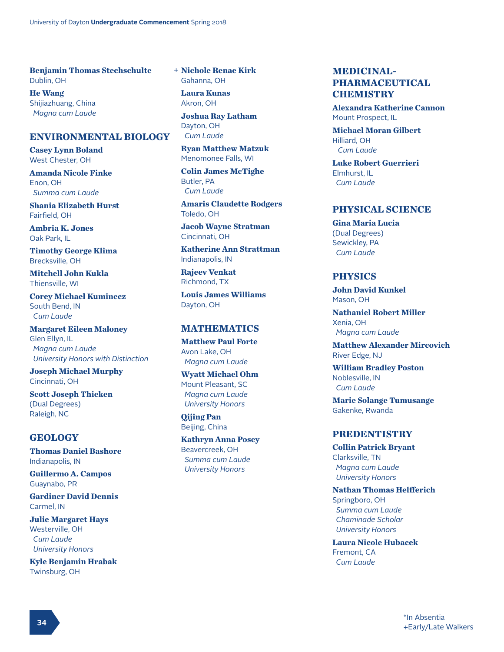**Benjamin Thomas Stechschulte** Dublin, OH

**He Wang** Shijiazhuang, China  *Magna cum Laude*

## **ENVIRONMENTAL BIOLOGY**

**Casey Lynn Boland** West Chester, OH

**Amanda Nicole Finke** Enon, OH  *Summa cum Laude*

**Shania Elizabeth Hurst** Fairfield, OH

**Ambria K. Jones** Oak Park, IL

**Timothy George Klima** Brecksville, OH

**Mitchell John Kukla** Thiensville, WI

**Corey Michael Kuminecz** South Bend, IN  *Cum Laude*

**Margaret Eileen Maloney** Glen Ellyn, IL  *Magna cum Laude University Honors with Distinction*

**Joseph Michael Murphy** Cincinnati, OH

**Scott Joseph Thieken** (Dual Degrees) Raleigh, NC

## **GEOLOGY**

**Thomas Daniel Bashore** Indianapolis, IN

**Guillermo A. Campos** Guaynabo, PR

**Gardiner David Dennis** Carmel, IN

**Julie Margaret Hays** Westerville, OH  *Cum Laude University Honors*

**Kyle Benjamin Hrabak** Twinsburg, OH

**Nichole Renae Kirk** + Gahanna, OH

**Laura Kunas** Akron, OH

**Joshua Ray Latham** Dayton, OH  *Cum Laude*

**Ryan Matthew Matzuk** Menomonee Falls, WI

**Colin James McTighe** Butler, PA  *Cum Laude*

**Amaris Claudette Rodgers** Toledo, OH

**Jacob Wayne Stratman** Cincinnati, OH

**Katherine Ann Strattman** Indianapolis, IN

**Rajeev Venkat** Richmond, TX

**Louis James Williams** Dayton, OH

## **MATHEMATICS**

**Matthew Paul Forte** Avon Lake, OH  *Magna cum Laude*

**Wyatt Michael Ohm** Mount Pleasant, SC  *Magna cum Laude University Honors*

**Qijing Pan** Beijing, China

**Kathryn Anna Posey** Beavercreek, OH  *Summa cum Laude University Honors*

# **MEDICINAL-PHARMACEUTICAL CHEMISTRY**

**Alexandra Katherine Cannon** Mount Prospect, IL

**Michael Moran Gilbert** Hilliard, OH  *Cum Laude*

**Luke Robert Guerrieri** Elmhurst, IL  *Cum Laude*

## **PHYSICAL SCIENCE**

**Gina Maria Lucia** (Dual Degrees) Sewickley, PA  *Cum Laude*

## **PHYSICS**

**John David Kunkel** Mason, OH

**Nathaniel Robert Miller**  Xenia, OH  *Magna cum Laude*

**Matthew Alexander Mircovich** River Edge, NJ

**William Bradley Poston** Noblesville, IN  *Cum Laude*

**Marie Solange Tumusange** Gakenke, Rwanda

## **PREDENTISTRY**

**Collin Patrick Bryant** Clarksville, TN  *Magna cum Laude University Honors*

**Nathan Thomas Helfferich** Springboro, OH  *Summa cum Laude Chaminade Scholar University Honors*

**Laura Nicole Hubacek** Fremont, CA  *Cum Laude*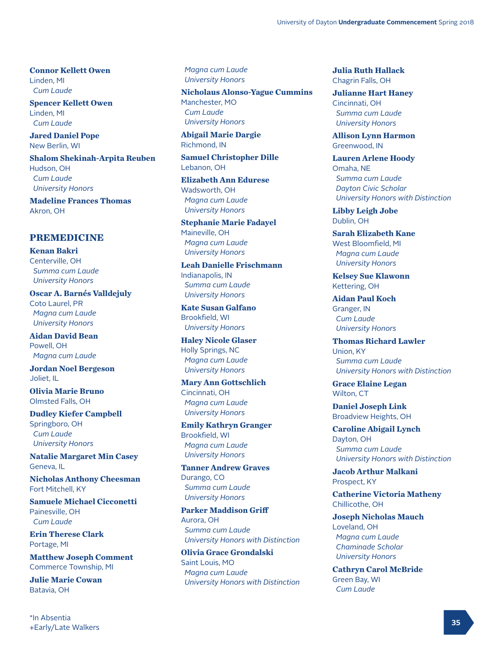**Connor Kellett Owen** Linden, MI  *Cum Laude* 

**Spencer Kellett Owen** Linden, MI  *Cum Laude*

**Jared Daniel Pope** New Berlin, WI

**Shalom Shekinah-Arpita Reuben** Hudson, OH  *Cum Laude University Honors*

**Madeline Frances Thomas** Akron, OH

## **PREMEDICINE**

**Kenan Bakri** Centerville, OH  *Summa cum Laude University Honors*

**Oscar A. Barnés Valldejuly**

Coto Laurel, PR  *Magna cum Laude University Honors*

**Aidan David Bean** Powell, OH  *Magna cum Laude*

**Jordan Noel Bergeson** Joliet, IL

**Olivia Marie Bruno** Olmsted Falls, OH

**Dudley Kiefer Campbell** Springboro, OH  *Cum Laude University Honors*

**Natalie Margaret Min Casey** Geneva, IL

**Nicholas Anthony Cheesman** Fort Mitchell, KY

**Samuele Michael Cicconetti** Painesville, OH  *Cum Laude*

**Erin Therese Clark** Portage, MI

**Matthew Joseph Comment** Commerce Township, MI

**Julie Marie Cowan** Batavia, OH

 *Magna cum Laude University Honors*

**Nicholaus Alonso-Yague Cummins** Manchester, MO  *Cum Laude University Honors*

**Abigail Marie Dargie** Richmond, IN

**Samuel Christopher Dille** Lebanon, OH

**Elizabeth Ann Edurese** Wadsworth, OH  *Magna cum Laude University Honors*

**Stephanie Marie Fadayel** Maineville, OH  *Magna cum Laude University Honors*

**Leah Danielle Frischmann** Indianapolis, IN  *Summa cum Laude University Honors*

**Kate Susan Galfano** Brookfield, WI  *University Honors*

**Haley Nicole Glaser** Holly Springs, NC  *Magna cum Laude University Honors*

**Mary Ann Gottschlich** Cincinnati, OH  *Magna cum Laude University Honors*

**Emily Kathryn Granger** Brookfield, WI  *Magna cum Laude University Honors*

**Tanner Andrew Graves** Durango, CO  *Summa cum Laude University Honors*

**Parker Maddison Griff** Aurora, OH  *Summa cum Laude University Honors with Distinction*

**Olivia Grace Grondalski** Saint Louis, MO  *Magna cum Laude University Honors with Distinction* **Julia Ruth Hallack** Chagrin Falls, OH

**Julianne Hart Haney** Cincinnati, OH  *Summa cum Laude University Honors*

**Allison Lynn Harmon** Greenwood, IN

**Lauren Arlene Hoody** Omaha, NE  *Summa cum Laude*

 *Dayton Civic Scholar University Honors with Distinction* **Libby Leigh Jobe**

Dublin, OH

**Sarah Elizabeth Kane** West Bloomfield, MI  *Magna cum Laude University Honors*

**Kelsey Sue Klawonn** Kettering, OH

**Aidan Paul Koch** Granger, IN  *Cum Laude University Honors*

**Thomas Richard Lawler** Union, KY  *Summa cum Laude University Honors with Distinction*

**Grace Elaine Legan** Wilton, CT

**Daniel Joseph Link** Broadview Heights, OH

**Caroline Abigail Lynch** Dayton, OH  *Summa cum Laude University Honors with Distinction*

**Jacob Arthur Malkani** Prospect, KY

**Catherine Victoria Matheny** Chillicothe, OH

**Joseph Nicholas Mauch** Loveland, OH  *Magna cum Laude Chaminade Scholar University Honors*

**Cathryn Carol McBride** Green Bay, WI  *Cum Laude*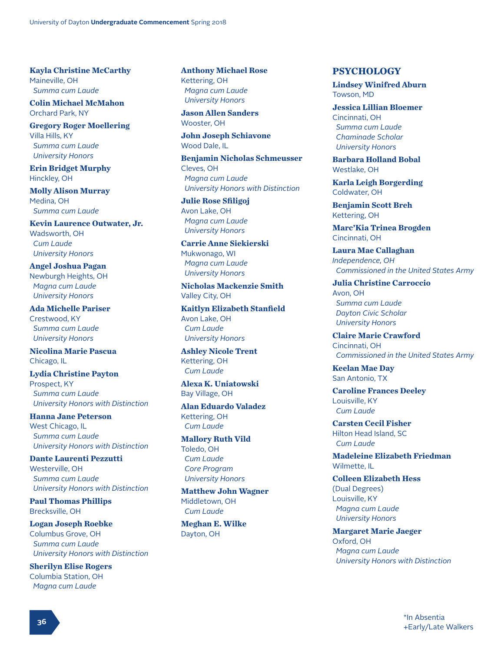**Kayla Christine McCarthy** Maineville, OH  *Summa cum Laude*

**Colin Michael McMahon** Orchard Park, NY

**Gregory Roger Moellering** Villa Hills, KY  *Summa cum Laude University Honors*

**Erin Bridget Murphy** Hinckley, OH

**Molly Alison Murray** Medina, OH  *Summa cum Laude*

**Kevin Laurence Outwater, Jr.** Wadsworth, OH  *Cum Laude University Honors*

**Angel Joshua Pagan** Newburgh Heights, OH  *Magna cum Laude University Honors*

**Ada Michelle Pariser** Crestwood, KY  *Summa cum Laude University Honors*

**Nicolina Marie Pascua** Chicago, IL

**Lydia Christine Payton** Prospect, KY  *Summa cum Laude University Honors with Distinction*

**Hanna Jane Peterson** West Chicago, IL  *Summa cum Laude University Honors with Distinction*

**Dante Laurenti Pezzutti** Westerville, OH  *Summa cum Laude University Honors with Distinction*

**Paul Thomas Phillips** Brecksville, OH

**Logan Joseph Roebke** Columbus Grove, OH  *Summa cum Laude University Honors with Distinction*

**Sherilyn Elise Rogers** Columbia Station, OH  *Magna cum Laude*

**Anthony Michael Rose** Kettering, OH  *Magna cum Laude University Honors*

**Jason Allen Sanders** Wooster, OH

**John Joseph Schiavone** Wood Dale, IL

**Benjamin Nicholas Schmeusser** Cleves, OH  *Magna cum Laude University Honors with Distinction*

**Julie Rose Sfiligoj** Avon Lake, OH  *Magna cum Laude University Honors*

**Carrie Anne Siekierski** Mukwonago, WI  *Magna cum Laude University Honors*

**Nicholas Mackenzie Smith** Valley City, OH

**Kaitlyn Elizabeth Stanfield** Avon Lake, OH  *Cum Laude University Honors*

**Ashley Nicole Trent** Kettering, OH  *Cum Laude*

**Alexa K. Uniatowski** Bay Village, OH

**Alan Eduardo Valadez** Kettering, OH  *Cum Laude*

**Mallory Ruth Vild** Toledo, OH  *Cum Laude Core Program University Honors*

**Matthew John Wagner** Middletown, OH  *Cum Laude*

**Meghan E. Wilke** Dayton, OH

#### **PSYCHOLOGY**

**Lindsey Winifred Aburn** Towson, MD

**Jessica Lillian Bloemer** Cincinnati, OH  *Summa cum Laude Chaminade Scholar University Honors*

**Barbara Holland Bobal** Westlake, OH

**Karla Leigh Borgerding** Coldwater, OH

**Benjamin Scott Breh** Kettering, OH

**Marc'Kia Trinea Brogden** Cincinnati, OH

**Laura Mae Callaghan** *Independence, OH Commissioned in the United States Army*

**Julia Christine Carroccio** Avon, OH  *Summa cum Laude Dayton Civic Scholar University Honors*

**Claire Marie Crawford** Cincinnati, OH  *Commissioned in the United States Army*

**Keelan Mae Day** San Antonio, TX

**Caroline Frances Deeley** Louisville, KY  *Cum Laude* 

**Carsten Cecil Fisher** Hilton Head Island, SC  *Cum Laude* 

**Madeleine Elizabeth Friedman** Wilmette, IL

**Colleen Elizabeth Hess**  (Dual Degrees) Louisville, KY  *Magna cum Laude University Honors*

**Margaret Marie Jaeger** Oxford, OH  *Magna cum Laude University Honors with Distinction*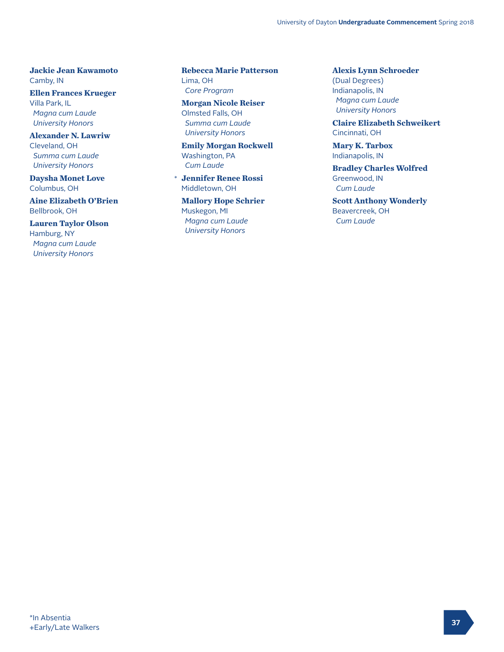**Jackie Jean Kawamoto** Camby, IN

**Ellen Frances Krueger** Villa Park, IL  *Magna cum Laude University Honors*

**Alexander N. Lawriw** Cleveland, OH  *Summa cum Laude University Honors*

**Daysha Monet Love** Columbus, OH

**Aine Elizabeth O'Brien** Bellbrook, OH

**Lauren Taylor Olson** Hamburg, NY  *Magna cum Laude University Honors*

**Rebecca Marie Patterson** Lima, OH  *Core Program*

**Morgan Nicole Reiser** Olmsted Falls, OH  *Summa cum Laude University Honors*

**Emily Morgan Rockwell** Washington, PA  *Cum Laude*

**Jennifer Renee Rossi** \* Middletown, OH

**Mallory Hope Schrier** Muskegon, MI  *Magna cum Laude University Honors*

**Alexis Lynn Schroeder**

(Dual Degrees) Indianapolis, IN  *Magna cum Laude University Honors*

**Claire Elizabeth Schweikert** Cincinnati, OH

**Mary K. Tarbox** Indianapolis, IN

**Bradley Charles Wolfred** Greenwood, IN  *Cum Laude* 

**Scott Anthony Wonderly** Beavercreek, OH  *Cum Laude*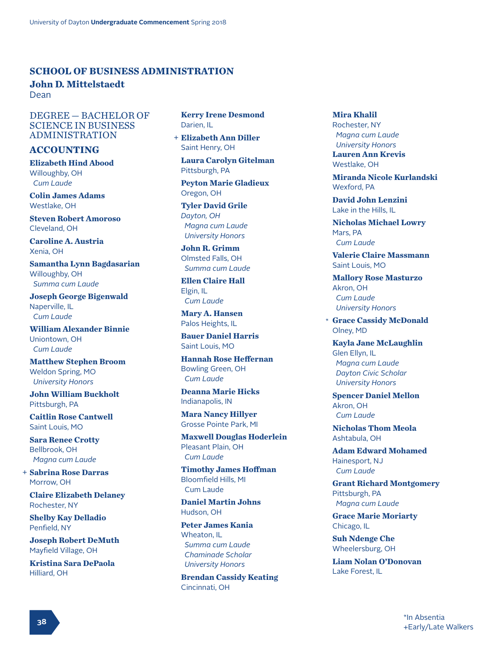# **SCHOOL OF BUSINESS ADMINISTRATION**

**John D. Mittelstaedt** 

Dean

## DEGREE — BACHELOR OF SCIENCE IN BUSINESS ADMINISTRATION

# **ACCOUNTING**

**Elizabeth Hind Abood** Willoughby, OH  *Cum Laude* 

**Colin James Adams** Westlake, OH

**Steven Robert Amoroso** Cleveland, OH

**Caroline A. Austria** Xenia, OH

**Samantha Lynn Bagdasarian** Willoughby, OH  *Summa cum Laude* 

**Joseph George Bigenwald** Naperville, IL  *Cum Laude* 

**William Alexander Binnie** Uniontown, OH  *Cum Laude* 

**Matthew Stephen Broom** Weldon Spring, MO  *University Honors*

**John William Buckholt** Pittsburgh, PA

**Caitlin Rose Cantwell** Saint Louis, MO

**Sara Renee Crotty** Bellbrook, OH  *Magna cum Laude* 

**Sabrina Rose Darras** + Morrow, OH

**Claire Elizabeth Delaney** Rochester, NY

**Shelby Kay Delladio** Penfield, NY

**Joseph Robert DeMuth** Mayfield Village, OH

**Kristina Sara DePaola** Hilliard, OH

**Kerry Irene Desmond** Darien, IL

**Elizabeth Ann Diller** + Saint Henry, OH

**Laura Carolyn Gitelman** Pittsburgh, PA

**Peyton Marie Gladieux** Oregon, OH

**Tyler David Grile** *Dayton, OH Magna cum Laude University Honors*

**John R. Grimm** Olmsted Falls, OH  *Summa cum Laude* 

**Ellen Claire Hall** Elgin, IL  *Cum Laude* 

**Mary A. Hansen** Palos Heights, IL

**Bauer Daniel Harris** Saint Louis, MO

**Hannah Rose Heffernan** Bowling Green, OH  *Cum Laude* 

**Deanna Marie Hicks** Indianapolis, IN

**Mara Nancy Hillyer** Grosse Pointe Park, MI

**Maxwell Douglas Hoderlein** Pleasant Plain, OH  *Cum Laude* 

**Timothy James Hoffman** Bloomfield Hills, MI Cum Laude

**Daniel Martin Johns** Hudson, OH

**Peter James Kania** Wheaton, IL  *Summa cum Laude Chaminade Scholar University Honors*

**Brendan Cassidy Keating** Cincinnati, OH

#### **Mira Khalil**

Rochester, NY  *Magna cum Laude University Honors* **Lauren Ann Krevis**

Westlake, OH

**Miranda Nicole Kurlandski** Wexford, PA

**David John Lenzini** Lake in the Hills, IL

**Nicholas Michael Lowry** Mars, PA  *Cum Laude* 

**Valerie Claire Massmann** Saint Louis, MO

**Mallory Rose Masturzo** Akron, OH  *Cum Laude University Honors*

**Grace Cassidy McDonald** \* Olney, MD

**Kayla Jane McLaughlin** Glen Ellyn, IL  *Magna cum Laude Dayton Civic Scholar University Honors*

**Spencer Daniel Mellon** Akron, OH  *Cum Laude* 

**Nicholas Thom Meola** Ashtabula, OH

**Adam Edward Mohamed** Hainesport, NJ  *Cum Laude* 

**Grant Richard Montgomery** Pittsburgh, PA  *Magna cum Laude* 

**Grace Marie Moriarty** Chicago, IL

**Suh Ndenge Che** Wheelersburg, OH

**Liam Nolan O'Donovan** Lake Forest, IL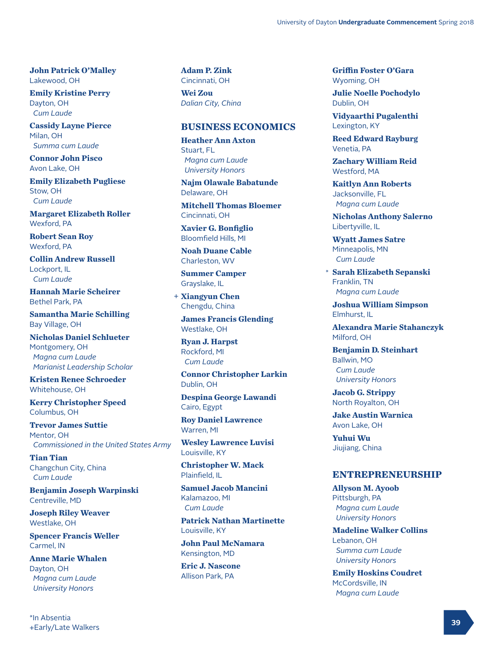**John Patrick O'Malley** Lakewood, OH

**Emily Kristine Perry** Dayton, OH  *Cum Laude* 

**Cassidy Layne Pierce** Milan, OH  *Summa cum Laude* 

**Connor John Pisco** Avon Lake, OH

**Emily Elizabeth Pugliese** Stow, OH  *Cum Laude* 

**Margaret Elizabeth Roller** Wexford, PA

**Robert Sean Roy** Wexford, PA

**Collin Andrew Russell** Lockport, IL  *Cum Laude* 

**Hannah Marie Scheirer** Bethel Park, PA

**Samantha Marie Schilling** Bay Village, OH

**Nicholas Daniel Schlueter** Montgomery, OH  *Magna cum Laude Marianist Leadership Scholar*

**Kristen Renee Schroeder** Whitehouse, OH

**Kerry Christopher Speed** Columbus, OH

**Trevor James Suttie** Mentor, OH  *Commissioned in the United States Army*

**Tian Tian** Changchun City, China  *Cum Laude* 

**Benjamin Joseph Warpinski** Centreville, MD

**Joseph Riley Weaver** Westlake, OH

**Spencer Francis Weller** Carmel, IN

**Anne Marie Whalen** Dayton, OH  *Magna cum Laude University Honors*

**Adam P. Zink** Cincinnati, OH

**Wei Zou** *Dalian City, China*

## **BUSINESS ECONOMICS**

**Heather Ann Axton** Stuart, FL  *Magna cum Laude University Honors*

**Najm Olawale Babatunde** Delaware, OH

**Mitchell Thomas Bloemer** Cincinnati, OH

**Xavier G. Bonfiglio** Bloomfield Hills, MI

**Noah Duane Cable** Charleston, WV

**Summer Camper** Grayslake, IL

**Xiangyun Chen** + Chengdu, China

**James Francis Glending** Westlake, OH

**Ryan J. Harpst** Rockford, MI  *Cum Laude* 

**Connor Christopher Larkin** Dublin, OH

**Despina George Lawandi** Cairo, Egypt

**Roy Daniel Lawrence** Warren, MI

**Wesley Lawrence Luvisi** Louisville, KY

**Christopher W. Mack** Plainfield, IL

**Samuel Jacob Mancini** Kalamazoo, MI  *Cum Laude* 

**Patrick Nathan Martinette** Louisville, KY

**John Paul McNamara** Kensington, MD

**Eric J. Nascone** Allison Park, PA

**Griffin Foster O'Gara** Wyoming, OH

**Julie Noelle Pochodylo** Dublin, OH

**Vidyaarthi Pugalenthi** Lexington, KY

**Reed Edward Rayburg** Venetia, PA

**Zachary William Reid** Westford, MA

**Kaitlyn Ann Roberts** Jacksonville, FL  *Magna cum Laude* 

**Nicholas Anthony Salerno** Libertyville, IL

**Wyatt James Satre** Minneapolis, MN  *Cum Laude* 

**Sarah Elizabeth Sepanski** \*Franklin, TN  *Magna cum Laude*

**Joshua William Simpson** Elmhurst, IL

**Alexandra Marie Stahanczyk** Milford, OH

**Benjamin D. Steinhart** Ballwin, MO  *Cum Laude University Honors*

**Jacob G. Strippy** North Royalton, OH

**Jake Austin Warnica** Avon Lake, OH

**Yuhui Wu** Jiujiang, China

## **ENTREPRENEURSHIP**

**Allyson M. Ayoob** Pittsburgh, PA  *Magna cum Laude University Honors*

**Madeline Walker Collins** Lebanon, OH  *Summa cum Laude University Honors*

**Emily Hoskins Coudret** McCordsville, IN  *Magna cum Laude*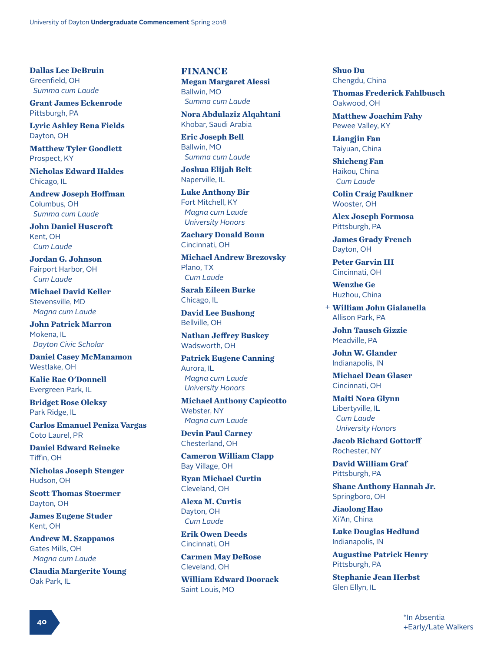**Dallas Lee DeBruin** Greenfield, OH  *Summa cum Laude*

**Grant James Eckenrode** Pittsburgh, PA

**Lyric Ashley Rena Fields** Dayton, OH

**Matthew Tyler Goodlett** Prospect, KY

**Nicholas Edward Haldes** Chicago, IL

**Andrew Joseph Hoffman** Columbus, OH  *Summa cum Laude*

**John Daniel Huscroft** Kent, OH  *Cum Laude*

**Jordan G. Johnson** Fairport Harbor, OH  *Cum Laude*

**Michael David Keller** Stevensville, MD  *Magna cum Laude*

**John Patrick Marron** Mokena, IL  *Dayton Civic Scholar*

**Daniel Casey McManamon** Westlake, OH

**Kalie Rae O'Donnell** Evergreen Park, IL

**Bridget Rose Oleksy** Park Ridge, IL

**Carlos Emanuel Peniza Vargas** Coto Laurel, PR

**Daniel Edward Reineke** Tiffin, OH

**Nicholas Joseph Stenger** Hudson, OH

**Scott Thomas Stoermer** Dayton, OH

**James Eugene Studer** Kent, OH

**Andrew M. Szappanos** Gates Mills, OH  *Magna cum Laude*

**Claudia Margerite Young** Oak Park, IL

**FINANCE Megan Margaret Alessi** Ballwin, MO  *Summa cum Laude*

**Nora Abdulaziz Alqahtani** Khobar, Saudi Arabia

**Eric Joseph Bell** Ballwin, MO  *Summa cum Laude*

**Joshua Elijah Belt** Naperville, IL

**Luke Anthony Bir** Fort Mitchell, KY  *Magna cum Laude University Honors*

**Zachary Donald Bonn** Cincinnati, OH

**Michael Andrew Brezovsky** Plano, TX  *Cum Laude*

**Sarah Eileen Burke** Chicago, IL

**David Lee Bushong** Bellville, OH

**Nathan Jeffrey Buskey** Wadsworth, OH

**Patrick Eugene Canning** Aurora, IL  *Magna cum Laude University Honors*

**Michael Anthony Capicotto** Webster, NY  *Magna cum Laude*

**Devin Paul Carney** Chesterland, OH

**Cameron William Clapp** Bay Village, OH

**Ryan Michael Curtin** Cleveland, OH

**Alexa M. Curtis** Dayton, OH  *Cum Laude*

**Erik Owen Deeds** Cincinnati, OH

**Carmen May DeRose** Cleveland, OH

**William Edward Doorack** Saint Louis, MO

**Shuo Du** Chengdu, China

**Thomas Frederick Fahlbusch** Oakwood, OH

**Matthew Joachim Fahy** Pewee Valley, KY

**Liangjin Fan** Taiyuan, China

**Shicheng Fan** Haikou, China  *Cum Laude*

**Colin Craig Faulkner** Wooster, OH

**Alex Joseph Formosa** Pittsburgh, PA

**James Grady French** Dayton, OH

**Peter Garvin III** Cincinnati, OH

**Wenzhe Ge** Huzhou, China

**William John Gialanella** + Allison Park, PA

**John Tausch Gizzie** Meadville, PA

**John W. Glander** Indianapolis, IN

**Michael Dean Glaser** Cincinnati, OH

**Maiti Nora Glynn** Libertyville, IL  *Cum Laude University Honors*

**Jacob Richard Gottorff** Rochester, NY

**David William Graf** Pittsburgh, PA

**Shane Anthony Hannah Jr.** Springboro, OH

**Jiaolong Hao** Xi'An, China

**Luke Douglas Hedlund** Indianapolis, IN

**Augustine Patrick Henry** Pittsburgh, PA

**Stephanie Jean Herbst** Glen Ellyn, IL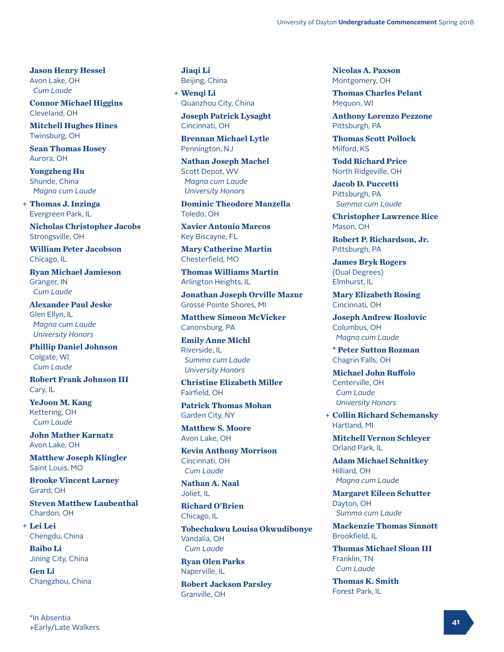**Jason Henry Hessel** Avon Lake, OH  *Cum Laude*

**Connor Michael Higgins** Cleveland, OH

**Mitchell Hughes Hines** Twinsburg, OH

**Sean Thomas Hosey** Aurora, OH

**Yongzheng Hu** Shunde, China  *Magna cum Laude*

**Thomas J. Inzinga** + Evergreen Park, IL

**Nicholas Christopher Jacobs** Strongsville, OH

**William Peter Jacobson** Chicago, IL

**Ryan Michael Jamieson** Granger, IN  *Cum Laude*

**Alexander Paul Jeske** Glen Ellyn, IL  *Magna cum Laude University Honors*

**Phillip Daniel Johnson** Colgate, WI  *Cum Laude*

**Robert Frank Johnson III** Cary, IL

**YeJoon M. Kang** Kettering, OH  *Cum Laude*

**John Mather Karnatz** Avon Lake, OH

**Matthew Joseph Klingler** Saint Louis, MO

**Brooke Vincent Larney** Girard, OH

**Steven Matthew Laubenthal** Chardon, OH

**Lei Lei** + Chengdu, China

**Baibo Li** Jining City, China

**Gen Li** Changzhou, China **Jiaqi Li** Beijing, China

**Wenqi Li** + Quanzhou City, China **Joseph Patrick Lysaght**

Cincinnati, OH

**Brennan Michael Lytle** Pennington, NJ

**Nathan Joseph Machel** Scott Depot, WV  *Magna cum Laude University Honors*

**Dominic Theodore Manzella** Toledo, OH

**Xavier Antonio Marcos** Key Biscayne, FL

**Mary Catherine Martin** Chesterfield, MO

**Thomas Williams Martin** Arlington Heights, IL

**Jonathan Joseph Orville Mazur** Grosse Pointe Shores, MI

**Matthew Simeon McVicker** Canonsburg, PA

**Emily Anne Michl** Riverside, IL  *Summa cum Laude University Honors*

**Christine Elizabeth Miller** Fairfield, OH

**Patrick Thomas Mohan** Garden City, NY

**Matthew S. Moore** Avon Lake, OH

**Kevin Anthony Morrison** Cincinnati, OH  *Cum Laude*

**Nathan A. Naal** Joliet, IL

**Richard O'Brien** Chicago, IL

**Tobechukwu Louisa Okwudibonye** Vandalia, OH  *Cum Laude*

**Ryan Olen Parks** Naperville, IL

**Robert Jackson Parsley** Granville, OH

**Nicolas A. Paxson** Montgomery, OH

**Thomas Charles Pelant** Mequon, WI

**Anthony Lorenzo Pezzone** Pittsburgh, PA

**Thomas Scott Pollock** Milford, KS

**Todd Richard Price** North Ridgeville, OH

**Jacob D. Puccetti** Pittsburgh, PA  *Summa cum Laude*

**Christopher Lawrence Rice** Mason, OH

**Robert P. Richardson, Jr.** Pittsburgh, PA

**James Bryk Rogers**  (Dual Degrees) Elmhurst, IL

**Mary Elizabeth Rosing** Cincinnati, OH

**Joseph Andrew Roslovic** Columbus, OH  *Magna cum Laude*

**\* Peter Sutton Rozman** Chagrin Falls, OH

**Michael John Ruffolo** Centerville, OH  *Cum Laude University Honors*

**Collin Richard Schemansky** + Hartland, MI

**Mitchell Vernon Schleyer** Orland Park, IL

**Adam Michael Schnitkey** Hilliard, OH  *Magna cum Laude*

**Margaret Eileen Schutter** Dayton, OH  *Summa cum Laude*

**Mackenzie Thomas Sinnott** Brookfield, IL

**Thomas Michael Sloan III** Franklin, TN  *Cum Laude*

**Thomas K. Smith** Forest Park, IL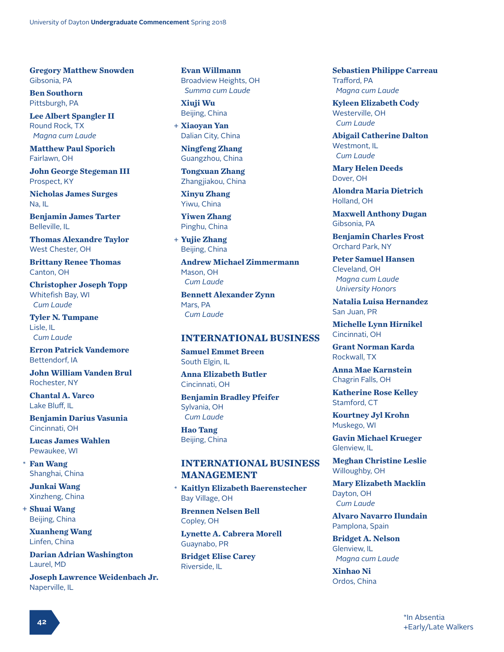**Gregory Matthew Snowden** Gibsonia, PA

**Ben Southorn** Pittsburgh, PA

**Lee Albert Spangler II** Round Rock, TX  *Magna cum Laude*

**Matthew Paul Sporich** Fairlawn, OH

**John George Stegeman III** Prospect, KY

**Nicholas James Surges** Na, IL

**Benjamin James Tarter** Belleville, IL

**Thomas Alexandre Taylor** West Chester, OH

**Brittany Renee Thomas** Canton, OH

**Christopher Joseph Topp** Whitefish Bay, WI  *Cum Laude*

**Tyler N. Tumpane** Lisle, IL  *Cum Laude*

**Erron Patrick Vandemore** Bettendorf IA

**John William Vanden Brul** Rochester, NY

**Chantal A. Varco** Lake Bluff, IL

**Benjamin Darius Vasunia** Cincinnati, OH

**Lucas James Wahlen** Pewaukee, WI

**Fan Wang** \* Shanghai, China

**Junkai Wang** Xinzheng, China

**Shuai Wang** + Beijing, China

**Xuanheng Wang** Linfen, China

**Darian Adrian Washington** Laurel, MD

**Joseph Lawrence Weidenbach Jr.** Naperville, IL

**Evan Willmann** Broadview Heights, OH  *Summa cum Laude*

**Xiuji Wu** Beijing, China

**Xiaoyan Yan** + Dalian City, China

**Ningfeng Zhang** Guangzhou, China

**Tongxuan Zhang** Zhangjiakou, China

**Xinyu Zhang** Yiwu, China

**Yiwen Zhang** Pinghu, China

**Yujie Zhang** + Beijing, China

> **Andrew Michael Zimmermann** Mason, OH  *Cum Laude*

**Bennett Alexander Zynn** Mars, PA  *Cum Laude*

## **INTERNATIONAL BUSINESS**

**Samuel Emmet Breen** South Elgin, IL

**Anna Elizabeth Butler** Cincinnati, OH

**Benjamin Bradley Pfeifer** Sylvania, OH  *Cum Laude*

**Hao Tang** Beijing, China

# **INTERNATIONAL BUSINESS MANAGEMENT**

**Kaitlyn Elizabeth Baerenstecher** Bay Village, OH \*

**Brennen Nelsen Bell** Copley, OH

**Lynette A. Cabrera Morell** Guaynabo, PR

**Bridget Elise Carey** Riverside, IL

**Sebastien Philippe Carreau** Trafford, PA  *Magna cum Laude*

**Kyleen Elizabeth Cody** Westerville, OH  *Cum Laude*

**Abigail Catherine Dalton** Westmont, IL  *Cum Laude*

**Mary Helen Deeds** Dover, OH

**Alondra Maria Dietrich** Holland, OH

**Maxwell Anthony Dugan** Gibsonia, PA

**Benjamin Charles Frost** Orchard Park, NY

**Peter Samuel Hansen** Cleveland, OH  *Magna cum Laude University Honors*

**Natalia Luisa Hernandez** San Juan, PR

**Michelle Lynn Hirnikel** Cincinnati, OH

**Grant Norman Karda** Rockwall, TX

**Anna Mae Karnstein** Chagrin Falls, OH

**Katherine Rose Kelley** Stamford, CT

**Kourtney Jyl Krohn** Muskego, WI

**Gavin Michael Krueger** Glenview, IL

**Meghan Christine Leslie** Willoughby, OH

**Mary Elizabeth Macklin** Dayton, OH  *Cum Laude*

**Alvaro Navarro Ilundain** Pamplona, Spain

**Bridget A. Nelson** Glenview, IL  *Magna cum Laude*

**Xinhao Ni** Ordos, China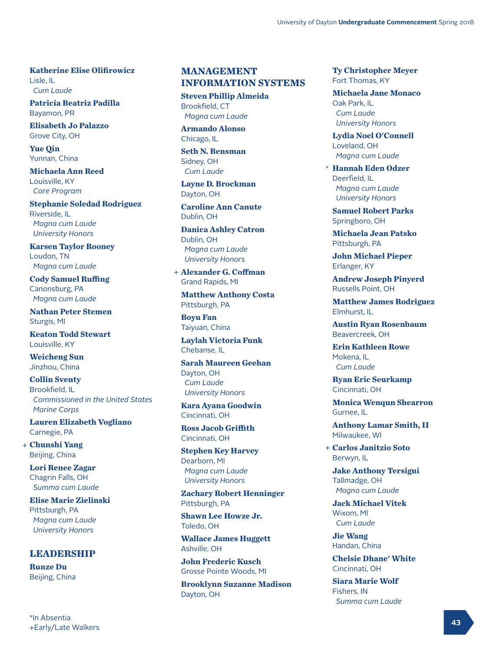## **Katherine Elise Olifirowicz** Lisle, IL  *Cum Laude*

**Patricia Beatriz Padilla** Bayamon, PR

**Elisabeth Jo Palazzo** Grove City, OH

**Yue Qin** Yunnan, China

**Michaela Ann Reed** Louisville, KY  *Core Program*

**Stephanie Soledad Rodriguez** Riverside, IL  *Magna cum Laude University Honors*

**Karsen Taylor Rooney** Loudon, TN  *Magna cum Laude*

**Cody Samuel Ruffing** Canonsburg, PA  *Magna cum Laude*

**Nathan Peter Stemen** Sturgis, MI

**Keaton Todd Stewart** Louisville, KY

**Weicheng Sun** Jinzhou, China

**Collin Sventy** Brookfield, IL  *Commissioned in the United States Marine Corps* 

**Lauren Elizabeth Vogliano** Carnegie, PA

**Chunshi Yang** + Beijing, China

**Lori Renee Zagar** Chagrin Falls, OH  *Summa cum Laude*

**Elise Marie Zielinski** Pittsburgh, PA  *Magna cum Laude University Honors*

## **LEADERSHIP**

**Runze Du** Beijing, China

## **MANAGEMENT INFORMATION SYSTEMS**

**Steven Phillip Almeida** Brookfield, CT  *Magna cum Laude*

**Armando Alonso** Chicago, IL

**Seth N. Bensman** Sidney, OH  *Cum Laude*

**Layne D. Brockman** Dayton, OH

**Caroline Ann Canute** Dublin, OH

**Danica Ashley Catron** Dublin, OH  *Magna cum Laude University Honors*

**Alexander G. Coffman** + Grand Rapids, MI

**Matthew Anthony Costa** Pittsburgh, PA

**Boyu Fan** Taiyuan, China

**Laylah Victoria Funk** Chebanse, IL

**Sarah Maureen Geehan** Dayton, OH  *Cum Laude University Honors*

**Kara Ayana Goodwin** Cincinnati, OH

**Ross Jacob Griffith** Cincinnati, OH

**Stephen Key Harvey** Dearborn, MI  *Magna cum Laude University Honors*

**Zachary Robert Henninger** Pittsburgh, PA

**Shawn Lee Howze Jr.** Toledo, OH

**Wallace James Huggett** Ashville, OH

**John Frederic Kusch** Grosse Pointe Woods, MI

**Brooklynn Suzanne Madison** Dayton, OH

## **Ty Christopher Meyer** Fort Thomas, KY

**Michaela Jane Monaco** Oak Park, IL  *Cum Laude University Honors*

**Lydia Noel O'Connell** Loveland, OH  *Magna cum Laude*

**Hannah Eden Odzer** \* Deerfield, IL  *Magna cum Laude University Honors*

**Samuel Robert Parks** Springboro, OH

**Michaela Jean Patsko** Pittsburgh, PA

**John Michael Pieper** Erlanger, KY

**Andrew Joseph Pinyerd** Russells Point, OH

**Matthew James Rodriguez** Elmhurst, IL

**Austin Ryan Rosenbaum** Beavercreek, OH

**Erin Kathleen Rowe** Mokena, IL  *Cum Laude*

**Ryan Eric Seurkamp** Cincinnati, OH

**Monica Wenqun Shearron** Gurnee, IL

**Anthony Lamar Smith, II** Milwaukee, WI

**Carlos Janitzio Soto** + Berwyn, IL

**Jake Anthony Tersigni** Tallmadge, OH  *Magna cum Laude*

**Jack Michael Vitek** Wixom, MI  *Cum Laude*

**Jie Wang** Handan, China

**Chelsie Dhane' White** Cincinnati, OH

**Siara Marie Wolf** Fishers, IN  *Summa cum Laude*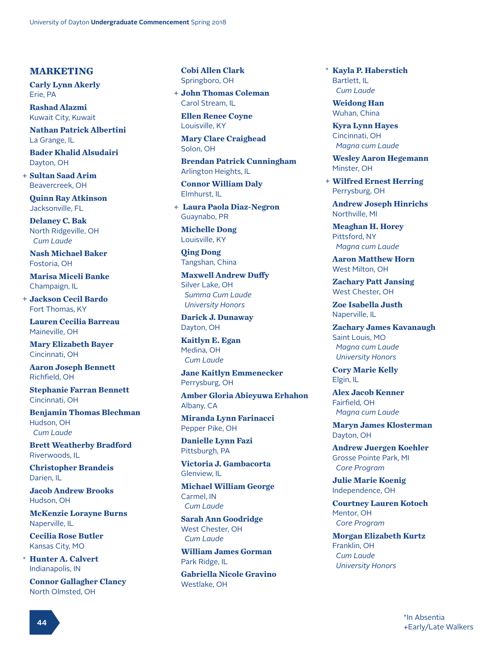### **MARKETING**

**Carly Lynn Akerly** Erie, PA

**Rashad Alazmi** Kuwait City, Kuwait

**Nathan Patrick Albertini** La Grange, IL

**Bader Khalid Alsudairi** Dayton, OH

**Sultan Saad Arim** + Beavercreek, OH

**Quinn Ray Atkinson** Jacksonville, FL

**Delaney C. Bak** North Ridgeville, OH  *Cum Laude*

**Nash Michael Baker** Fostoria, OH

**Marisa Miceli Banke** Champaign, IL

**Jackson Cecil Bardo** + Fort Thomas, KY

**Lauren Cecilia Barreau** Maineville, OH

**Mary Elizabeth Bayer** Cincinnati, OH

**Aaron Joseph Bennett** Richfield, OH

**Stephanie Farran Bennett** Cincinnati, OH

**Benjamin Thomas Blechman** Hudson, OH  *Cum Laude*

**Brett Weatherby Bradford** Riverwoods, IL

**Christopher Brandeis** Darien, IL

**Jacob Andrew Brooks** Hudson, OH

**McKenzie Lorayne Burns** Naperville, IL

**Cecilia Rose Butler** Kansas City, MO

**Hunter A. Calvert** \* Indianapolis, IN

**Connor Gallagher Clancy** North Olmsted, OH

**Cobi Allen Clark** Springboro, OH

**John Thomas Coleman** + Carol Stream, IL

**Ellen Renee Coyne** Louisville, KY

**Mary Clare Craighead** Solon, OH

**Brendan Patrick Cunningham** Arlington Heights, IL

**Connor William Daly** Elmhurst, IL

 **Laura Paola Diaz-Negron** + Guaynabo, PR

**Michelle Dong** Louisville, KY

**Qing Dong** Tangshan, China

**Maxwell Andrew Duffy** Silver Lake, OH  *Summa Cum Laude University Honors*

**Darick J. Dunaway** Dayton, OH

**Kaitlyn E. Egan** Medina, OH  *Cum Laude*

**Jane Kaitlyn Emmenecker** Perrysburg, OH

**Amber Gloria Abieyuwa Erhahon** Albany, CA

**Miranda Lynn Farinacci** Pepper Pike, OH

**Danielle Lynn Fazi** Pittsburgh, PA

**Victoria J. Gambacorta** Glenview, IL

**Michael William George** Carmel, IN  *Cum Laude*

**Sarah Ann Goodridge** West Chester, OH  *Cum Laude*

**William James Gorman** Park Ridge, IL

**Gabriella Nicole Gravino** Westlake, OH

**Kayla P. Haberstich** \* Bartlett, IL  *Cum Laude*

**Weidong Han** Wuhan, China

**Kyra Lynn Hayes** Cincinnati, OH  *Magna cum Laude*

**Wesley Aaron Hegemann** Minster, OH

**Wilfred Ernest Herring** + Perrysburg, OH

**Andrew Joseph Hinrichs** Northville, MI

**Meaghan H. Horey** Pittsford, NY  *Magna cum Laude*

**Aaron Matthew Horn** West Milton, OH

**Zachary Patt Jansing** West Chester, OH

**Zoe Isabella Justh** Naperville, IL

**Zachary James Kavanaugh** Saint Louis, MO  *Magna cum Laude University Honors*

**Cory Marie Kelly** Elgin, IL

**Alex Jacob Kenner** Fairfield, OH  *Magna cum Laude*

**Maryn James Klosterman** Dayton, OH

**Andrew Juergen Koehler** Grosse Pointe Park, MI  *Core Program*

**Julie Marie Koenig** Independence, OH

**Courtney Lauren Kotoch** Mentor, OH  *Core Program*

**Morgan Elizabeth Kurtz** Franklin, OH  *Cum Laude University Honors*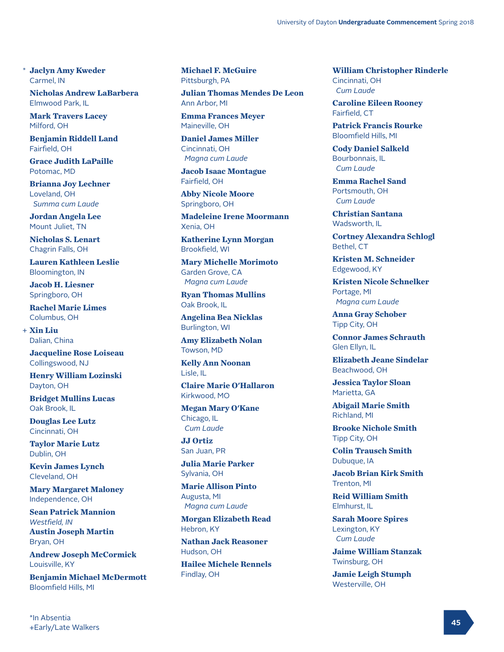**Jaclyn Amy Kweder** Carmel, IN \*

**Nicholas Andrew LaBarbera** Elmwood Park, IL

**Mark Travers Lacey** Milford, OH

**Benjamin Riddell Land** Fairfield, OH

**Grace Judith LaPaille** Potomac, MD

**Brianna Joy Lechner** Loveland, OH  *Summa cum Laude*

**Jordan Angela Lee** Mount Juliet, TN

**Nicholas S. Lenart** Chagrin Falls, OH

**Lauren Kathleen Leslie** Bloomington, IN

**Jacob H. Liesner** Springboro, OH

**Rachel Marie Limes** Columbus, OH

**Xin Liu** + Dalian, China

> **Jacqueline Rose Loiseau** Collingswood, NJ

**Henry William Lozinski** Dayton, OH

**Bridget Mullins Lucas** Oak Brook, IL

**Douglas Lee Lutz** Cincinnati, OH

**Taylor Marie Lutz** Dublin, OH

**Kevin James Lynch** Cleveland, OH

**Mary Margaret Maloney** Independence, OH

**Sean Patrick Mannion** *Westfield, IN* **Austin Joseph Martin** Bryan, OH

**Andrew Joseph McCormick** Louisville, KY

**Benjamin Michael McDermott** Bloomfield Hills, MI

**Michael F. McGuire** Pittsburgh, PA

**Julian Thomas Mendes De Leon** Ann Arbor, MI

**Emma Frances Meyer** Maineville, OH

**Daniel James Miller** Cincinnati, OH  *Magna cum Laude*

**Jacob Isaac Montague** Fairfield, OH

**Abby Nicole Moore** Springboro, OH

**Madeleine Irene Moormann** Xenia, OH

**Katherine Lynn Morgan** Brookfield, WI

**Mary Michelle Morimoto** Garden Grove, CA  *Magna cum Laude*

**Ryan Thomas Mullins** Oak Brook, IL

**Angelina Bea Nicklas** Burlington, WI

**Amy Elizabeth Nolan** Towson, MD

**Kelly Ann Noonan** Lisle, IL

**Claire Marie O'Hallaron** Kirkwood, MO

**Megan Mary O'Kane** Chicago, IL  *Cum Laude*

**JJ Ortiz** San Juan, PR

**Julia Marie Parker** Sylvania, OH

**Marie Allison Pinto** Augusta, MI  *Magna cum Laude*

**Morgan Elizabeth Read** Hebron, KY

**Nathan Jack Reasoner** Hudson, OH

**Hailee Michele Rennels** Findlay, OH

**William Christopher Rinderle** Cincinnati, OH  *Cum Laude*

**Caroline Eileen Rooney** Fairfield, CT

**Patrick Francis Rourke** Bloomfield Hills, MI

**Cody Daniel Salkeld** Bourbonnais, IL  *Cum Laude*

**Emma Rachel Sand** Portsmouth, OH  *Cum Laude*

**Christian Santana** Wadsworth, IL

**Cortney Alexandra Schlogl** Bethel, CT

**Kristen M. Schneider** Edgewood, KY

**Kristen Nicole Schnelker** Portage, MI  *Magna cum Laude*

**Anna Gray Schober** Tipp City, OH

**Connor James Schrauth** Glen Ellyn, IL

**Elizabeth Jeane Sindelar** Beachwood, OH

**Jessica Taylor Sloan** Marietta, GA

**Abigail Marie Smith** Richland, MI

**Brooke Nichole Smith** Tipp City, OH

**Colin Trausch Smith** Dubuque, IA

**Jacob Brian Kirk Smith** Trenton, MI

**Reid William Smith** Elmhurst, IL

**Sarah Moore Spires** Lexington, KY  *Cum Laude*

**Jaime William Stanzak** Twinsburg, OH

**Jamie Leigh Stumph** Westerville, OH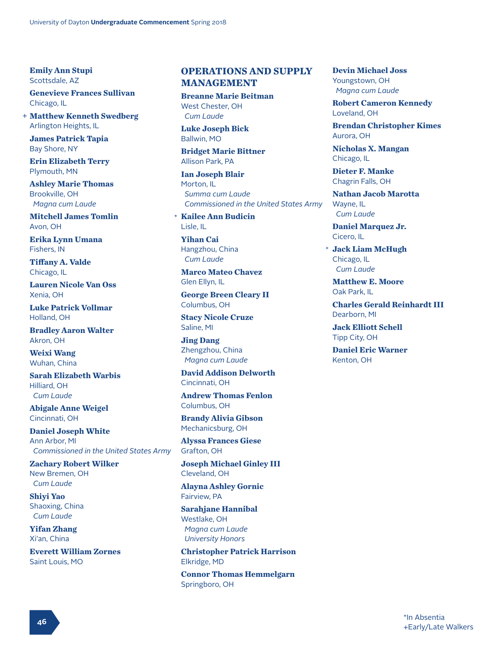**Emily Ann Stupi** Scottsdale, AZ

**Genevieve Frances Sullivan** Chicago, IL

**Matthew Kenneth Swedberg** + Arlington Heights, IL

**James Patrick Tapia** Bay Shore, NY

**Erin Elizabeth Terry** Plymouth, MN

**Ashley Marie Thomas** Brookville, OH  *Magna cum Laude*

**Mitchell James Tomlin** Avon, OH

**Erika Lynn Umana** Fishers, IN

**Tiffany A. Valde** Chicago, IL

**Lauren Nicole Van Oss** Xenia, OH

**Luke Patrick Vollmar** Holland, OH

**Bradley Aaron Walter** Akron, OH

**Weixi Wang** Wuhan, China

**Sarah Elizabeth Warbis** Hilliard, OH  *Cum Laude*

**Abigale Anne Weigel** Cincinnati, OH

**Daniel Joseph White** Ann Arbor, MI  *Commissioned in the United States Army*

**Zachary Robert Wilker** New Bremen, OH  *Cum Laude*

**Shiyi Yao** Shaoxing, China  *Cum Laude*

**Yifan Zhang** Xi'an, China

**Everett William Zornes** Saint Louis, MO

# **OPERATIONS AND SUPPLY MANAGEMENT**

**Breanne Marie Beitman** West Chester, OH  *Cum Laude*

**Luke Joseph Bick** Ballwin, MO

**Bridget Marie Bittner** Allison Park, PA

**Ian Joseph Blair** Morton, IL  *Summa cum Laude Commissioned in the United States Army*

**Kailee Ann Budicin** \* Lisle, IL

**Yihan Cai** Hangzhou, China  *Cum Laude*

**Marco Mateo Chavez** Glen Ellyn, IL

**George Breen Cleary II** Columbus, OH

**Stacy Nicole Cruze** Saline, MI

**Jing Dang** Zhengzhou, China  *Magna cum Laude*

**David Addison Delworth** Cincinnati, OH

**Andrew Thomas Fenlon** Columbus, OH

**Brandy Alivia Gibson** Mechanicsburg, OH

**Alyssa Frances Giese** Grafton, OH

**Joseph Michael Ginley III** Cleveland, OH

**Alayna Ashley Gornic** Fairview, PA

**Sarahjane Hannibal** Westlake, OH  *Magna cum Laude University Honors*

**Christopher Patrick Harrison** Elkridge, MD

**Connor Thomas Hemmelgarn** Springboro, OH

**Devin Michael Joss** Youngstown, OH  *Magna cum Laude*

**Robert Cameron Kennedy** Loveland, OH

**Brendan Christopher Kimes** Aurora, OH

**Nicholas X. Mangan** Chicago, IL

**Dieter F. Manke** Chagrin Falls, OH

**Nathan Jacob Marotta** Wayne, IL  *Cum Laude*

**Daniel Marquez Jr.** Cicero, IL

**Jack Liam McHugh** \*Chicago, IL  *Cum Laude*

**Matthew E. Moore** Oak Park, IL

**Charles Gerald Reinhardt III** Dearborn, MI

**Jack Elliott Schell** Tipp City, OH

**Daniel Eric Warner** Kenton, OH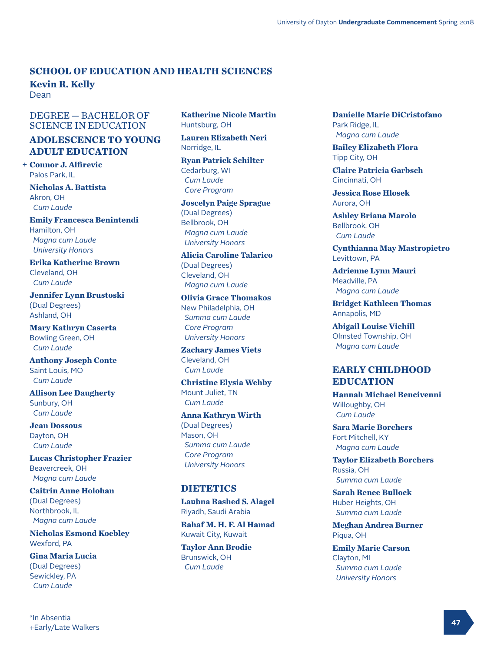# **SCHOOL OF EDUCATION AND HEALTH SCIENCES Kevin R. Kelly**

Dean

## DEGREE — BACHELOR OF SCIENCE IN EDUCATION

# **ADOLESCENCE TO YOUNG ADULT EDUCATION**

**Connor J. Alfirevic** + Palos Park, IL

**Nicholas A. Battista** Akron, OH  *Cum Laude*

**Emily Francesca Benintendi** Hamilton, OH  *Magna cum Laude University Honors*

**Erika Katherine Brown** Cleveland, OH  *Cum Laude*

**Jennifer Lynn Brustoski** (Dual Degrees) Ashland, OH

**Mary Kathryn Caserta** Bowling Green, OH  *Cum Laude*

**Anthony Joseph Conte** Saint Louis, MO  *Cum Laude*

**Allison Lee Daugherty** Sunbury, OH  *Cum Laude*

**Jean Dossous** Dayton, OH  *Cum Laude*

**Lucas Christopher Frazier** Beavercreek, OH  *Magna cum Laude*

**Caitrin Anne Holohan**  (Dual Degrees) Northbrook, IL  *Magna cum Laude*

**Nicholas Esmond Koebley** Wexford, PA

**Gina Maria Lucia**  (Dual Degrees) Sewickley, PA  *Cum Laude*

**Katherine Nicole Martin** Huntsburg, OH

**Lauren Elizabeth Neri** Norridge, IL

**Ryan Patrick Schilter** Cedarburg, WI  *Cum Laude Core Program*

**Joscelyn Paige Sprague** (Dual Degrees) Bellbrook, OH  *Magna cum Laude University Honors*

**Alicia Caroline Talarico** (Dual Degrees) Cleveland, OH  *Magna cum Laude* 

**Olivia Grace Thomakos** New Philadelphia, OH  *Summa cum Laude Core Program University Honors*

**Zachary James Viets** Cleveland, OH  *Cum Laude* 

**Christine Elysia Wehby** Mount Juliet, TN  *Cum Laude* 

**Anna Kathryn Wirth** (Dual Degrees) Mason, OH  *Summa cum Laude Core Program University Honors*

# **DIETETICS**

**Laubna Rashed S. Alagel** Riyadh, Saudi Arabia

**Rahaf M. H. F. Al Hamad** Kuwait City, Kuwait

**Taylor Ann Brodie** Brunswick, OH  *Cum Laude*

**Danielle Marie DiCristofano** Park Ridge, IL  *Magna cum Laude*

**Bailey Elizabeth Flora** Tipp City, OH

**Claire Patricia Garbsch** Cincinnati, OH

**Jessica Rose Hlosek** Aurora, OH

**Ashley Briana Marolo** Bellbrook, OH  *Cum Laude*

**Cynthianna May Mastropietro** Levittown, PA

**Adrienne Lynn Mauri** Meadville, PA  *Magna cum Laude*

**Bridget Kathleen Thomas** Annapolis, MD

**Abigail Louise Vichill** Olmsted Township, OH  *Magna cum Laude*

# **EARLY CHILDHOOD EDUCATION**

**Hannah Michael Bencivenni** Willoughby, OH  *Cum Laude* 

**Sara Marie Borchers** Fort Mitchell, KY  *Magna cum Laude* 

**Taylor Elizabeth Borchers** Russia, OH  *Summa cum Laude* 

**Sarah Renee Bullock** Huber Heights, OH  *Summa cum Laude* 

**Meghan Andrea Burner** Piqua, OH

**Emily Marie Carson** Clayton, MI  *Summa cum Laude University Honors*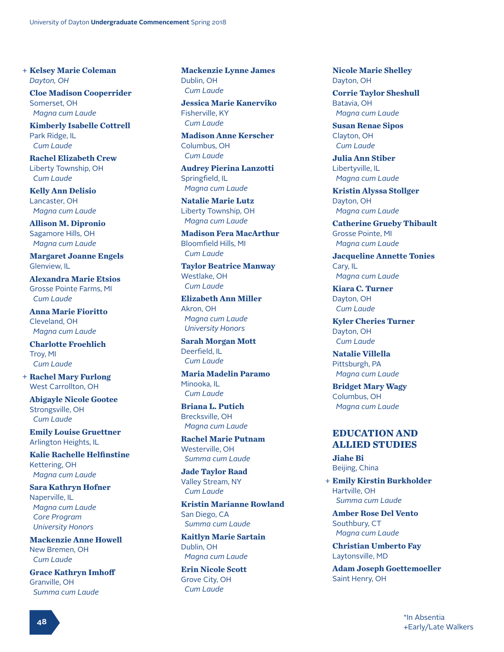**Kelsey Marie Coleman** + *Dayton, OH*

**Cloe Madison Cooperrider** Somerset, OH  *Magna cum Laude*

**Kimberly Isabelle Cottrell** Park Ridge, IL  *Cum Laude*

**Rachel Elizabeth Crew** Liberty Township, OH  *Cum Laude*

**Kelly Ann Delisio** Lancaster, OH  *Magna cum Laude*

**Allison M. Dipronio** Sagamore Hills, OH  *Magna cum Laude*

**Margaret Joanne Engels** Glenview, IL

**Alexandra Marie Etsios** Grosse Pointe Farms, MI  *Cum Laude*

**Anna Marie Fioritto** Cleveland, OH  *Magna cum Laude*

**Charlotte Froehlich** Troy, MI  *Cum Laude*

**Rachel Mary Furlong** + West Carrollton, OH

**Abigayle Nicole Gootee** Strongsville, OH  *Cum Laude*

**Emily Louise Gruettner** Arlington Heights, IL

**Kalie Rachelle Helfinstine** Kettering, OH  *Magna cum Laude*

**Sara Kathryn Hofner** Naperville, IL  *Magna cum Laude Core Program University Honors*

**Mackenzie Anne Howell** New Bremen, OH  *Cum Laude*

**Grace Kathryn Imhoff** Granville, OH  *Summa cum Laude*

**Mackenzie Lynne James** Dublin, OH  *Cum Laude*

**Jessica Marie Kanerviko** Fisherville, KY  *Cum Laude*

**Madison Anne Kerscher** Columbus, OH  *Cum Laude*

**Audrey Pierina Lanzotti** Springfield, IL  *Magna cum Laude*

**Natalie Marie Lutz** Liberty Township, OH  *Magna cum Laude*

**Madison Fera MacArthur** Bloomfield Hills, MI  *Cum Laude*

**Taylor Beatrice Manway** Westlake, OH  *Cum Laude*

**Elizabeth Ann Miller** Akron, OH  *Magna cum Laude University Honors*

**Sarah Morgan Mott** Deerfield, IL  *Cum Laude*

**Maria Madelin Paramo** Minooka, IL  *Cum Laude*

**Briana L. Putich** Brecksville, OH  *Magna cum Laude*

**Rachel Marie Putnam** Westerville, OH  *Summa cum Laude*

**Jade Taylor Raad** Valley Stream, NY  *Cum Laude*

**Kristin Marianne Rowland** San Diego, CA  *Summa cum Laude*

**Kaitlyn Marie Sartain** Dublin, OH  *Magna cum Laude*

**Erin Nicole Scott** Grove City, OH  *Cum Laude*

**Nicole Marie Shelley** Dayton, OH

**Corrie Taylor Sheshull** Batavia, OH  *Magna cum Laude*

**Susan Renae Sipos** Clayton, OH  *Cum Laude*

**Julia Ann Stiber** Libertyville, IL  *Magna cum Laude*

**Kristin Alyssa Stollger** Dayton, OH  *Magna cum Laude*

**Catherine Grueby Thibault** Grosse Pointe, MI  *Magna cum Laude*

**Jacqueline Annette Tonies** Cary, IL  *Magna cum Laude*

**Kiara C. Turner** Dayton, OH  *Cum Laude*

**Kyler Cheries Turner** Dayton, OH  *Cum Laude*

**Natalie Villella** Pittsburgh, PA  *Magna cum Laude*

**Bridget Mary Wagy** Columbus, OH  *Magna cum Laude*

# **EDUCATION AND ALLIED STUDIES**

**Jiahe Bi** Beijing, China

**Emily Kirstin Burkholder** + Hartville, OH  *Summa cum Laude*

**Amber Rose Del Vento** Southbury, CT  *Magna cum Laude*

**Christian Umberto Fay** Laytonsville, MD

**Adam Joseph Goettemoeller** Saint Henry, OH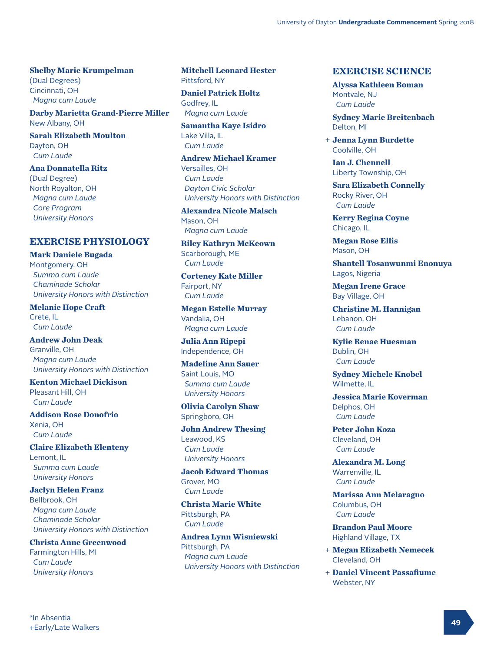## **Shelby Marie Krumpelman** (Dual Degrees) Cincinnati, OH  *Magna cum Laude*

**Darby Marietta Grand-Pierre Miller** New Albany, OH

**Sarah Elizabeth Moulton** Dayton, OH  *Cum Laude*

**Ana Donnatella Ritz** (Dual Degree) North Royalton, OH  *Magna cum Laude Core Program University Honors*

# **EXERCISE PHYSIOLOGY**

**Mark Daniele Bugada** Montgomery, OH  *Summa cum Laude Chaminade Scholar University Honors with Distinction*

**Melanie Hope Craft** Crete, IL  *Cum Laude*

**Andrew John Deak** Granville, OH  *Magna cum Laude University Honors with Distinction*

**Kenton Michael Dickison** Pleasant Hill, OH  *Cum Laude*

**Addison Rose Donofrio** Xenia, OH  *Cum Laude*

**Claire Elizabeth Elenteny** Lemont, IL  *Summa cum Laude University Honors*

**Jaclyn Helen Franz** Bellbrook, OH  *Magna cum Laude Chaminade Scholar University Honors with Distinction*

**Christa Anne Greenwood** Farmington Hills, MI  *Cum Laude University Honors*

## **Mitchell Leonard Hester** Pittsford, NY

**Daniel Patrick Holtz** Godfrey, IL  *Magna cum Laude*

**Samantha Kaye Isidro** Lake Villa, IL  *Cum Laude*

**Andrew Michael Kramer** Versailles, OH  *Cum Laude Dayton Civic Scholar University Honors with Distinction*

**Alexandra Nicole Malsch** Mason, OH  *Magna cum Laude*

**Riley Kathryn McKeown** Scarborough, ME  *Cum Laude*

**Corteney Kate Miller** Fairport, NY  *Cum Laude*

**Megan Estelle Murray** Vandalia, OH  *Magna cum Laude*

**Julia Ann Ripepi** Independence, OH

**Madeline Ann Sauer** Saint Louis, MO  *Summa cum Laude University Honors*

**Olivia Carolyn Shaw** Springboro, OH

**John Andrew Thesing** Leawood, KS  *Cum Laude University Honors*

**Jacob Edward Thomas** Grover, MO  *Cum Laude*

**Christa Marie White** Pittsburgh, PA  *Cum Laude*

**Andrea Lynn Wisniewski** Pittsburgh, PA  *Magna cum Laude University Honors with Distinction*

### **EXERCISE SCIENCE**

**Alyssa Kathleen Boman** Montvale, NJ  *Cum Laude*

**Sydney Marie Breitenbach** Delton, MI

**Jenna Lynn Burdette** + Coolville, OH

**Ian J. Chennell** Liberty Township, OH

**Sara Elizabeth Connelly** Rocky River, OH  *Cum Laude*

**Kerry Regina Coyne** Chicago, IL

**Megan Rose Ellis** Mason, OH

**Shantell Tosanwunmi Enonuya** Lagos, Nigeria

**Megan Irene Grace** Bay Village, OH

**Christine M. Hannigan** Lebanon, OH  *Cum Laude*

**Kylie Renae Huesman** Dublin, OH  *Cum Laude*

**Sydney Michele Knobel** Wilmette, IL

**Jessica Marie Koverman** Delphos, OH  *Cum Laude*

**Peter John Koza** Cleveland, OH  *Cum Laude*

**Alexandra M. Long** Warrenville, IL  *Cum Laude*

**Marissa Ann Melaragno** Columbus, OH  *Cum Laude*

**Brandon Paul Moore** Highland Village, TX

**Megan Elizabeth Nemecek** + Cleveland, OH

**Daniel Vincent Passafiume** + Webster, NY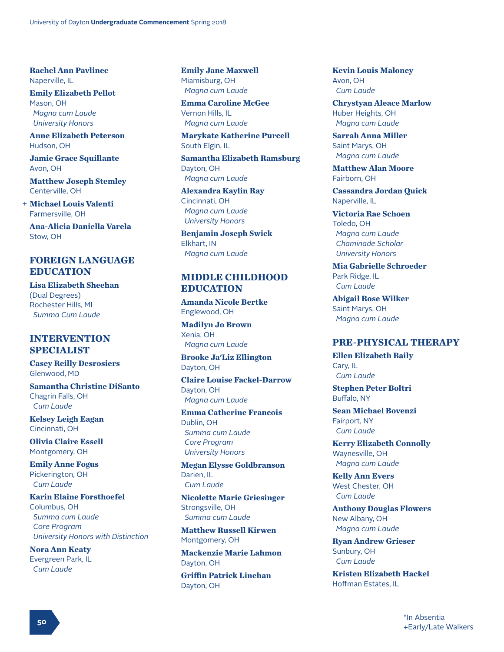**Rachel Ann Pavlinec** Naperville, IL

**Emily Elizabeth Pellot** Mason, OH  *Magna cum Laude University Honors*

**Anne Elizabeth Peterson** Hudson, OH

**Jamie Grace Squillante** Avon, OH

**Matthew Joseph Stemley** Centerville, OH

**Michael Louis Valenti** + Farmersville, OH **Ana-Alicia Daniella Varela**

Stow, OH

# **FOREIGN LANGUAGE EDUCATION**

**Lisa Elizabeth Sheehan** (Dual Degrees) Rochester Hills, MI  *Summa Cum Laude*

## **INTERVENTION SPECIALIST**

**Casey Reilly Desrosiers**  Glenwood, MD

**Samantha Christine DiSanto**  Chagrin Falls, OH  *Cum Laude*

**Kelsey Leigh Eagan**  Cincinnati, OH

**Olivia Claire Essell**  Montgomery, OH

**Emily Anne Fogus** Pickerington, OH  *Cum Laude*

**Karin Elaine Forsthoefel** Columbus, OH  *Summa cum Laude Core Program University Honors with Distinction*

**Nora Ann Keaty**  Evergreen Park, IL  *Cum Laude*

**Emily Jane Maxwell** Miamisburg, OH  *Magna cum Laude*

**Emma Caroline McGee**  Vernon Hills, IL  *Magna cum Laude*

**Marykate Katherine Purcell** South Elgin, IL

**Samantha Elizabeth Ramsburg** Dayton, OH  *Magna cum Laude*

**Alexandra Kaylin Ray** Cincinnati, OH  *Magna cum Laude University Honors*

**Benjamin Joseph Swick** Elkhart, IN  *Magna cum Laude*

## **MIDDLE CHILDHOOD EDUCATION**

**Amanda Nicole Bertke**  Englewood, OH

**Madilyn Jo Brown**  Xenia, OH  *Magna cum Laude*

**Brooke Ja'Liz Ellington**  Dayton, OH

**Claire Louise Fackel-Darrow** Dayton, OH  *Magna cum Laude*

**Emma Catherine Francois**  Dublin, OH  *Summa cum Laude Core Program University Honors*

**Megan Elysse Goldbranson**  Darien, IL  *Cum Laude*

**Nicolette Marie Griesinger**  Strongsville, OH  *Summa cum Laude*

**Matthew Russell Kirwen**  Montgomery, OH

**Mackenzie Marie Lahmon** Dayton, OH

**Griffin Patrick Linehan**  Dayton, OH

**Kevin Louis Maloney** Avon, OH  *Cum Laude*

**Chrystyan Aleace Marlow**  Huber Heights, OH  *Magna cum Laude*

**Sarrah Anna Miller**  Saint Marys, OH  *Magna cum Laude*

**Matthew Alan Moore** Fairborn, OH

**Cassandra Jordan Quick** Naperville, IL

**Victoria Rae Schoen** Toledo, OH  *Magna cum Laude Chaminade Scholar University Honors*

**Mia Gabrielle Schroeder**  Park Ridge, IL  *Cum Laude*

**Abigail Rose Wilker**  Saint Marys, OH  *Magna cum Laude*

## **PRE-PHYSICAL THERAPY**

**Ellen Elizabeth Baily** Cary, IL  *Cum Laude*

**Stephen Peter Boltri** Buffalo, NY

**Sean Michael Bovenzi** Fairport, NY  *Cum Laude*

**Kerry Elizabeth Connolly** Waynesville, OH  *Magna cum Laude*

**Kelly Ann Evers** West Chester, OH  *Cum Laude*

**Anthony Douglas Flowers** New Albany, OH  *Magna cum Laude*

**Ryan Andrew Grieser** Sunbury, OH  *Cum Laude*

**Kristen Elizabeth Hackel** Hoffman Estates, IL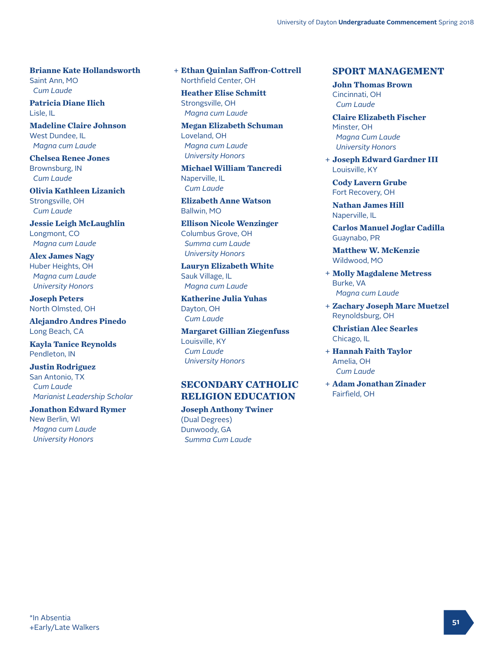**Brianne Kate Hollandsworth** Saint Ann, MO  *Cum Laude*

**Patricia Diane Ilich** Lisle, IL

**Madeline Claire Johnson** West Dundee, IL  *Magna cum Laude*

**Chelsea Renee Jones** Brownsburg, IN  *Cum Laude*

**Olivia Kathleen Lizanich** Strongsville, OH  *Cum Laude*

**Jessie Leigh McLaughlin** Longmont, CO  *Magna cum Laude*

**Alex James Nagy** Huber Heights, OH  *Magna cum Laude University Honors*

**Joseph Peters** North Olmsted, OH

**Alejandro Andres Pinedo** Long Beach, CA

**Kayla Tanice Reynolds** Pendleton, IN

**Justin Rodriguez** San Antonio, TX  *Cum Laude Marianist Leadership Scholar*

**Jonathon Edward Rymer** New Berlin, WI  *Magna cum Laude University Honors*

**Ethan Quinlan Saffron-Cottrell** + Northfield Center, OH

**Heather Elise Schmitt** Strongsville, OH  *Magna cum Laude*

**Megan Elizabeth Schuman** Loveland, OH  *Magna cum Laude University Honors*

**Michael William Tancredi** Naperville, IL  *Cum Laude*

**Elizabeth Anne Watson** Ballwin, MO

**Ellison Nicole Wenzinger** Columbus Grove, OH  *Summa cum Laude University Honors*

**Lauryn Elizabeth White** Sauk Village, IL  *Magna cum Laude*

**Katherine Julia Yuhas** Dayton, OH  *Cum Laude*

**Margaret Gillian Ziegenfuss** Louisville, KY  *Cum Laude University Honors*

# **SECONDARY CATHOLIC RELIGION EDUCATION**

**Joseph Anthony Twiner** (Dual Degrees) Dunwoody, GA  *Summa Cum Laude*

#### **SPORT MANAGEMENT**

**John Thomas Brown** Cincinnati, OH  *Cum Laude*

**Claire Elizabeth Fischer** Minster, OH  *Magna Cum Laude University Honors*

**Joseph Edward Gardner III** + Louisville, KY

**Cody Lavern Grube** Fort Recovery, OH

**Nathan James Hill** Naperville, IL

**Carlos Manuel Joglar Cadilla** Guaynabo, PR

**Matthew W. McKenzie** Wildwood, MO

**Molly Magdalene Metress** + Burke, VA  *Magna cum Laude*

**Zachary Joseph Marc Muetzel** + Reynoldsburg, OH

**Christian Alec Searles** Chicago, IL

**Hannah Faith Taylor** + Amelia, OH  *Cum Laude*

**Adam Jonathan Zinader** + Fairfield, OH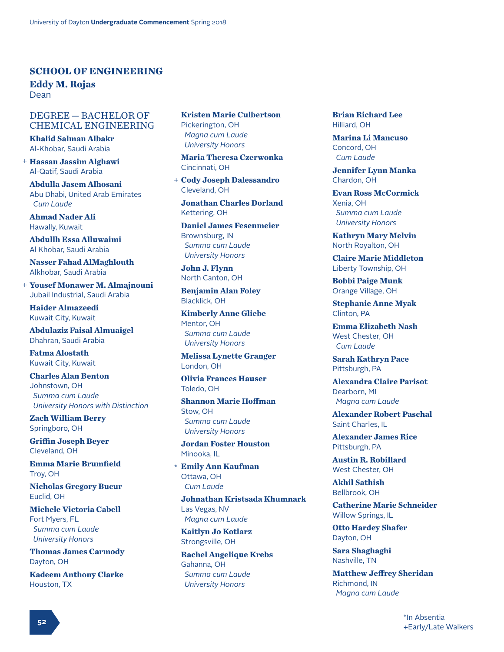# **SCHOOL OF ENGINEERING Eddy M. Rojas**

Dean

## DEGREE — BACHELOR OF CHEMICAL ENGINEERING

**Khalid Salman Albakr** Al-Khobar, Saudi Arabia

**Hassan Jassim Alghawi** + Al-Qatif, Saudi Arabia

**Abdulla Jasem Alhosani** Abu Dhabi, United Arab Emirates  *Cum Laude*

**Ahmad Nader Ali** Hawally, Kuwait

**Abdullh Essa Alluwaimi** Al Khobar, Saudi Arabia

**Nasser Fahad AlMaghlouth** Alkhobar, Saudi Arabia

**Yousef Monawer M. Almajnouni** + Jubail Industrial, Saudi Arabia

**Haider Almazeedi** Kuwait City, Kuwait

**Abdulaziz Faisal Almuaigel** Dhahran, Saudi Arabia

**Fatma Alostath** Kuwait City, Kuwait

**Charles Alan Benton** Johnstown, OH  *Summa cum Laude University Honors with Distinction*

**Zach William Berry** Springboro, OH

**Griffin Joseph Beyer** Cleveland, OH

**Emma Marie Brumfield** Troy, OH

**Nicholas Gregory Bucur** Euclid, OH

**Michele Victoria Cabell** Fort Myers, FL  *Summa cum Laude University Honors*

**Thomas James Carmody** Dayton, OH

**Kadeem Anthony Clarke** Houston, TX

**Kristen Marie Culbertson** Pickerington, OH  *Magna cum Laude University Honors*

**Maria Theresa Czerwonka** Cincinnati, OH

**Cody Joseph Dalessandro** + Cleveland, OH

**Jonathan Charles Dorland** Kettering, OH

**Daniel James Fesenmeier** Brownsburg, IN  *Summa cum Laude University Honors*

**John J. Flynn** North Canton, OH

**Benjamin Alan Foley** Blacklick, OH

**Kimberly Anne Gliebe** Mentor, OH  *Summa cum Laude University Honors*

**Melissa Lynette Granger** London, OH

**Olivia Frances Hauser** Toledo, OH

**Shannon Marie Hoffman** Stow, OH  *Summa cum Laude University Honors*

**Jordan Foster Houston** Minooka, IL

**Emily Ann Kaufman** \*Ottawa, OH  *Cum Laude*

**Johnathan Kristsada Khumnark** Las Vegas, NV  *Magna cum Laude*

**Kaitlyn Jo Kotlarz** Strongsville, OH

**Rachel Angelique Krebs** Gahanna, OH  *Summa cum Laude University Honors*

**Brian Richard Lee** Hilliard, OH

**Marina Li Mancuso** Concord, OH  *Cum Laude*

**Jennifer Lynn Manka** Chardon, OH

**Evan Ross McCormick** Xenia, OH  *Summa cum Laude University Honors*

**Kathryn Mary Melvin** North Royalton, OH

**Claire Marie Middleton** Liberty Township, OH

**Bobbi Paige Munk** Orange Village, OH

**Stephanie Anne Myak** Clinton, PA

**Emma Elizabeth Nash** West Chester, OH  *Cum Laude*

**Sarah Kathryn Pace** Pittsburgh, PA

**Alexandra Claire Parisot** Dearborn, MI  *Magna cum Laude*

**Alexander Robert Paschal** Saint Charles, IL

**Alexander James Rice** Pittsburgh, PA

**Austin R. Robillard** West Chester, OH

**Akhil Sathish** Bellbrook, OH

**Catherine Marie Schneider** Willow Springs, IL

**Otto Hardey Shafer** Dayton, OH

**Sara Shaghaghi** Nashville, TN

**Matthew Jeffrey Sheridan** Richmond, IN  *Magna cum Laude*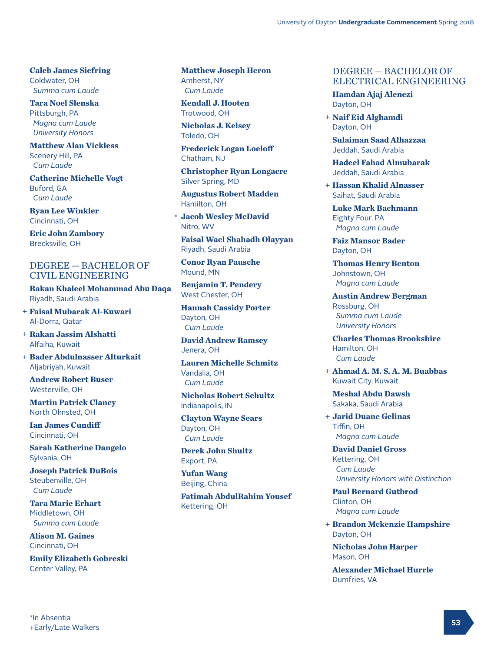**Caleb James Siefring** Coldwater, OH  *Summa cum Laude*

**Tara Noel Slenska** Pittsburgh, PA  *Magna cum Laude University Honors*

**Matthew Alan Vickless** Scenery Hill, PA  *Cum Laude*

**Catherine Michelle Vogt** Buford, GA  *Cum Laude*

**Ryan Lee Winkler** Cincinnati, OH

**Eric John Zambory** Brecksville, OH

## DEGREE — BACHELOR OF CIVIL ENGINEERING

**Rakan Khaleel Mohammad Abu Daqa** Riyadh, Saudi Arabia

**Faisal Mubarak Al-Kuwari** + Al-Dorra, Qatar

**Rakan Jassim Alshatti** + Alfaiha, Kuwait

**Bader Abdulnasser Alturkait** + Aljabriyah, Kuwait

**Andrew Robert Buser** Westerville, OH

**Martin Patrick Clancy** North Olmsted, OH

**Ian James Cundiff** Cincinnati, OH

**Sarah Katherine Dangelo** Sylvania, OH

**Joseph Patrick DuBois** Steubenville, OH  *Cum Laude*

**Tara Marie Erhart** Middletown, OH  *Summa cum Laude*

**Alison M. Gaines** Cincinnati, OH

**Emily Elizabeth Gobreski** Center Valley, PA

**Matthew Joseph Heron** Amherst, NY  *Cum Laude*

**Kendall J. Hooten** Trotwood, OH

**Nicholas J. Kelsey** Toledo, OH

**Frederick Logan Loeloff** Chatham, NJ

**Christopher Ryan Longacre** Silver Spring, MD

**Augustus Robert Madden** Hamilton, OH

**Jacob Wesley McDavid** Nitro, WV \*

**Faisal Wael Shahadh Olayyan** Riyadh, Saudi Arabia

**Conor Ryan Pausche** Mound, MN

**Benjamin T. Pendery** West Chester, OH

**Hannah Cassidy Porter** Dayton, OH  *Cum Laude*

**David Andrew Ramsey** Jenera, OH

**Lauren Michelle Schmitz** Vandalia, OH  *Cum Laude*

**Nicholas Robert Schultz** Indianapolis, IN

**Clayton Wayne Sears** Dayton, OH  *Cum Laude*

**Derek John Shultz** Export, PA

**Yufan Wang** Beijing, China

**Fatimah AbdulRahim Yousef** Kettering, OH

## DEGREE — BACHELOR OF ELECTRICAL ENGINEERING

**Hamdan Ajaj Alenezi** Dayton, OH

**Naif Eid Alghamdi** + Dayton, OH

**Sulaiman Saad Alhazzaa** Jeddah, Saudi Arabia

**Hadeel Fahad Almubarak** Jeddah, Saudi Arabia

**Hassan Khalid Alnasser** + Saihat, Saudi Arabia

**Luke Mark Bachmann** Eighty Four, PA  *Magna cum Laude*

**Faiz Mansor Bader** Dayton, OH

**Thomas Henry Benton** Johnstown, OH  *Magna cum Laude*

**Austin Andrew Bergman** Rossburg, OH  *Summa cum Laude University Honors*

**Charles Thomas Brookshire** Hamilton, OH  *Cum Laude*

**Ahmad A. M. S. A. M. Buabbas** + Kuwait City, Kuwait

**Meshal Abdu Dawsh** Sakaka, Saudi Arabia

**Jarid Duane Gelinas** + Tiffin, OH  *Magna cum Laude*

**David Daniel Gross** Kettering, OH  *Cum Laude University Honors with Distinction*

**Paul Bernard Gutbrod** Clinton, OH  *Magna cum Laude*

**Brandon Mckenzie Hampshire** + Dayton, OH

**Nicholas John Harper** Mason, OH

**Alexander Michael Hurrle** Dumfries, VA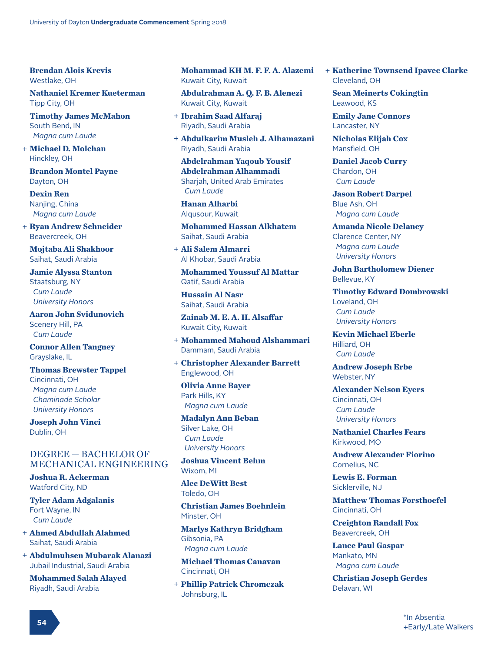**Brendan Alois Krevis** Westlake, OH

**Nathaniel Kremer Kueterman** Tipp City, OH

**Timothy James McMahon** South Bend, IN  *Magna cum Laude* 

**Michael D. Molchan** + Hinckley, OH

**Brandon Montel Payne** Dayton, OH

**Dexin Ren** Nanjing, China  *Magna cum Laude*

**Ryan Andrew Schneider** + Beavercreek, OH

**Mojtaba Ali Shakhoor** Saihat, Saudi Arabia

**Jamie Alyssa Stanton** Staatsburg, NY  *Cum Laude University Honors*

**Aaron John Svidunovich** Scenery Hill, PA  *Cum Laude*

**Connor Allen Tangney** Grayslake, IL

**Thomas Brewster Tappel** Cincinnati, OH  *Magna cum Laude Chaminade Scholar University Honors*

**Joseph John Vinci** Dublin, OH

### DEGREE — BACHELOR OF MECHANICAL ENGINEERING

**Joshua R. Ackerman** Watford City, ND

**Tyler Adam Adgalanis** Fort Wayne, IN  *Cum Laude*

**Ahmed Abdullah Alahmed** + Saihat, Saudi Arabia

**Abdulmuhsen Mubarak Alanazi** + Jubail Industrial, Saudi Arabia

**Mohammed Salah Alayed** Riyadh, Saudi Arabia

**Mohammad KH M. F. F. A. Alazemi** Kuwait City, Kuwait

**Abdulrahman A. Q. F. B. Alenezi** Kuwait City, Kuwait

**Ibrahim Saad Alfaraj** + Riyadh, Saudi Arabia

**Abdulkarim Musleh J. Alhamazani** + Riyadh, Saudi Arabia

**Abdelrahman Yaqoub Yousif Abdelrahman Alhammadi** Shariah, United Arab Emirates  *Cum Laude*

**Hanan Alharbi** Alqusour, Kuwait

**Mohammed Hassan Alkhatem** Saihat, Saudi Arabia

**Ali Salem Almarri** + Al Khobar, Saudi Arabia

**Mohammed Youssuf Al Mattar** Qatif, Saudi Arabia

**Hussain Al Nasr** Saihat, Saudi Arabia

**Zainab M. E. A. H. Alsaffar** Kuwait City, Kuwait

**Mohammed Mahoud Alshammari** + Dammam, Saudi Arabia

**Christopher Alexander Barrett** + Englewood, OH

**Olivia Anne Bayer** Park Hills, KY  *Magna cum Laude*

**Madalyn Ann Beban** Silver Lake, OH  *Cum Laude University Honors*

**Joshua Vincent Behm** Wixom, MI

**Alec DeWitt Best** Toledo, OH

**Christian James Boehnlein** Minster, OH

**Marlys Kathryn Bridgham** Gibsonia, PA  *Magna cum Laude*

**Michael Thomas Canavan** Cincinnati, OH

**Phillip Patrick Chromczak** + Johnsburg, IL

**Katherine Townsend Ipavec Clarke** + Cleveland, OH

**Sean Meinerts Cokingtin** Leawood, KS

**Emily Jane Connors** Lancaster, NY

**Nicholas Elijah Cox** Mansfield, OH

**Daniel Jacob Curry** Chardon, OH  *Cum Laude*

**Jason Robert Darpel** Blue Ash, OH  *Magna cum Laude*

**Amanda Nicole Delaney** Clarence Center, NY  *Magna cum Laude University Honors*

**John Bartholomew Diener** Bellevue, KY

**Timothy Edward Dombrowski** Loveland, OH  *Cum Laude University Honors*

**Kevin Michael Eberle** Hilliard, OH  *Cum Laude*

**Andrew Joseph Erbe** Webster, NY

**Alexander Nelson Eyers** Cincinnati, OH  *Cum Laude University Honors*

**Nathaniel Charles Fears** Kirkwood, MO

**Andrew Alexander Fiorino** Cornelius, NC

**Lewis E. Forman**  Sicklerville, NJ

**Matthew Thomas Forsthoefel** Cincinnati, OH

**Creighton Randall Fox** Beavercreek, OH

**Lance Paul Gaspar** Mankato, MN  *Magna cum Laude*

**Christian Joseph Gerdes** Delavan, WI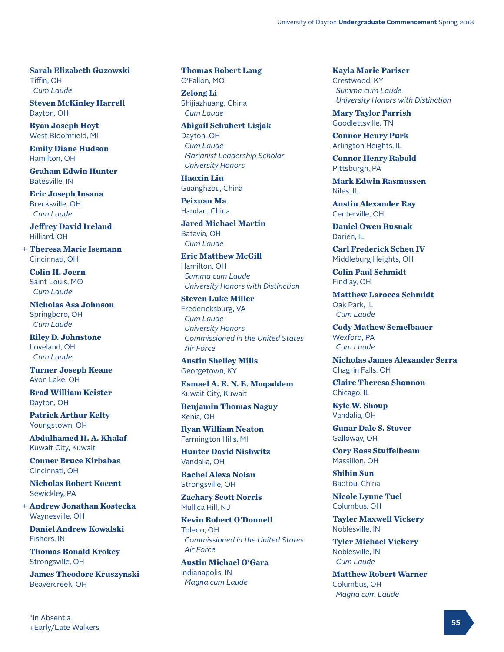**Sarah Elizabeth Guzowski** Tiffin, OH  *Cum Laude*

**Steven McKinley Harrell** Dayton, OH

**Ryan Joseph Hoyt** West Bloomfield, MI

**Emily Diane Hudson** Hamilton, OH

**Graham Edwin Hunter** Batesville, IN

**Eric Joseph Insana** Brecksville, OH  *Cum Laude*

**Jeffrey David Ireland** Hilliard, OH

**Theresa Marie Isemann** + Cincinnati, OH

**Colin H. Joern**  Saint Louis, MO  *Cum Laude*

**Nicholas Asa Johnson** Springboro, OH  *Cum Laude*

**Riley D. Johnstone** Loveland, OH  *Cum Laude*

**Turner Joseph Keane** Avon Lake, OH

**Brad William Keister** Dayton, OH

**Patrick Arthur Kelty** Youngstown, OH

**Abdulhamed H. A. Khalaf** Kuwait City, Kuwait

**Conner Bruce Kirbabas** Cincinnati, OH

**Nicholas Robert Kocent** Sewickley, PA

**Andrew Jonathan Kostecka** + Waynesville, OH

**Daniel Andrew Kowalski** Fishers, IN

**Thomas Ronald Krokey** Strongsville, OH

**James Theodore Kruszynski** Beavercreek, OH

**Thomas Robert Lang** O'Fallon, MO

**Zelong Li** Shijiazhuang, China  *Cum Laude*

**Abigail Schubert Lisjak** Dayton, OH  *Cum Laude Marianist Leadership Scholar University Honors*

**Haoxin Liu** Guanghzou, China

**Peixuan Ma** Handan, China

**Jared Michael Martin** Batavia, OH  *Cum Laude*

**Eric Matthew McGill** Hamilton, OH  *Summa cum Laude University Honors with Distinction*

**Steven Luke Miller** Fredericksburg, VA  *Cum Laude University Honors Commissioned in the United States Air Force*

**Austin Shelley Mills** Georgetown, KY

**Esmael A. E. N. E. Moqaddem** Kuwait City, Kuwait

**Benjamin Thomas Naguy** Xenia, OH

**Ryan William Neaton** Farmington Hills, MI

**Hunter David Nishwitz** Vandalia, OH

**Rachel Alexa Nolan** Strongsville, OH

**Zachary Scott Norris** Mullica Hill, NJ

**Kevin Robert O'Donnell** Toledo, OH  *Commissioned in the United States Air Force*

**Austin Michael O'Gara** Indianapolis, IN  *Magna cum Laude*

**Kayla Marie Pariser** Crestwood, KY  *Summa cum Laude University Honors with Distinction*

**Mary Taylor Parrish** Goodlettsville, TN

**Connor Henry Purk** Arlington Heights, IL

**Connor Henry Rabold** Pittsburgh, PA

**Mark Edwin Rasmussen** Niles, IL

**Austin Alexander Ray** Centerville, OH

**Daniel Owen Rusnak** Darien, IL

**Carl Frederick Scheu IV** Middleburg Heights, OH

**Colin Paul Schmidt** Findlay, OH

**Matthew Larocca Schmidt** Oak Park, IL  *Cum Laude*

**Cody Mathew Semelbauer** Wexford, PA  *Cum Laude*

**Nicholas James Alexander Serra** Chagrin Falls, OH

**Claire Theresa Shannon** Chicago, IL

**Kyle W. Shoup** Vandalia, OH

**Gunar Dale S. Stover** Galloway, OH

**Cory Ross Stuffelbeam** Massillon, OH

**Shibin Sun** Baotou, China

**Nicole Lynne Tuel** Columbus, OH

**Tayler Maxwell Vickery** Noblesville, IN

**Tyler Michael Vickery** Noblesville, IN  *Cum Laude*

**Matthew Robert Warner** Columbus, OH  *Magna cum Laude*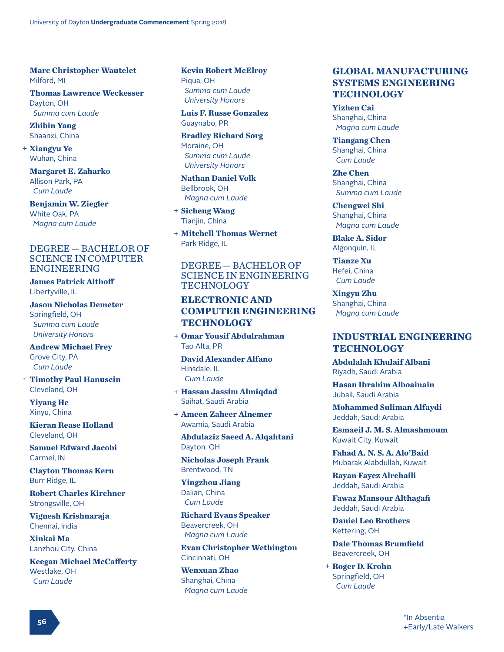**Marc Christopher Wautelet** Milford, MI

**Thomas Lawrence Weckesser** Dayton, OH  *Summa cum Laude* 

**Zhibin Yang** Shaanxi, China

**Xiangyu Ye** + Wuhan, China

> **Margaret E. Zaharko** Allison Park, PA  *Cum Laude*

**Benjamin W. Ziegler** White Oak, PA  *Magna cum Laude*

## DEGREE — BACHELOR OF SCIENCE IN COMPUTER ENGINEERING

**James Patrick Althoff** Libertyville, IL

**Jason Nicholas Demeter** Springfield, OH  *Summa cum Laude University Honors*

**Andrew Michael Frey** Grove City, PA  *Cum Laude*

**Timothy Paul Hanuscin** \*Cleveland, OH

**Yiyang He** Xinyu, China

**Kieran Rease Holland** Cleveland, OH

**Samuel Edward Jacobi** Carmel, IN

**Clayton Thomas Kern** Burr Ridge, IL

**Robert Charles Kirchner** Strongsville, OH

**Vignesh Krishnaraja** Chennai, India

**Xinkai Ma** Lanzhou City, China

**Keegan Michael McCafferty** Westlake, OH  *Cum Laude*

**Kevin Robert McElroy** Piqua, OH  *Summa cum Laude University Honors*

**Luis F. Russe Gonzalez** Guaynabo, PR

**Bradley Richard Sorg** Moraine, OH  *Summa cum Laude University Honors*

**Nathan Daniel Volk** Bellbrook, OH  *Magna cum Laude*

**Sicheng Wang** + Tianjin, China

**Mitchell Thomas Wernet** + Park Ridge, IL

DEGREE — BACHELOR OF SCIENCE IN ENGINEERING **TECHNOLOGY** 

# **ELECTRONIC AND COMPUTER ENGINEERING TECHNOLOGY**

**Omar Yousif Abdulrahman** + Tao Alta, PR

**David Alexander Alfano** Hinsdale, IL  *Cum Laude*

**Hassan Jassim Almiqdad** + Saihat, Saudi Arabia

**Ameen Zaheer Alnemer** + Awamia, Saudi Arabia

**Abdulaziz Saeed A. Alqahtani** Dayton, OH

**Nicholas Joseph Frank** Brentwood, TN

**Yingzhou Jiang** Dalian, China  *Cum Laude*

**Richard Evans Speaker** Beavercreek, OH  *Magna cum Laude*

**Evan Christopher Wethington** Cincinnati, OH

**Wenxuan Zhao** Shanghai, China  *Magna cum Laude*

# **GLOBAL MANUFACTURING SYSTEMS ENGINEERING TECHNOLOGY**

**Yizhen Cai** Shanghai, China  *Magna cum Laude*

**Tiangang Chen** Shanghai, China  *Cum Laude*

**Zhe Chen** Shanghai, China  *Summa cum Laude*

**Chengwei Shi** Shanghai, China  *Magna cum Laude*

**Blake A. Sidor** Algonquin, IL

**Tianze Xu** Hefei, China  *Cum Laude*

**Xingyu Zhu** Shanghai, China  *Magna cum Laude*

# **INDUSTRIAL ENGINEERING TECHNOLOGY**

**Abdulalah Khulaif Albani** Riyadh, Saudi Arabia

**Hasan Ibrahim Alboainain** Jubail, Saudi Arabia

**Mohammed Suliman Alfaydi** Jeddah, Saudi Arabia

**Esmaeil J. M. S. Almashmoum** Kuwait City, Kuwait

**Fahad A. N. S. A. Alo'Baid** Mubarak Alabdullah, Kuwait

**Rayan Fayez Alrehaili** Jeddah, Saudi Arabia

**Fawaz Mansour Althagafi** Jeddah, Saudi Arabia

**Daniel Leo Brothers** Kettering, OH

**Dale Thomas Brumfield** Beavercreek, OH

**Roger D. Krohn** + Springfield, OH  *Cum Laude*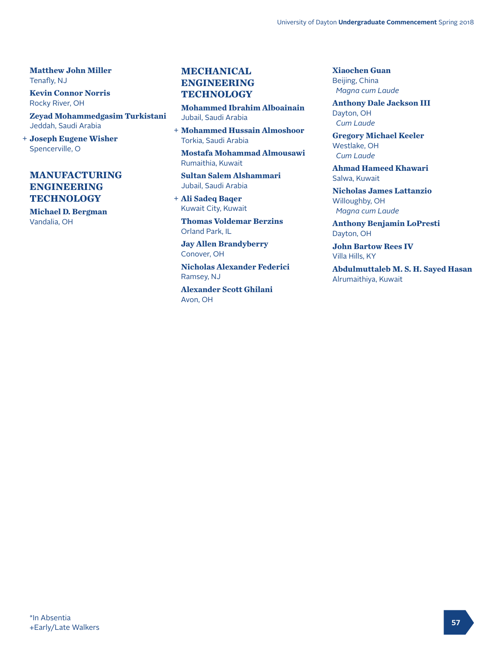**Matthew John Miller** Tenafly, NJ

**Kevin Connor Norris** Rocky River, OH

**Zeyad Mohammedgasim Turkistani** Jeddah, Saudi Arabia

**Joseph Eugene Wisher** + Spencerville, O

# **MANUFACTURING ENGINEERING TECHNOLOGY**

**Michael D. Bergman** Vandalia, OH

# **MECHANICAL ENGINEERING TECHNOLOGY**

**Mohammed Ibrahim Alboainain** Jubail, Saudi Arabia

**Mohammed Hussain Almoshoor** + Torkia, Saudi Arabia

**Mostafa Mohammad Almousawi** Rumaithia, Kuwait

**Sultan Salem Alshammari** Jubail, Saudi Arabia

**Ali Sadeq Baqer** + Kuwait City, Kuwait

**Thomas Voldemar Berzins** Orland Park, IL

**Jay Allen Brandyberry** Conover, OH

**Nicholas Alexander Federici** Ramsey, NJ

**Alexander Scott Ghilani** Avon, OH

**Xiaochen Guan** Beijing, China  *Magna cum Laude*

**Anthony Dale Jackson III** Dayton, OH  *Cum Laude*

**Gregory Michael Keeler** Westlake, OH  *Cum Laude*

**Ahmad Hameed Khawari** Salwa, Kuwait

**Nicholas James Lattanzio** Willoughby, OH  *Magna cum Laude*

**Anthony Benjamin LoPresti** Dayton, OH

**John Bartow Rees IV** Villa Hills, KY

**Abdulmuttaleb M. S. H. Sayed Hasan** Alrumaithiya, Kuwait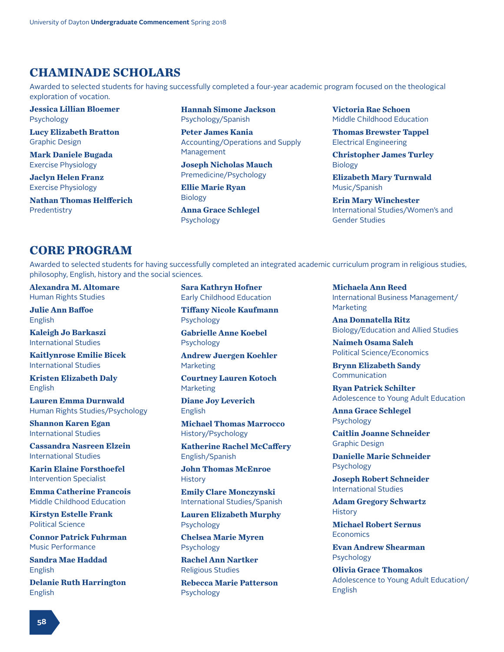# **CHAMINADE SCHOLARS**

Awarded to selected students for having successfully completed a four-year academic program focused on the theological exploration of vocation.

**Jessica Lillian Bloemer** Psychology

**Lucy Elizabeth Bratton** Graphic Design

**Mark Daniele Bugada** Exercise Physiology

**Jaclyn Helen Franz** Exercise Physiology

**Nathan Thomas Helfferich Predentistry** 

**Hannah Simone Jackson** Psychology/Spanish

**Peter James Kania** Accounting/Operations and Supply Management

**Joseph Nicholas Mauch** Premedicine/Psychology

**Ellie Marie Ryan** Biology **Anna Grace Schlegel** Psychology

**Victoria Rae Schoen** Middle Childhood Education

**Thomas Brewster Tappel** Electrical Engineering

**Christopher James Turley** Biology

**Elizabeth Mary Turnwald** Music/Spanish

**Erin Mary Winchester** International Studies/Women's and Gender Studies

# **CORE PROGRAM**

Awarded to selected students for having successfully completed an integrated academic curriculum program in religious studies, philosophy, English, history and the social sciences.

**Alexandra M. Altomare** Human Rights Studies

**Julie Ann Baffoe** English

**Kaleigh Jo Barkaszi** International Studies

**Kaitlynrose Emilie Bicek** International Studies

**Kristen Elizabeth Daly** English

**Lauren Emma Durnwald** Human Rights Studies/Psychology

**Shannon Karen Egan** International Studies

**Cassandra Nasreen Elzein** International Studies

**Karin Elaine Forsthoefel** Intervention Specialist

**Emma Catherine Francois** Middle Childhood Education

**Kirstyn Estelle Frank** Political Science

**Connor Patrick Fuhrman** Music Performance

**Sandra Mae Haddad** English

**Delanie Ruth Harrington** English

**Sara Kathryn Hofner** Early Childhood Education

**Tiffany Nicole Kaufmann** Psychology

**Gabrielle Anne Koebel** Psychology

**Andrew Juergen Koehler Marketing** 

**Courtney Lauren Kotoch Marketing** 

**Diane Joy Leverich** English

**Michael Thomas Marrocco** History/Psychology

**Katherine Rachel McCaffery** English/Spanish

**John Thomas McEnroe History** 

**Emily Clare Monczynski** International Studies/Spanish

**Lauren Elizabeth Murphy** Psychology

**Chelsea Marie Myren** Psychology

**Rachel Ann Nartker** Religious Studies

**Rebecca Marie Patterson** Psychology

**Michaela Ann Reed** International Business Management/ Marketing

**Ana Donnatella Ritz** Biology/Education and Allied Studies

**Naimeh Osama Saleh** Political Science/Economics

**Brynn Elizabeth Sandy** Communication

**Ryan Patrick Schilter** Adolescence to Young Adult Education

**Anna Grace Schlegel** Psychology

**Caitlin Joanne Schneider** Graphic Design

**Danielle Marie Schneider** Psychology

**Joseph Robert Schneider** International Studies

**Adam Gregory Schwartz History** 

**Michael Robert Sernus Economics** 

**Evan Andrew Shearman** Psychology

**Olivia Grace Thomakos** Adolescence to Young Adult Education/ English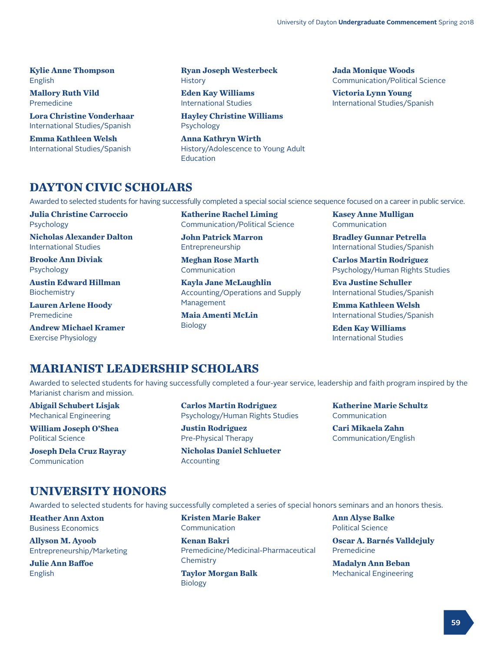**Kylie Anne Thompson** English

**Mallory Ruth Vild** Premedicine

**Lora Christine Vonderhaar** International Studies/Spanish

**Emma Kathleen Welsh** International Studies/Spanish **Ryan Joseph Westerbeck History Eden Kay Williams**

International Studies

**Hayley Christine Williams** Psychology

**Anna Kathryn Wirth** History/Adolescence to Young Adult Education

**Jada Monique Woods** Communication/Political Science

**Victoria Lynn Young** International Studies/Spanish

# **DAYTON CIVIC SCHOLARS**

Awarded to selected students for having successfully completed a special social science sequence focused on a career in public service.

**Julia Christine Carroccio** Psychology

**Nicholas Alexander Dalton** International Studies

**Brooke Ann Diviak** Psychology

**Austin Edward Hillman** Biochemistry

**Lauren Arlene Hoody** Premedicine

**Andrew Michael Kramer** Exercise Physiology

**Katherine Rachel Liming** Communication/Political Science

**John Patrick Marron** Entrepreneurship

**Meghan Rose Marth** Communication

**Kayla Jane McLaughlin** Accounting/Operations and Supply Management

**Maia Amenti McLin Biology** 

**Kasey Anne Mulligan** Communication

**Bradley Gunnar Petrella** International Studies/Spanish

**Carlos Martin Rodriguez** Psychology/Human Rights Studies

**Eva Justine Schuller** International Studies/Spanish

**Emma Kathleen Welsh** International Studies/Spanish

**Eden Kay Williams** International Studies

# **MARIANIST LEADERSHIP SCHOLARS**

Awarded to selected students for having successfully completed a four-year service, leadership and faith program inspired by the Marianist charism and mission.

**Abigail Schubert Lisjak** Mechanical Engineering

**William Joseph O'Shea** Political Science

**Joseph Dela Cruz Rayray** Communication

**Carlos Martin Rodriguez** Psychology/Human Rights Studies

**Justin Rodriguez** Pre-Physical Therapy

**Nicholas Daniel Schlueter Accounting** 

**Katherine Marie Schultz** Communication

**Cari Mikaela Zahn** Communication/English

# **UNIVERSITY HONORS**

Awarded to selected students for having successfully completed a series of special honors seminars and an honors thesis.

**Heather Ann Axton** Business Economics

**Allyson M. Ayoob** Entrepreneurship/Marketing

**Julie Ann Baffoe** English

**Kristen Marie Baker** Communication **Kenan Bakri**

Premedicine/Medicinal-Pharmaceutical **Chemistry** 

**Taylor Morgan Balk** Biology

**Ann Alyse Balke** Political Science

**Oscar A. Barnés Valldejuly** Premedicine

**Madalyn Ann Beban** Mechanical Engineering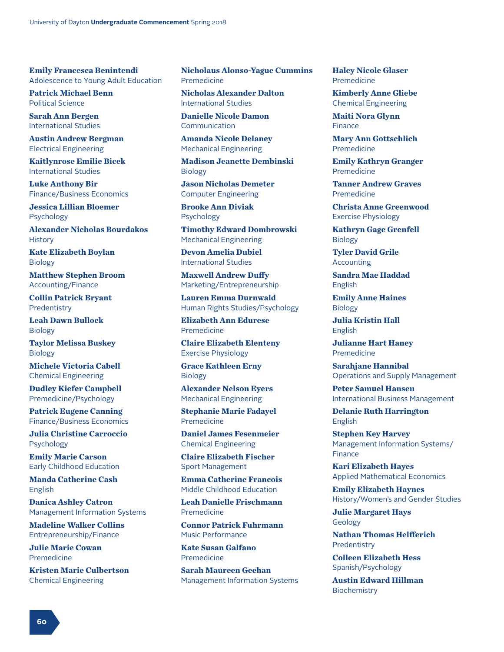**Emily Francesca Benintendi** Adolescence to Young Adult Education

**Patrick Michael Benn** Political Science

**Sarah Ann Bergen** International Studies

**Austin Andrew Bergman** Electrical Engineering

**Kaitlynrose Emilie Bicek** International Studies

**Luke Anthony Bir** Finance/Business Economics

**Jessica Lillian Bloemer** Psychology

**Alexander Nicholas Bourdakos History** 

**Kate Elizabeth Boylan** Biology

**Matthew Stephen Broom** Accounting/Finance

**Collin Patrick Bryant** Predentistry

**Leah Dawn Bullock** Biology

**Taylor Melissa Buskey** Biology

**Michele Victoria Cabell** Chemical Engineering

**Dudley Kiefer Campbell** Premedicine/Psychology

**Patrick Eugene Canning** Finance/Business Economics

**Julia Christine Carroccio** Psychology

**Emily Marie Carson** Early Childhood Education

**Manda Catherine Cash** English

**Danica Ashley Catron** Management Information Systems

**Madeline Walker Collins** Entrepreneurship/Finance

**Julie Marie Cowan** Premedicine

**Kristen Marie Culbertson** Chemical Engineering

**Nicholaus Alonso-Yague Cummins** Premedicine

**Nicholas Alexander Dalton** International Studies

**Danielle Nicole Damon** Communication

**Amanda Nicole Delaney** Mechanical Engineering

**Madison Jeanette Dembinski Biology** 

**Jason Nicholas Demeter** Computer Engineering

**Brooke Ann Diviak** Psychology

**Timothy Edward Dombrowski** Mechanical Engineering

**Devon Amelia Dubiel** International Studies

**Maxwell Andrew Duffy** Marketing/Entrepreneurship

**Lauren Emma Durnwald** Human Rights Studies/Psychology

**Elizabeth Ann Edurese** Premedicine

**Claire Elizabeth Elenteny** Exercise Physiology

**Grace Kathleen Erny Biology** 

**Alexander Nelson Eyers** Mechanical Engineering

**Stephanie Marie Fadayel** Premedicine

**Daniel James Fesenmeier** Chemical Engineering

**Claire Elizabeth Fischer** Sport Management

**Emma Catherine Francois** Middle Childhood Education

**Leah Danielle Frischmann** Premedicine

**Connor Patrick Fuhrmann** Music Performance

**Kate Susan Galfano** Premedicine

**Sarah Maureen Geehan** Management Information Systems **Haley Nicole Glaser** Premedicine

**Kimberly Anne Gliebe** Chemical Engineering

**Maiti Nora Glynn** Finance

**Mary Ann Gottschlich** Premedicine

**Emily Kathryn Granger** Premedicine

**Tanner Andrew Graves** Premedicine

**Christa Anne Greenwood** Exercise Physiology

**Kathryn Gage Grenfell** Biology

**Tyler David Grile** Accounting

**Sandra Mae Haddad** English

**Emily Anne Haines** Biology

**Julia Kristin Hall** English

**Julianne Hart Haney** Premedicine

**Sarahjane Hannibal** Operations and Supply Management

**Peter Samuel Hansen** International Business Management

**Delanie Ruth Harrington** English

**Stephen Key Harvey** Management Information Systems/ Finance

**Kari Elizabeth Hayes** Applied Mathematical Economics

**Emily Elizabeth Haynes** History/Women's and Gender Studies

**Julie Margaret Hays** Geology

**Nathan Thomas Helfferich Predentistry** 

**Colleen Elizabeth Hess** Spanish/Psychology

**Austin Edward Hillman** Biochemistry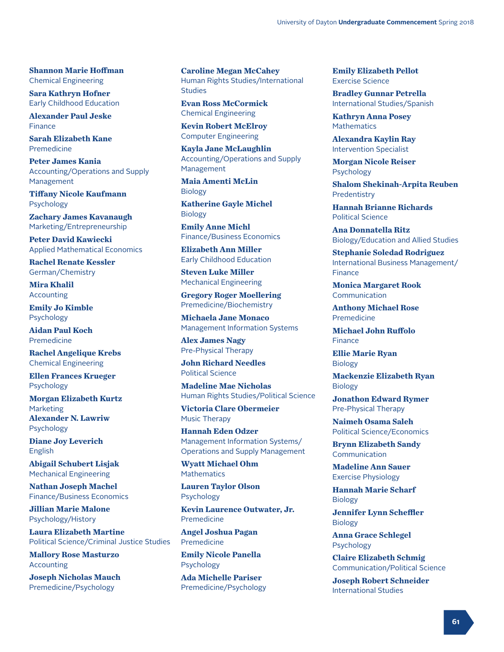**Shannon Marie Hoffman** Chemical Engineering

**Sara Kathryn Hofner** Early Childhood Education

**Alexander Paul Jeske** Finance

**Sarah Elizabeth Kane** Premedicine

**Peter James Kania** Accounting/Operations and Supply Management

**Tiffany Nicole Kaufmann** Psychology

**Zachary James Kavanaugh** Marketing/Entrepreneurship

**Peter David Kawiecki** Applied Mathematical Economics

**Rachel Renate Kessler** German/Chemistry

**Mira Khalil** Accounting

**Emily Jo Kimble** Psychology

**Aidan Paul Koch** Premedicine

**Rachel Angelique Krebs** Chemical Engineering

**Ellen Frances Krueger** Psychology

**Morgan Elizabeth Kurtz Marketing Alexander N. Lawriw** Psychology

**Diane Joy Leverich** English

**Abigail Schubert Lisjak** Mechanical Engineering

**Nathan Joseph Machel** Finance/Business Economics

**Jillian Marie Malone** Psychology/History

**Laura Elizabeth Martine** Political Science/Criminal Justice Studies

**Mallory Rose Masturzo** Accounting

**Joseph Nicholas Mauch** Premedicine/Psychology

**Caroline Megan McCahey** Human Rights Studies/International Studies

**Evan Ross McCormick** Chemical Engineering

**Kevin Robert McElroy** Computer Engineering

**Kayla Jane McLaughlin** Accounting/Operations and Supply Management

**Maia Amenti McLin** Biology

**Katherine Gayle Michel Biology Emily Anne Michl**

Finance/Business Economics

**Elizabeth Ann Miller** Early Childhood Education

**Steven Luke Miller** Mechanical Engineering

**Gregory Roger Moellering** Premedicine/Biochemistry

**Michaela Jane Monaco** Management Information Systems

**Alex James Nagy** Pre-Physical Therapy

**John Richard Needles** Political Science

**Madeline Mae Nicholas** Human Rights Studies/Political Science

**Victoria Clare Obermeier** Music Therapy

**Hannah Eden Odzer** Management Information Systems/ Operations and Supply Management

**Wyatt Michael Ohm Mathematics** 

**Lauren Taylor Olson** Psychology

**Kevin Laurence Outwater, Jr.** Premedicine

**Angel Joshua Pagan** Premedicine

**Emily Nicole Panella** Psychology

**Ada Michelle Pariser** Premedicine/Psychology **Emily Elizabeth Pellot** Exercise Science

**Bradley Gunnar Petrella** International Studies/Spanish

**Kathryn Anna Posey Mathematics** 

**Alexandra Kaylin Ray** Intervention Specialist

**Morgan Nicole Reiser** Psychology

**Shalom Shekinah-Arpita Reuben** Predentistry

**Hannah Brianne Richards** Political Science

**Ana Donnatella Ritz** Biology/Education and Allied Studies

**Stephanie Soledad Rodriguez** International Business Management/ Finance

**Monica Margaret Rook** Communication

**Anthony Michael Rose** Premedicine

**Michael John Ruffolo** Finance

**Ellie Marie Ryan** Biology

**Mackenzie Elizabeth Ryan** Biology

**Jonathon Edward Rymer** Pre-Physical Therapy

**Naimeh Osama Saleh** Political Science/Economics

**Brynn Elizabeth Sandy** Communication

**Madeline Ann Sauer** Exercise Physiology

**Hannah Marie Scharf** Biology

**Jennifer Lynn Scheffler** Biology

**Anna Grace Schlegel** Psychology

**Claire Elizabeth Schmig** Communication/Political Science

**Joseph Robert Schneider** International Studies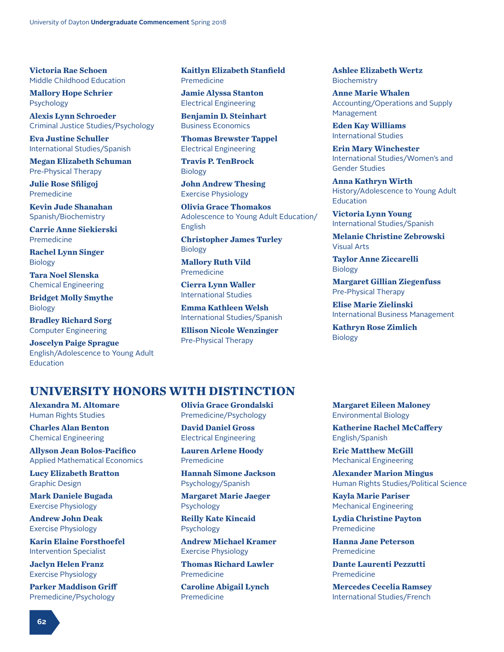**Victoria Rae Schoen** Middle Childhood Education

**Mallory Hope Schrier** Psychology

**Alexis Lynn Schroeder** Criminal Justice Studies/Psychology

**Eva Justine Schuller** International Studies/Spanish

**Megan Elizabeth Schuman** Pre-Physical Therapy

**Julie Rose Sfiligoj** Premedicine

**Kevin Jude Shanahan** Spanish/Biochemistry

**Carrie Anne Siekierski** Premedicine

**Rachel Lynn Singer** Biology

**Tara Noel Slenska** Chemical Engineering

**Bridget Molly Smythe** Biology

**Bradley Richard Sorg** Computer Engineering

**Joscelyn Paige Sprague** English/Adolescence to Young Adult Education

**Kaitlyn Elizabeth Stanfield** Premedicine

**Jamie Alyssa Stanton** Electrical Engineering

**Benjamin D. Steinhart** Business Economics

**Thomas Brewster Tappel** Electrical Engineering

**Travis P. TenBrock Biology** 

**John Andrew Thesing** Exercise Physiology

**Olivia Grace Thomakos** Adolescence to Young Adult Education/ English

**Christopher James Turley** Biology

**Mallory Ruth Vild** Premedicine

**Cierra Lynn Waller** International Studies

**Emma Kathleen Welsh** International Studies/Spanish

**Ellison Nicole Wenzinger** Pre-Physical Therapy

**Ashlee Elizabeth Wertz** Biochemistry

**Anne Marie Whalen** Accounting/Operations and Supply Management

**Eden Kay Williams** International Studies

**Erin Mary Winchester** International Studies/Women's and Gender Studies

**Anna Kathryn Wirth** History/Adolescence to Young Adult Education

**Victoria Lynn Young** International Studies/Spanish

**Melanie Christine Zebrowski** Visual Arts

**Taylor Anne Ziccarelli** Biology

**Margaret Gillian Ziegenfuss** Pre-Physical Therapy

**Elise Marie Zielinski** International Business Management

**Kathryn Rose Zimlich** Biology

# **UNIVERSITY HONORS WITH DISTINCTION**

**Alexandra M. Altomare** Human Rights Studies

**Charles Alan Benton** Chemical Engineering

**Allyson Jean Bolos-Pacifico** Applied Mathematical Economics

**Lucy Elizabeth Bratton** Graphic Design

**Mark Daniele Bugada** Exercise Physiology

**Andrew John Deak** Exercise Physiology

**Karin Elaine Forsthoefel** Intervention Specialist

**Jaclyn Helen Franz** Exercise Physiology

**Parker Maddison Griff** Premedicine/Psychology

**Olivia Grace Grondalski** Premedicine/Psychology

**David Daniel Gross** Electrical Engineering

**Lauren Arlene Hoody** Premedicine

**Hannah Simone Jackson** Psychology/Spanish

**Margaret Marie Jaeger** Psychology

**Reilly Kate Kincaid** Psychology

**Andrew Michael Kramer** Exercise Physiology

**Thomas Richard Lawler** Premedicine

**Caroline Abigail Lynch** Premedicine

**Margaret Eileen Maloney** Environmental Biology

**Katherine Rachel McCaffery** English/Spanish

**Eric Matthew McGill** Mechanical Engineering

**Alexander Marion Mingus** Human Rights Studies/Political Science

**Kayla Marie Pariser** Mechanical Engineering

**Lydia Christine Payton** Premedicine

**Hanna Jane Peterson** Premedicine

**Dante Laurenti Pezzutti** Premedicine

**Mercedes Cecelia Ramsey** International Studies/French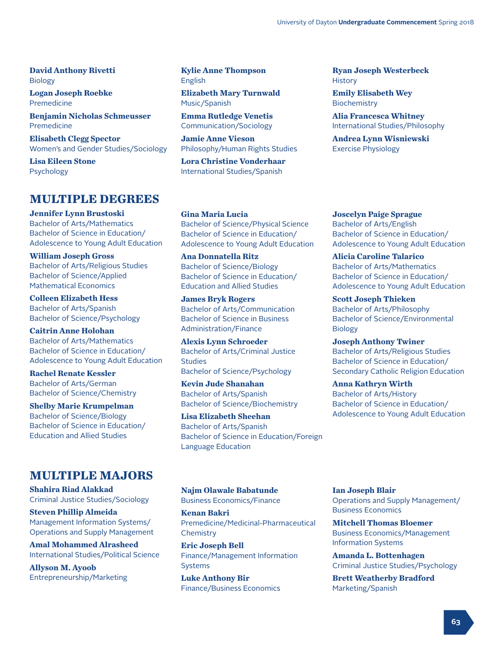**David Anthony Rivetti** Biology

**Logan Joseph Roebke** Premedicine

**Benjamin Nicholas Schmeusser** Premedicine

**Elisabeth Clegg Spector** Women's and Gender Studies/Sociology

**Lisa Eileen Stone** Psychology

# **MULTIPLE DEGREES**

**Jennifer Lynn Brustoski** Bachelor of Arts/Mathematics Bachelor of Science in Education/ Adolescence to Young Adult Education

**William Joseph Gross** Bachelor of Arts/Religious Studies Bachelor of Science/Applied Mathematical Economics

**Colleen Elizabeth Hess** Bachelor of Arts/Spanish Bachelor of Science/Psychology

**Caitrin Anne Holohan** Bachelor of Arts/Mathematics Bachelor of Science in Education/ Adolescence to Young Adult Education

**Rachel Renate Kessler** Bachelor of Arts/German Bachelor of Science/Chemistry

**Shelby Marie Krumpelman** Bachelor of Science/Biology Bachelor of Science in Education/ Education and Allied Studies

**Kylie Anne Thompson** English

**Elizabeth Mary Turnwald** Music/Spanish

**Emma Rutledge Venetis** Communication/Sociology

**Jamie Anne Vieson** Philosophy/Human Rights Studies

**Lora Christine Vonderhaar** International Studies/Spanish

**Ryan Joseph Westerbeck History** 

**Emily Elisabeth Wey** Biochemistry

**Alia Francesca Whitney** International Studies/Philosophy

**Andrea Lynn Wisniewski** Exercise Physiology

**Gina Maria Lucia** Bachelor of Science/Physical Science Bachelor of Science in Education/ Adolescence to Young Adult Education

**Ana Donnatella Ritz** Bachelor of Science/Biology Bachelor of Science in Education/ Education and Allied Studies

**James Bryk Rogers** Bachelor of Arts/Communication Bachelor of Science in Business Administration/Finance

**Alexis Lynn Schroeder** Bachelor of Arts/Criminal Justice **Studies** Bachelor of Science/Psychology

**Kevin Jude Shanahan** Bachelor of Arts/Spanish Bachelor of Science/Biochemistry

**Lisa Elizabeth Sheehan** Bachelor of Arts/Spanish Bachelor of Science in Education/Foreign Language Education

**Joscelyn Paige Sprague** Bachelor of Arts/English Bachelor of Science in Education/ Adolescence to Young Adult Education

**Alicia Caroline Talarico** Bachelor of Arts/Mathematics Bachelor of Science in Education/ Adolescence to Young Adult Education

**Scott Joseph Thieken** Bachelor of Arts/Philosophy Bachelor of Science/Environmental Biology

**Joseph Anthony Twiner** Bachelor of Arts/Religious Studies Bachelor of Science in Education/ Secondary Catholic Religion Education

**Anna Kathryn Wirth** Bachelor of Arts/History Bachelor of Science in Education/ Adolescence to Young Adult Education

# **MULTIPLE MAJORS**

**Shahira Riad Alakkad** Criminal Justice Studies/Sociology

**Steven Phillip Almeida** Management Information Systems/ Operations and Supply Management

**Amal Mohammed Alrasheed** International Studies/Political Science

**Allyson M. Ayoob** Entrepreneurship/Marketing **Najm Olawale Babatunde** Business Economics/Finance

**Kenan Bakri** Premedicine/Medicinal-Pharmaceutical **Chemistry** 

**Eric Joseph Bell** Finance/Management Information **Systems** 

**Luke Anthony Bir** Finance/Business Economics **Ian Joseph Blair** Operations and Supply Management/ Business Economics

**Mitchell Thomas Bloemer** Business Economics/Management Information Systems

**Amanda L. Bottenhagen** Criminal Justice Studies/Psychology

**Brett Weatherby Bradford** Marketing/Spanish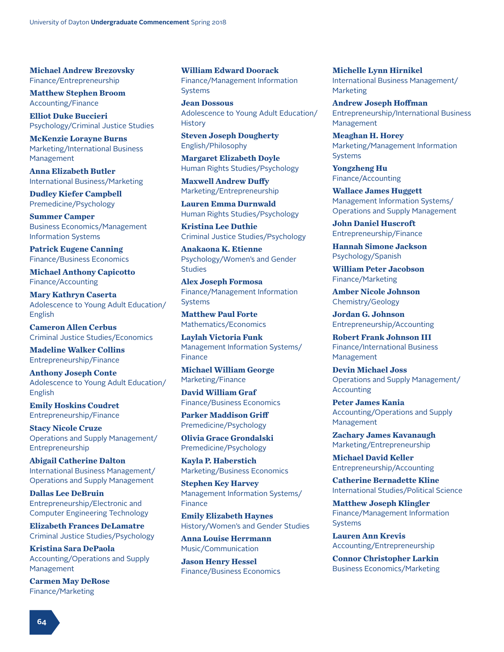**Michael Andrew Brezovsky** Finance/Entrepreneurship

**Matthew Stephen Broom** Accounting/Finance

**Elliot Duke Buccieri** Psychology/Criminal Justice Studies

**McKenzie Lorayne Burns** Marketing/International Business Management

**Anna Elizabeth Butler** International Business/Marketing

**Dudley Kiefer Campbell** Premedicine/Psychology

**Summer Camper** Business Economics/Management Information Systems

**Patrick Eugene Canning** Finance/Business Economics

**Michael Anthony Capicotto** Finance/Accounting

**Mary Kathryn Caserta** Adolescence to Young Adult Education/ English

**Cameron Allen Cerbus** Criminal Justice Studies/Economics

**Madeline Walker Collins** Entrepreneurship/Finance

**Anthony Joseph Conte** Adolescence to Young Adult Education/ English

**Emily Hoskins Coudret** Entrepreneurship/Finance

**Stacy Nicole Cruze** Operations and Supply Management/ Entrepreneurship

**Abigail Catherine Dalton** International Business Management/ Operations and Supply Management

**Dallas Lee DeBruin** Entrepreneurship/Electronic and Computer Engineering Technology

**Elizabeth Frances DeLamatre** Criminal Justice Studies/Psychology

**Kristina Sara DePaola** Accounting/Operations and Supply Management

**Carmen May DeRose** Finance/Marketing

**William Edward Doorack** Finance/Management Information Systems

**Jean Dossous** Adolescence to Young Adult Education/ **History** 

**Steven Joseph Dougherty** English/Philosophy

**Margaret Elizabeth Doyle** Human Rights Studies/Psychology

**Maxwell Andrew Duffy** Marketing/Entrepreneurship

**Lauren Emma Durnwald** Human Rights Studies/Psychology

**Kristina Lee Duthie** Criminal Justice Studies/Psychology

**Anakaona K. Etienne** Psychology/Women's and Gender **Studies** 

**Alex Joseph Formosa** Finance/Management Information **Systems** 

**Matthew Paul Forte** Mathematics/Economics

**Laylah Victoria Funk** Management Information Systems/ Finance

**Michael William George** Marketing/Finance

**David William Graf** Finance/Business Economics

**Parker Maddison Griff** Premedicine/Psychology

**Olivia Grace Grondalski** Premedicine/Psychology

**Kayla P. Haberstich** Marketing/Business Economics

**Stephen Key Harvey** Management Information Systems/ Finance

**Emily Elizabeth Haynes** History/Women's and Gender Studies

**Anna Louise Herrmann** Music/Communication

**Jason Henry Hessel** Finance/Business Economics **Michelle Lynn Hirnikel** International Business Management/ Marketing

**Andrew Joseph Hoffman** Entrepreneurship/International Business Management

**Meaghan H. Horey** Marketing/Management Information Systems

**Yongzheng Hu** Finance/Accounting

**Wallace James Huggett** Management Information Systems/ Operations and Supply Management

**John Daniel Huscroft** Entrepreneurship/Finance

**Hannah Simone Jackson** Psychology/Spanish

**William Peter Jacobson** Finance/Marketing

**Amber Nicole Johnson** Chemistry/Geology

**Jordan G. Johnson** Entrepreneurship/Accounting

**Robert Frank Johnson III** Finance/International Business Management

**Devin Michael Joss** Operations and Supply Management/ Accounting

**Peter James Kania** Accounting/Operations and Supply Management

**Zachary James Kavanaugh** Marketing/Entrepreneurship

**Michael David Keller** Entrepreneurship/Accounting

**Catherine Bernadette Kline** International Studies/Political Science

**Matthew Joseph Klingler** Finance/Management Information Systems

**Lauren Ann Krevis** Accounting/Entrepreneurship

**Connor Christopher Larkin** Business Economics/Marketing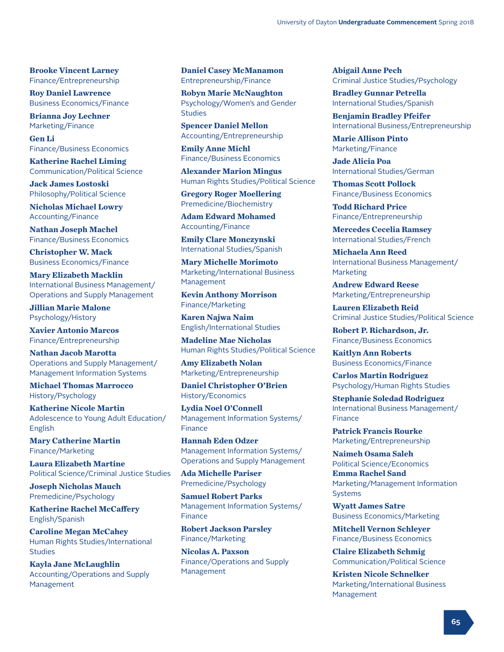**Brooke Vincent Larney** Finance/Entrepreneurship

**Roy Daniel Lawrence** Business Economics/Finance

**Brianna Joy Lechner** Marketing/Finance

**Gen Li** Finance/Business Economics

**Katherine Rachel Liming** Communication/Political Science

**Jack James Lostoski** Philosophy/Political Science

**Nicholas Michael Lowry** Accounting/Finance

**Nathan Joseph Machel** Finance/Business Economics

**Christopher W. Mack** Business Economics/Finance

**Mary Elizabeth Macklin** International Business Management/ Operations and Supply Management

**Jillian Marie Malone** Psychology/History

**Xavier Antonio Marcos** Finance/Entrepreneurship

**Nathan Jacob Marotta** Operations and Supply Management/ Management Information Systems

**Michael Thomas Marrocco** History/Psychology

**Katherine Nicole Martin** Adolescence to Young Adult Education/ English

**Mary Catherine Martin** Finance/Marketing

**Laura Elizabeth Martine** Political Science/Criminal Justice Studies

**Joseph Nicholas Mauch** Premedicine/Psychology

**Katherine Rachel McCaffery** English/Spanish

**Caroline Megan McCahey** Human Rights Studies/International Studies

**Kayla Jane McLaughlin** Accounting/Operations and Supply Management

**Daniel Casey McManamon** Entrepreneurship/Finance

**Robyn Marie McNaughton** Psychology/Women's and Gender Studies

**Spencer Daniel Mellon** Accounting/Entrepreneurship

**Emily Anne Michl** Finance/Business Economics

**Alexander Marion Mingus** Human Rights Studies/Political Science

**Gregory Roger Moellering** Premedicine/Biochemistry

**Adam Edward Mohamed** Accounting/Finance

**Emily Clare Monczynski** International Studies/Spanish

**Mary Michelle Morimoto** Marketing/International Business Management

**Kevin Anthony Morrison** Finance/Marketing

**Karen Najwa Naim** English/International Studies

**Madeline Mae Nicholas** Human Rights Studies/Political Science

**Amy Elizabeth Nolan** Marketing/Entrepreneurship

**Daniel Christopher O'Brien** History/Economics

**Lydia Noel O'Connell** Management Information Systems/ Finance

**Hannah Eden Odzer** Management Information Systems/ Operations and Supply Management

**Ada Michelle Pariser** Premedicine/Psychology

**Samuel Robert Parks** Management Information Systems/ Finance

**Robert Jackson Parsley** Finance/Marketing

**Nicolas A. Paxson** Finance/Operations and Supply Management

**Abigail Anne Pech** Criminal Justice Studies/Psychology

**Bradley Gunnar Petrella** International Studies/Spanish

**Benjamin Bradley Pfeifer** International Business/Entrepreneurship

**Marie Allison Pinto** Marketing/Finance

**Jade Alicia Poa** International Studies/German

**Thomas Scott Pollock** Finance/Business Economics

**Todd Richard Price** Finance/Entrepreneurship

**Mercedes Cecelia Ramsey** International Studies/French

**Michaela Ann Reed** International Business Management/ Marketing

**Andrew Edward Reese** Marketing/Entrepreneurship

**Lauren Elizabeth Reid** Criminal Justice Studies/Political Science

**Robert P. Richardson, Jr.** Finance/Business Economics

**Kaitlyn Ann Roberts** Business Economics/Finance

**Carlos Martin Rodriguez** Psychology/Human Rights Studies

**Stephanie Soledad Rodriguez** International Business Management/ Finance

**Patrick Francis Rourke** Marketing/Entrepreneurship

**Naimeh Osama Saleh** Political Science/Economics **Emma Rachel Sand** Marketing/Management Information Systems

**Wyatt James Satre** Business Economics/Marketing

**Mitchell Vernon Schleyer** Finance/Business Economics

**Claire Elizabeth Schmig** Communication/Political Science

**Kristen Nicole Schnelker** Marketing/International Business Management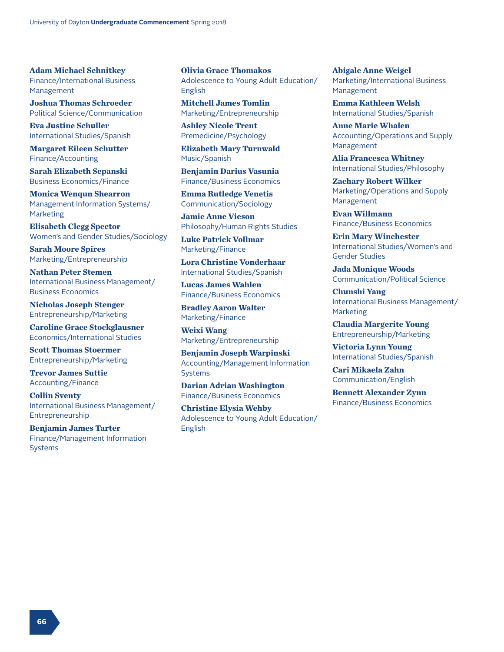#### **Adam Michael Schnitkey**

Finance/International Business Management

**Joshua Thomas Schroeder** Political Science/Communication

**Eva Justine Schuller** International Studies/Spanish

**Margaret Eileen Schutter** Finance/Accounting

**Sarah Elizabeth Sepanski** Business Economics/Finance

**Monica Wenqun Shearron** Management Information Systems/ Marketing

**Elisabeth Clegg Spector** Women's and Gender Studies/Sociology

**Sarah Moore Spires** Marketing/Entrepreneurship

**Nathan Peter Stemen** International Business Management/ Business Economics

**Nicholas Joseph Stenger** Entrepreneurship/Marketing

**Caroline Grace Stockglausner** Economics/International Studies

**Scott Thomas Stoermer** Entrepreneurship/Marketing

**Trevor James Suttie** Accounting/Finance

**Collin Sventy** International Business Management/ Entrepreneurship

**Benjamin James Tarter** Finance/Management Information Systems

**Olivia Grace Thomakos** Adolescence to Young Adult Education/ English

**Mitchell James Tomlin** Marketing/Entrepreneurship

**Ashley Nicole Trent** Premedicine/Psychology

**Elizabeth Mary Turnwald** Music/Spanish

**Benjamin Darius Vasunia** Finance/Business Economics

**Emma Rutledge Venetis** Communication/Sociology

**Jamie Anne Vieson** Philosophy/Human Rights Studies

**Luke Patrick Vollmar** Marketing/Finance

**Lora Christine Vonderhaar** International Studies/Spanish

**Lucas James Wahlen** Finance/Business Economics

**Bradley Aaron Walter** Marketing/Finance

**Weixi Wang** Marketing/Entrepreneurship

**Benjamin Joseph Warpinski** Accounting/Management Information Systems

**Darian Adrian Washington** Finance/Business Economics

**Christine Elysia Wehby** Adolescence to Young Adult Education/ English

**Abigale Anne Weigel** Marketing/International Business Management

**Emma Kathleen Welsh** International Studies/Spanish

**Anne Marie Whalen** Accounting/Operations and Supply Management

**Alia Francesca Whitney** International Studies/Philosophy

**Zachary Robert Wilker** Marketing/Operations and Supply Management

**Evan Willmann** Finance/Business Economics

**Erin Mary Winchester** International Studies/Women's and Gender Studies

**Jada Monique Woods** Communication/Political Science

**Chunshi Yang** International Business Management/ Marketing

**Claudia Margerite Young** Entrepreneurship/Marketing

**Victoria Lynn Young** International Studies/Spanish

**Cari Mikaela Zahn** Communication/English

**Bennett Alexander Zynn** Finance/Business Economics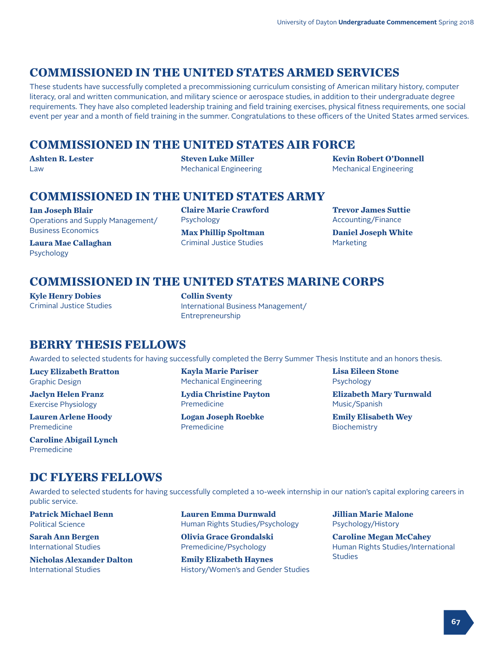# **COMMISSIONED IN THE UNITED STATES ARMED SERVICES**

These students have successfully completed a precommissioning curriculum consisting of American military history, computer literacy, oral and written communication, and military science or aerospace studies, in addition to their undergraduate degree requirements. They have also completed leadership training and field training exercises, physical fitness requirements, one social event per year and a month of field training in the summer. Congratulations to these officers of the United States armed services.

# **COMMISSIONED IN THE UNITED STATES AIR FORCE**

**Ashten R. Lester** Law

**Steven Luke Miller** Mechanical Engineering

**Kevin Robert O'Donnell** Mechanical Engineering

# **COMMISSIONED IN THE UNITED STATES ARMY**

**Ian Joseph Blair**  Operations and Supply Management/ Business Economics

**Laura Mae Callaghan** Psychology

**Claire Marie Crawford** Psychology

**Max Phillip Spoltman** Criminal Justice Studies

**Trevor James Suttie** Accounting/Finance

**Daniel Joseph White** Marketing

# **COMMISSIONED IN THE UNITED STATES MARINE CORPS**

**Kyle Henry Dobies**  Criminal Justice Studies **Collin Sventy** International Business Management/ Entrepreneurship

# **BERRY THESIS FELLOWS**

Awarded to selected students for having successfully completed the Berry Summer Thesis Institute and an honors thesis.

**Lucy Elizabeth Bratton** Graphic Design

**Jaclyn Helen Franz** Exercise Physiology

**Lauren Arlene Hoody** Premedicine

**Caroline Abigail Lynch** Premedicine

**Kayla Marie Pariser** Mechanical Engineering

**Lydia Christine Payton** Premedicine

**Logan Joseph Roebke** Premedicine

**Lisa Eileen Stone** Psychology

**Elizabeth Mary Turnwald** Music/Spanish

**Emily Elisabeth Wey Biochemistry** 

# **DC FLYERS FELLOWS**

Awarded to selected students for having successfully completed a 10-week internship in our nation's capital exploring careers in public service.

**Patrick Michael Benn** Political Science

**Sarah Ann Bergen** International Studies

**Nicholas Alexander Dalton** International Studies

**Lauren Emma Durnwald** Human Rights Studies/Psychology

**Olivia Grace Grondalski** Premedicine/Psychology

**Emily Elizabeth Haynes** History/Women's and Gender Studies **Jillian Marie Malone** Psychology/History

**Caroline Megan McCahey** Human Rights Studies/International **Studies**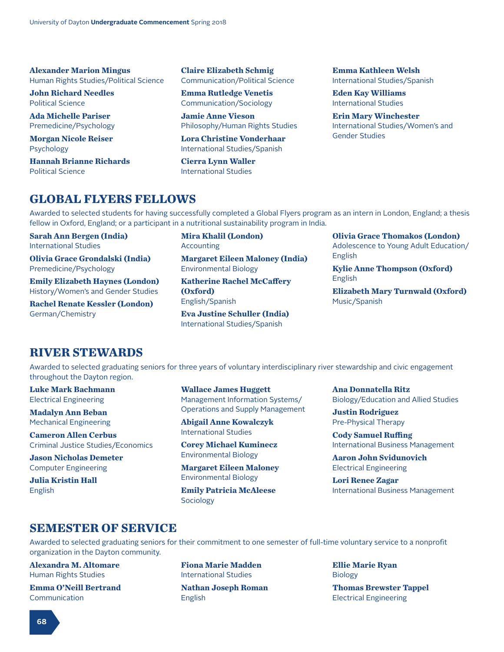**Alexander Marion Mingus** Human Rights Studies/Political Science

**John Richard Needles** Political Science

**Ada Michelle Pariser** Premedicine/Psychology

**Morgan Nicole Reiser** Psychology

**Hannah Brianne Richards** Political Science

**Claire Elizabeth Schmig** Communication/Political Science

**Emma Rutledge Venetis** Communication/Sociology

**Jamie Anne Vieson** Philosophy/Human Rights Studies

**Lora Christine Vonderhaar** International Studies/Spanish

**Cierra Lynn Waller** International Studies

**Emma Kathleen Welsh** International Studies/Spanish

**Eden Kay Williams** International Studies

**Erin Mary Winchester** International Studies/Women's and Gender Studies

# **GLOBAL FLYERS FELLOWS**

Awarded to selected students for having successfully completed a Global Flyers program as an intern in London, England; a thesis fellow in Oxford, England; or a participant in a nutritional sustainability program in India.

**Sarah Ann Bergen (India)** International Studies

**Olivia Grace Grondalski (India)** Premedicine/Psychology

**Emily Elizabeth Haynes (London)** History/Women's and Gender Studies

**Rachel Renate Kessler (London)** German/Chemistry

**Mira Khalil (London)** Accounting

**Margaret Eileen Maloney (India)** Environmental Biology

**Katherine Rachel McCaffery (Oxford)** English/Spanish

**Eva Justine Schuller (India)** International Studies/Spanish

**Olivia Grace Thomakos (London)** Adolescence to Young Adult Education/ English

**Kylie Anne Thompson (Oxford)** English

**Elizabeth Mary Turnwald (Oxford)** Music/Spanish

# **RIVER STEWARDS**

Awarded to selected graduating seniors for three years of voluntary interdisciplinary river stewardship and civic engagement throughout the Dayton region.

**Luke Mark Bachmann** Electrical Engineering

**Madalyn Ann Beban** Mechanical Engineering

**Cameron Allen Cerbus** Criminal Justice Studies/Economics

**Jason Nicholas Demeter** Computer Engineering

**Julia Kristin Hall** English

**Wallace James Huggett** Management Information Systems/ Operations and Supply Management

**Abigail Anne Kowalczyk** International Studies

**Corey Michael Kuminecz** Environmental Biology

**Margaret Eileen Maloney**  Environmental Biology

**Emily Patricia McAleese** Sociology

**Ana Donnatella Ritz** Biology/Education and Allied Studies

**Justin Rodriguez** Pre-Physical Therapy

**Cody Samuel Ruffing** International Business Management

**Aaron John Svidunovich** Electrical Engineering

**Lori Renee Zagar** International Business Management

# **SEMESTER OF SERVICE**

Awarded to selected graduating seniors for their commitment to one semester of full-time voluntary service to a nonprofit organization in the Dayton community.

**Alexandra M. Altomare** Human Rights Studies

**Emma O'Neill Bertrand** Communication

**Fiona Marie Madden** International Studies

**Nathan Joseph Roman** English

**Ellie Marie Ryan** Biology

**Thomas Brewster Tappel** Electrical Engineering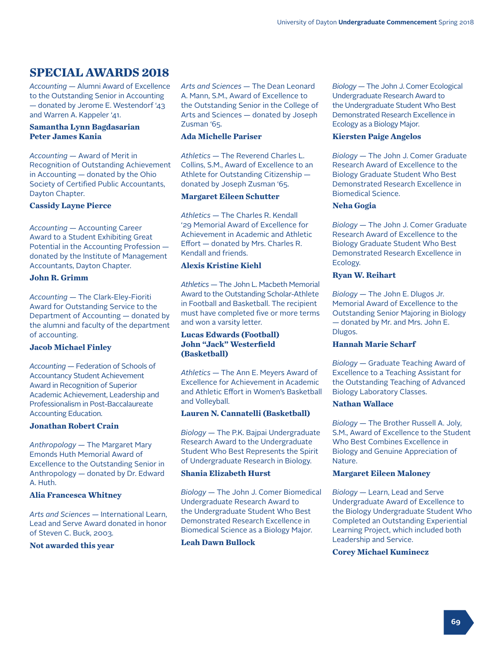# **SPECIAL AWARDS 2018**

*Accounting* — Alumni Award of Excellence to the Outstanding Senior in Accounting — donated by Jerome E. Westendorf '43 and Warren A. Kappeler '41.

## **Samantha Lynn Bagdasarian Peter James Kania**

*Accounting* — Award of Merit in Recognition of Outstanding Achievement in Accounting — donated by the Ohio Society of Certified Public Accountants, Dayton Chapter.

# **Cassidy Layne Pierce**

*Accounting* — Accounting Career Award to a Student Exhibiting Great Potential in the Accounting Profession donated by the Institute of Management Accountants, Dayton Chapter.

## **John R. Grimm**

*Accounting* — The Clark-Eley-Fioriti Award for Outstanding Service to the Department of Accounting — donated by the alumni and faculty of the department of accounting.

## **Jacob Michael Finley**

*Accounting* — Federation of Schools of Accountancy Student Achievement Award in Recognition of Superior Academic Achievement, Leadership and Professionalism in Post-Baccalaureate Accounting Education.

## **Jonathan Robert Crain**

*Anthropology* — The Margaret Mary Emonds Huth Memorial Award of Excellence to the Outstanding Senior in Anthropology — donated by Dr. Edward A. Huth.

## **Alia Francesca Whitney**

*Arts and Sciences* — International Learn, Lead and Serve Award donated in honor of Steven C. Buck, 2003.

## **Not awarded this year**

*Arts and Sciences* — The Dean Leonard A. Mann, S.M., Award of Excellence to the Outstanding Senior in the College of Arts and Sciences — donated by Joseph Zusman '65.

## **Ada Michelle Pariser**

*Athletics* — The Reverend Charles L. Collins, S.M., Award of Excellence to an Athlete for Outstanding Citizenship donated by Joseph Zusman '65.

## **Margaret Eileen Schutter**

*Athletics* — The Charles R. Kendall '29 Memorial Award of Excellence for Achievement in Academic and Athletic Effort — donated by Mrs. Charles R. Kendall and friends.

## **Alexis Kristine Kiehl**

*Athletics* — The John L. Macbeth Memorial Award to the Outstanding Scholar-Athlete in Football and Basketball. The recipient must have completed five or more terms and won a varsity letter.

### **Lucas Edwards (Football) John "Jack" Westerfield (Basketball)**

*Athletics* — The Ann E. Meyers Award of Excellence for Achievement in Academic and Athletic Effort in Women's Basketball and Volleyball.

## **Lauren N. Cannatelli (Basketball)**

*Biology* — The P.K. Bajpai Undergraduate Research Award to the Undergraduate Student Who Best Represents the Spirit of Undergraduate Research in Biology.

## **Shania Elizabeth Hurst**

*Biology* — The John J. Comer Biomedical Undergraduate Research Award to the Undergraduate Student Who Best Demonstrated Research Excellence in Biomedical Science as a Biology Major.

## **Leah Dawn Bullock**

*Biology* — The John J. Comer Ecological Undergraduate Research Award to the Undergraduate Student Who Best Demonstrated Research Excellence in Ecology as a Biology Major.

## **Kiersten Paige Angelos**

*Biology* — The John J. Comer Graduate Research Award of Excellence to the Biology Graduate Student Who Best Demonstrated Research Excellence in Biomedical Science.

## **Neha Gogia**

*Biology* — The John J. Comer Graduate Research Award of Excellence to the Biology Graduate Student Who Best Demonstrated Research Excellence in Ecology.

## **Ryan W. Reihart**

*Biology* — The John E. Dlugos Jr. Memorial Award of Excellence to the Outstanding Senior Majoring in Biology — donated by Mr. and Mrs. John E. Dlugos.

## **Hannah Marie Scharf**

*Biology* — Graduate Teaching Award of Excellence to a Teaching Assistant for the Outstanding Teaching of Advanced Biology Laboratory Classes.

## **Nathan Wallace**

*Biology* — The Brother Russell A. Joly, S.M., Award of Excellence to the Student Who Best Combines Excellence in Biology and Genuine Appreciation of Nature.

## **Margaret Eileen Maloney**

*Biology* — Learn, Lead and Serve Undergraduate Award of Excellence to the Biology Undergraduate Student Who Completed an Outstanding Experiential Learning Project, which included both Leadership and Service.

## **Corey Michael Kuminecz**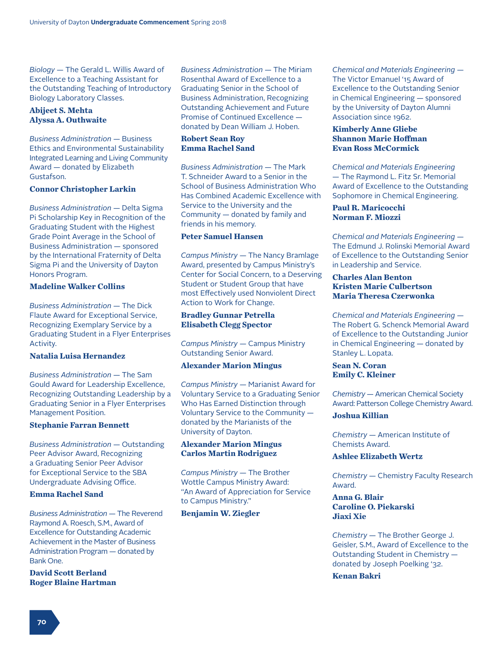*Biology* — The Gerald L. Willis Award of Excellence to a Teaching Assistant for the Outstanding Teaching of Introductory Biology Laboratory Classes.

## **Abijeet S. Mehta Alyssa A. Outhwaite**

*Business Administration* — Business Ethics and Environmental Sustainability Integrated Learning and Living Community Award — donated by Elizabeth Gustafson.

### **Connor Christopher Larkin**

*Business Administration* — Delta Sigma Pi Scholarship Key in Recognition of the Graduating Student with the Highest Grade Point Average in the School of Business Administration — sponsored by the International Fraternity of Delta Sigma Pi and the University of Dayton Honors Program.

#### **Madeline Walker Collins**

*Business Administration* — The Dick Flaute Award for Exceptional Service, Recognizing Exemplary Service by a Graduating Student in a Flyer Enterprises Activity.

#### **Natalia Luisa Hernandez**

*Business Administration* — The Sam Gould Award for Leadership Excellence, Recognizing Outstanding Leadership by a Graduating Senior in a Flyer Enterprises Management Position.

#### **Stephanie Farran Bennett**

*Business Administration* — Outstanding Peer Advisor Award, Recognizing a Graduating Senior Peer Advisor for Exceptional Service to the SBA Undergraduate Advising Office.

### **Emma Rachel Sand**

*Business Administration* — The Reverend Raymond A. Roesch, S.M., Award of Excellence for Outstanding Academic Achievement in the Master of Business Administration Program — donated by Bank One.

**David Scott Berland Roger Blaine Hartman**

*Business Administration* — The Miriam Rosenthal Award of Excellence to a Graduating Senior in the School of Business Administration, Recognizing Outstanding Achievement and Future Promise of Continued Excellence donated by Dean William J. Hoben.

#### **Robert Sean Roy Emma Rachel Sand**

*Business Administration* — The Mark T. Schneider Award to a Senior in the School of Business Administration Who Has Combined Academic Excellence with Service to the University and the Community — donated by family and friends in his memory.

#### **Peter Samuel Hansen**

*Campus Ministry* — The Nancy Bramlage Award, presented by Campus Ministry's Center for Social Concern, to a Deserving Student or Student Group that have most Effectively used Nonviolent Direct Action to Work for Change.

### **Bradley Gunnar Petrella Elisabeth Clegg Spector**

*Campus Ministry* — Campus Ministry Outstanding Senior Award.

#### **Alexander Marion Mingus**

*Campus Ministry* — Marianist Award for Voluntary Service to a Graduating Senior Who Has Earned Distinction through Voluntary Service to the Community donated by the Marianists of the University of Dayton.

### **Alexander Marion Mingus Carlos Martin Rodriguez**

*Campus Ministry* — The Brother Wottle Campus Ministry Award: "An Award of Appreciation for Service to Campus Ministry."

#### **Benjamin W. Ziegler**

*Chemical and Materials Engineering* — The Victor Emanuel '15 Award of Excellence to the Outstanding Senior in Chemical Engineering — sponsored by the University of Dayton Alumni Association since 1962.

### **Kimberly Anne Gliebe Shannon Marie Hoffman Evan Ross McCormick**

*Chemical and Materials Engineering* — The Raymond L. Fitz Sr. Memorial Award of Excellence to the Outstanding Sophomore in Chemical Engineering.

**Paul R. Maricocchi Norman F. Miozzi**

*Chemical and Materials Engineering* — The Edmund J. Rolinski Memorial Award of Excellence to the Outstanding Senior in Leadership and Service.

#### **Charles Alan Benton Kristen Marie Culbertson Maria Theresa Czerwonka**

*Chemical and Materials Engineering* — The Robert G. Schenck Memorial Award of Excellence to the Outstanding Junior in Chemical Engineering — donated by Stanley L. Lopata.

**Sean N. Coran Emily C. Kleiner**

*Chemistry* — American Chemical Society Award: Patterson College Chemistry Award.

#### **Joshua Killian**

*Chemistry* — American Institute of Chemists Award.

#### **Ashlee Elizabeth Wertz**

*Chemistry* — Chemistry Faculty Research Award.

**Anna G. Blair Caroline O. Piekarski Jiaxi Xie**

*Chemistry* — The Brother George J. Geisler, S.M., Award of Excellence to the Outstanding Student in Chemistry donated by Joseph Poelking '32.

#### **Kenan Bakri**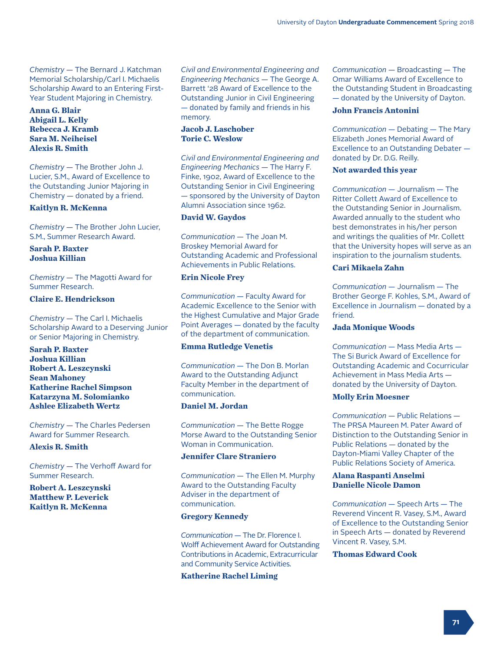*Chemistry* — The Bernard J. Katchman Memorial Scholarship/Carl I. Michaelis Scholarship Award to an Entering First-Year Student Majoring in Chemistry.

**Anna G. Blair Abigail L. Kelly Rebecca J. Kramb Sara M. Neiheisel Alexis R. Smith** 

*Chemistry* — The Brother John J. Lucier, S.M., Award of Excellence to the Outstanding Junior Majoring in Chemistry — donated by a friend.

### **Kaitlyn R. McKenna**

*Chemistry* — The Brother John Lucier, S.M., Summer Research Award.

## **Sarah P. Baxter Joshua Killian**

*Chemistry* — The Magotti Award for Summer Research.

## **Claire E. Hendrickson**

*Chemistry* — The Carl I. Michaelis Scholarship Award to a Deserving Junior or Senior Majoring in Chemistry.

**Sarah P. Baxter Joshua Killian Robert A. Leszcynski Sean Mahoney Katherine Rachel Simpson Katarzyna M. Solomianko Ashlee Elizabeth Wertz**

*Chemistry* — The Charles Pedersen Award for Summer Research.

## **Alexis R. Smith**

*Chemistry* — The Verhoff Award for Summer Research.

**Robert A. Leszcynski Matthew P. Leverick Kaitlyn R. McKenna**

*Civil and Environmental Engineering and Engineering Mechanics* — The George A. Barrett '28 Award of Excellence to the Outstanding Junior in Civil Engineering — donated by family and friends in his memory.

## **Jacob J. Laschober Torie C. Weslow**

*Civil and Environmental Engineering and Engineering Mechanics* — The Harry F. Finke, 1902, Award of Excellence to the Outstanding Senior in Civil Engineering — sponsored by the University of Dayton Alumni Association since 1962.

## **David W. Gaydos**

*Communication* — The Joan M. Broskey Memorial Award for Outstanding Academic and Professional Achievements in Public Relations.

#### **Erin Nicole Frey**

*Communication* — Faculty Award for Academic Excellence to the Senior with the Highest Cumulative and Major Grade Point Averages — donated by the faculty of the department of communication.

## **Emma Rutledge Venetis**

*Communication* — The Don B. Morlan Award to the Outstanding Adjunct Faculty Member in the department of communication.

## **Daniel M. Jordan**

*Communication* — The Bette Rogge Morse Award to the Outstanding Senior Woman in Communication.

## **Jennifer Clare Straniero**

*Communication* — The Ellen M. Murphy Award to the Outstanding Faculty Adviser in the department of communication.

#### **Gregory Kennedy**

*Communication* — The Dr. Florence I. Wolff Achievement Award for Outstanding Contributions in Academic, Extracurricular and Community Service Activities.

## **Katherine Rachel Liming**

*Communication* — Broadcasting — The Omar Williams Award of Excellence to the Outstanding Student in Broadcasting — donated by the University of Dayton.

### **John Francis Antonini**

*Communication* — Debating — The Mary Elizabeth Jones Memorial Award of Excellence to an Outstanding Debater donated by Dr. D.G. Reilly.

### **Not awarded this year**

*Communication* — Journalism — The Ritter Collett Award of Excellence to the Outstanding Senior in Journalism. Awarded annually to the student who best demonstrates in his/her person and writings the qualities of Mr. Collett that the University hopes will serve as an inspiration to the journalism students.

## **Cari Mikaela Zahn**

*Communication* — Journalism — The Brother George F. Kohles, S.M., Award of Excellence in Journalism — donated by a friend.

#### **Jada Monique Woods**

*Communication* — Mass Media Arts — The Si Burick Award of Excellence for Outstanding Academic and Cocurricular Achievement in Mass Media Arts donated by the University of Dayton.

## **Molly Erin Moesner**

*Communication* — Public Relations — The PRSA Maureen M. Pater Award of Distinction to the Outstanding Senior in Public Relations — donated by the Dayton-Miami Valley Chapter of the Public Relations Society of America.

### **Alana Raspanti Anselmi Danielle Nicole Damon**

*Communication* — Speech Arts — The Reverend Vincent R. Vasey, S.M., Award of Excellence to the Outstanding Senior in Speech Arts — donated by Reverend Vincent R. Vasey, S.M.

### **Thomas Edward Cook**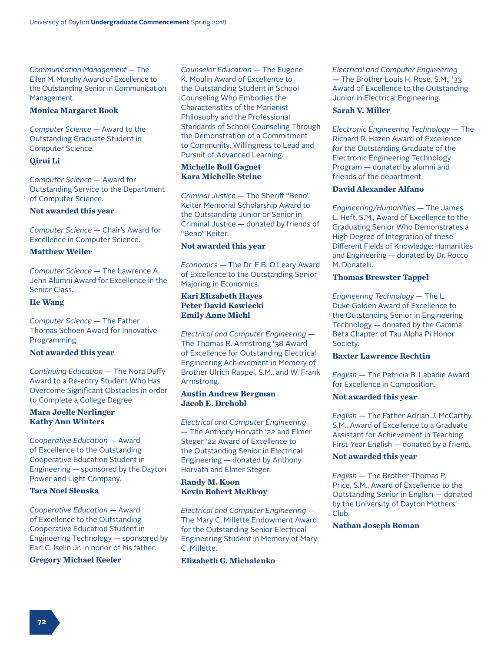*Communication Management* — The Ellen M. Murphy Award of Excellence to the Outstanding Senior in Communication Management.

#### **Monica Margaret Rook**

*Computer Science* — Award to the Outstanding Graduate Student in Computer Science.

## **Qirui Li**

*Computer Science* — Award for Outstanding Service to the Department of Computer Science.

#### **Not awarded this year**

*Computer Science* — Chair's Award for Excellence in Computer Science.

#### **Matthew Weiler**

*Computer Science* — The Lawrence A. Jehn Alumni Award for Excellence in the Senior Class.

#### **He Wang**

*Computer Science* — The Father Thomas Schoen Award for Innovative Programming.

#### **Not awarded this year**

*Continuing Education* — The Nora Duffy Award to a Re-entry Student Who Has Overcome Significant Obstacles in order to Complete a College Degree.

#### **Mara Joelle Nerlinger Kathy Ann Winters**

*Cooperative Education* — Award of Excellence to the Outstanding Cooperative Education Student in Engineering — sponsored by the Dayton Power and Light Company.

### **Tara Noel Slenska**

*Cooperative Education* — Award of Excellence to the Outstanding Cooperative Education Student in Engineering Technology — sponsored by Earl C. Iselin Jr. in honor of his father.

#### **Gregory Michael Keeler**

*Counselor Education* — The Eugene K. Moulin Award of Excellence to the Outstanding Student in School Counseling Who Embodies the Characteristics of the Marianist Philosophy and the Professional Standards of School Counseling Through the Demonstration of a Commitment to Community, Willingness to Lead and Pursuit of Advanced Learning.

## **Michelle Roll Gagnet Kara Michelle Strine**

*Criminal Justice* — The Sheriff "Beno" Keiter Memorial Scholarship Award to the Outstanding Junior or Senior in Criminal Justice — donated by friends of "Beno" Keiter.

#### **Not awarded this year**

*Economics* — The Dr. E.B. O'Leary Award of Excellence to the Outstanding Senior Majoring in Economics.

## **Kari Elizabeth Hayes Peter David Kawiecki Emily Anne Michl**

*Electrical and Computer Engineering* — The Thomas R. Armstrong '38 Award of Excellence for Outstanding Electrical Engineering Achievement in Memory of Brother Ulrich Rappel, S.M., and W. Frank Armstrong.

### **Austin Andrew Bergman Jacob E. Drehobl**

*Electrical and Computer Engineering*  — The Anthony Horvath '22 and Elmer Steger '22 Award of Excellence to the Outstanding Senior in Electrical Engineering — donated by Anthony Horvath and Elmer Steger.

## **Randy M. Koon Kevin Robert McElroy**

*Electrical and Computer Engineering* — The Mary C. Millette Endowment Award for the Outstanding Senior Electrical Engineering Student in Memory of Mary C. Millette.

### **Elizabeth G. Michalenko**

*Electrical and Computer Engineering*  — The Brother Louis H. Rose, S.M., '33 Award of Excellence to the Outstanding Junior in Electrical Engineering.

### **Sarah V. Miller**

*Electronic Engineering Technology* — The Richard R. Hazen Award of Excellence for the Outstanding Graduate of the Electronic Engineering Technology Program — donated by alumni and friends of the department.

### **David Alexander Alfano**

*Engineering/Humanities* — The James L. Heft, S.M., Award of Excellence to the Graduating Senior Who Demonstrates a High Degree of Integration of these Different Fields of Knowledge: Humanities and Engineering — donated by Dr. Rocco M. Donatelli.

#### **Thomas Brewster Tappel**

*Engineering Technology* — The L. Duke Golden Award of Excellence to the Outstanding Senior in Engineering Technology — donated by the Gamma Beta Chapter of Tau Alpha Pi Honor Society.

#### **Baxter Lawrence Rechtin**

*English* — The Patricia B. Labadie Award for Excellence in Composition.

#### **Not awarded this year**

*English* — The Father Adrian J. McCarthy, S.M., Award of Excellence to a Graduate Assistant for Achievement in Teaching First-Year English — donated by a friend.

#### **Not awarded this year**

*English* — The Brother Thomas P. Price, S.M., Award of Excellence to the Outstanding Senior in English — donated by the University of Dayton Mothers' Club.

#### **Nathan Joseph Roman**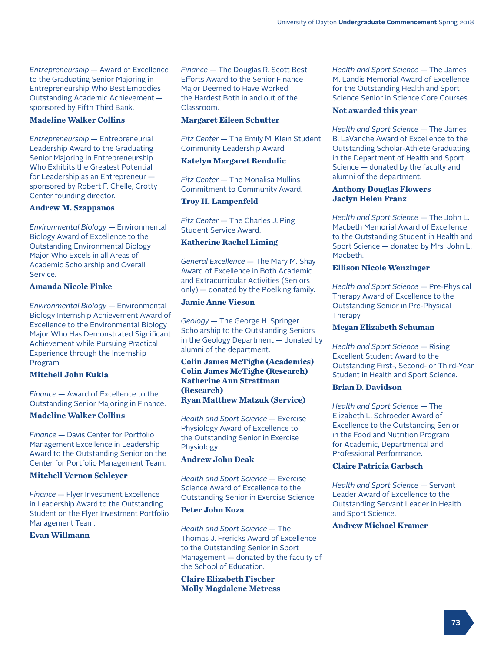*Entrepreneurship* — Award of Excellence to the Graduating Senior Majoring in Entrepreneurship Who Best Embodies Outstanding Academic Achievement sponsored by Fifth Third Bank.

## **Madeline Walker Collins**

*Entrepreneurship* — Entrepreneurial Leadership Award to the Graduating Senior Majoring in Entrepreneurship Who Exhibits the Greatest Potential for Leadership as an Entrepreneur sponsored by Robert F. Chelle, Crotty Center founding director.

### **Andrew M. Szappanos**

*Environmental Biology* — Environmental Biology Award of Excellence to the Outstanding Environmental Biology Major Who Excels in all Areas of Academic Scholarship and Overall Service.

### **Amanda Nicole Finke**

*Environmental Biology* — Environmental Biology Internship Achievement Award of Excellence to the Environmental Biology Major Who Has Demonstrated Significant Achievement while Pursuing Practical Experience through the Internship Program.

## **Mitchell John Kukla**

*Finance* — Award of Excellence to the Outstanding Senior Majoring in Finance.

## **Madeline Walker Collins**

*Finance* — Davis Center for Portfolio Management Excellence in Leadership Award to the Outstanding Senior on the Center for Portfolio Management Team.

## **Mitchell Vernon Schleyer**

*Finance* — Flyer Investment Excellence in Leadership Award to the Outstanding Student on the Flyer Investment Portfolio Management Team.

## **Evan Willmann**

*Finance* — The Douglas R. Scott Best Efforts Award to the Senior Finance Major Deemed to Have Worked the Hardest Both in and out of the Classroom.

## **Margaret Eileen Schutter**

*Fitz Center* — The Emily M. Klein Student Community Leadership Award.

## **Katelyn Margaret Rendulic**

*Fitz Center* — The Monalisa Mullins Commitment to Community Award.

## **Troy H. Lampenfeld**

*Fitz Center* — The Charles J. Ping Student Service Award.

### **Katherine Rachel Liming**

*General Excellence* — The Mary M. Shay Award of Excellence in Both Academic and Extracurricular Activities (Seniors only) — donated by the Poelking family.

## **Jamie Anne Vieson**

*Geology* — The George H. Springer Scholarship to the Outstanding Seniors in the Geology Department — donated by alumni of the department.

#### **Colin James McTighe (Academics) Colin James McTighe (Research) Katherine Ann Strattman (Research) Ryan Matthew Matzuk (Service)**

*Health and Sport Science* — Exercise Physiology Award of Excellence to the Outstanding Senior in Exercise Physiology.

## **Andrew John Deak**

*Health and Sport Science* — Exercise Science Award of Excellence to the Outstanding Senior in Exercise Science.

## **Peter John Koza**

*Health and Sport Science* — The Thomas J. Frericks Award of Excellence to the Outstanding Senior in Sport Management — donated by the faculty of the School of Education.

**Claire Elizabeth Fischer Molly Magdalene Metress** *Health and Sport Science* — The James M. Landis Memorial Award of Excellence for the Outstanding Health and Sport Science Senior in Science Core Courses.

### **Not awarded this year**

*Health and Sport Science* — The James B. LaVanche Award of Excellence to the Outstanding Scholar-Athlete Graduating in the Department of Health and Sport Science — donated by the faculty and alumni of the department.

## **Anthony Douglas Flowers Jaclyn Helen Franz**

*Health and Sport Science* — The John L. Macbeth Memorial Award of Excellence to the Outstanding Student in Health and Sport Science — donated by Mrs. John L. Macbeth.

## **Ellison Nicole Wenzinger**

*Health and Sport Science* — Pre-Physical Therapy Award of Excellence to the Outstanding Senior in Pre-Physical Therapy.

## **Megan Elizabeth Schuman**

*Health and Sport Science* — Rising Excellent Student Award to the Outstanding First-, Second- or Third-Year Student in Health and Sport Science.

## **Brian D. Davidson**

*Health and Sport Science* — The Elizabeth L. Schroeder Award of Excellence to the Outstanding Senior in the Food and Nutrition Program for Academic, Departmental and Professional Performance.

## **Claire Patricia Garbsch**

*Health and Sport Science* — Servant Leader Award of Excellence to the Outstanding Servant Leader in Health and Sport Science.

## **Andrew Michael Kramer**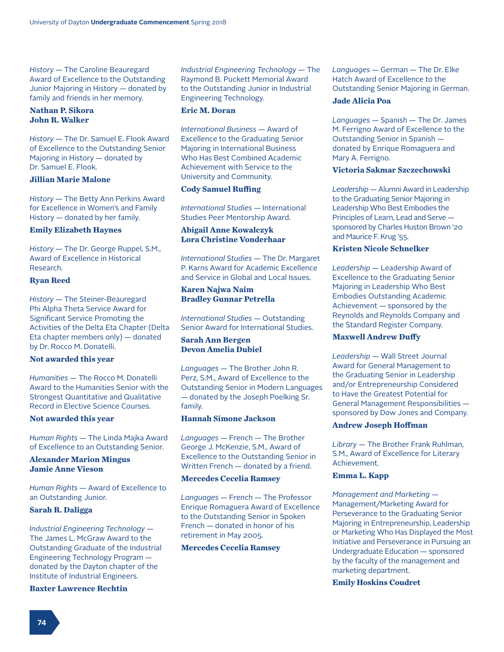*History* — The Caroline Beauregard Award of Excellence to the Outstanding Junior Majoring in History — donated by family and friends in her memory.

## **Nathan P. Sikora John R. Walker**

*History* — The Dr. Samuel E. Flook Award of Excellence to the Outstanding Senior Majoring in History — donated by Dr. Samuel E. Flook.

## **Jillian Marie Malone**

*History* — The Betty Ann Perkins Award for Excellence in Women's and Family History — donated by her family.

## **Emily Elizabeth Haynes**

*History* — The Dr. George Ruppel, S.M., Award of Excellence in Historical Research.

#### **Ryan Reed**

*History* — The Steiner-Beauregard Phi Alpha Theta Service Award for Significant Service Promoting the Activities of the Delta Eta Chapter (Delta Eta chapter members only) — donated by Dr. Rocco M. Donatelli.

#### **Not awarded this year**

*Humanities* — The Rocco M. Donatelli Award to the Humanities Senior with the Strongest Quantitative and Qualitative Record in Elective Science Courses.

#### **Not awarded this year**

*Human Rights* — The Linda Majka Award of Excellence to an Outstanding Senior.

#### **Alexander Marion Mingus Jamie Anne Vieson**

*Human Rights* — Award of Excellence to an Outstanding Junior.

#### **Sarah R. Daligga**

*Industrial Engineering Technology* — The James L. McGraw Award to the Outstanding Graduate of the Industrial Engineering Technology Program donated by the Dayton chapter of the Institute of Industrial Engineers.

#### **Baxter Lawrence Rechtin**

*Industrial Engineering Technology* — The Raymond B. Puckett Memorial Award to the Outstanding Junior in Industrial Engineering Technology.

## **Eric M. Doran**

*International Business* — Award of Excellence to the Graduating Senior Majoring in International Business Who Has Best Combined Academic Achievement with Service to the University and Community.

## **Cody Samuel Ruffing**

*International Studies* — International Studies Peer Mentorship Award.

## **Abigail Anne Kowalczyk Lora Christine Vonderhaar**

*International Studies* — The Dr. Margaret P. Karns Award for Academic Excellence and Service in Global and Local Issues.

## **Karen Najwa Naim Bradley Gunnar Petrella**

*International Studies* — Outstanding Senior Award for International Studies.

## **Sarah Ann Bergen Devon Amelia Dubiel**

*Languages* — The Brother John R. Perz, S.M., Award of Excellence to the Outstanding Senior in Modern Languages — donated by the Joseph Poelking Sr. family.

#### **Hannah Simone Jackson**

*Languages* — French — The Brother George J. McKenzie, S.M., Award of Excellence to the Outstanding Senior in Written French — donated by a friend.

#### **Mercedes Cecelia Ramsey**

*Languages* — French — The Professor Enrique Romaguera Award of Excellence to the Outstanding Senior in Spoken French — donated in honor of his retirement in May 2005.

#### **Mercedes Cecelia Ramsey**

*Languages* — German — The Dr. Elke Hatch Award of Excellence to the Outstanding Senior Majoring in German.

#### **Jade Alicia Poa**

*Languages* — Spanish — The Dr. James M. Ferrigno Award of Excellence to the Outstanding Senior in Spanish donated by Enrique Romaguera and Mary A. Ferrigno.

## **Victoria Sakmar Szczechowski**

*Leadership* — Alumni Award in Leadership to the Graduating Senior Majoring in Leadership Who Best Embodies the Principles of Learn, Lead and Serve sponsored by Charles Huston Brown '20 and Maurice F. Krug '55.

## **Kristen Nicole Schnelker**

*Leadership* — Leadership Award of Excellence to the Graduating Senior Majoring in Leadership Who Best Embodies Outstanding Academic Achievement — sponsored by the Reynolds and Reynolds Company and the Standard Register Company.

## **Maxwell Andrew Duffy**

*Leadership* — Wall Street Journal Award for General Management to the Graduating Senior in Leadership and/or Entrepreneurship Considered to Have the Greatest Potential for General Management Responsibilities sponsored by Dow Jones and Company.

## **Andrew Joseph Hoffman**

*Library* — The Brother Frank Ruhlman, S.M., Award of Excellence for Literary Achievement.

## **Emma L. Kapp**

*Management and Marketing* — Management/Marketing Award for Perseverance to the Graduating Senior Majoring in Entrepreneurship, Leadership or Marketing Who Has Displayed the Most Initiative and Perseverance in Pursuing an Undergraduate Education — sponsored by the faculty of the management and marketing department.

#### **Emily Hoskins Coudret**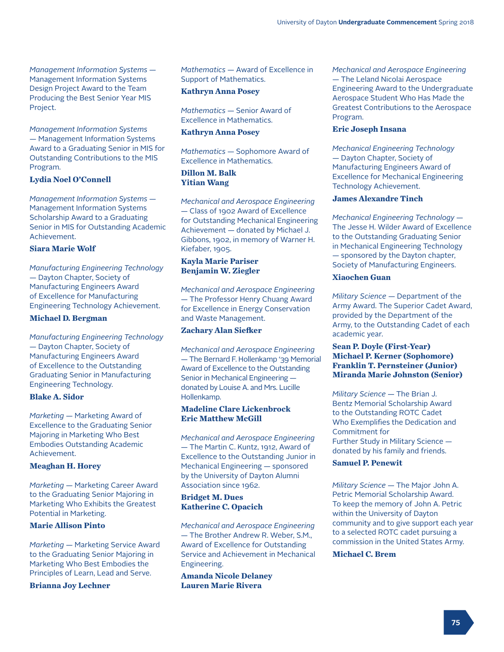*Management Information Systems* — Management Information Systems Design Project Award to the Team Producing the Best Senior Year MIS Project.

*Management Information Systems*  — Management Information Systems Award to a Graduating Senior in MIS for Outstanding Contributions to the MIS Program.

## **Lydia Noel O'Connell**

*Management Information Systems* — Management Information Systems Scholarship Award to a Graduating Senior in MIS for Outstanding Academic Achievement.

## **Siara Marie Wolf**

*Manufacturing Engineering Technology*  — Dayton Chapter, Society of Manufacturing Engineers Award of Excellence for Manufacturing Engineering Technology Achievement.

#### **Michael D. Bergman**

*Manufacturing Engineering Technology* — Dayton Chapter, Society of Manufacturing Engineers Award of Excellence to the Outstanding Graduating Senior in Manufacturing Engineering Technology.

## **Blake A. Sidor**

*Marketing* — Marketing Award of Excellence to the Graduating Senior Majoring in Marketing Who Best Embodies Outstanding Academic Achievement.

## **Meaghan H. Horey**

*Marketing* — Marketing Career Award to the Graduating Senior Majoring in Marketing Who Exhibits the Greatest Potential in Marketing.

## **Marie Allison Pinto**

*Marketing* — Marketing Service Award to the Graduating Senior Majoring in Marketing Who Best Embodies the Principles of Learn, Lead and Serve.

**Brianna Joy Lechner**

*Mathematics* — Award of Excellence in Support of Mathematics.

### **Kathryn Anna Posey**

*Mathematics* — Senior Award of Excellence in Mathematics.

#### **Kathryn Anna Posey**

*Mathematics* — Sophomore Award of Excellence in Mathematics.

## **Dillon M. Balk Yitian Wang**

*Mechanical and Aerospace Engineering* — Class of 1902 Award of Excellence for Outstanding Mechanical Engineering Achievement — donated by Michael J. Gibbons, 1902, in memory of Warner H. Kiefaber, 1905.

## **Kayla Marie Pariser Benjamin W. Ziegler**

*Mechanical and Aerospace Engineering*  — The Professor Henry Chuang Award for Excellence in Energy Conservation and Waste Management.

## **Zachary Alan Siefker**

*Mechanical and Aerospace Engineering* — The Bernard F. Hollenkamp '39 Memorial Award of Excellence to the Outstanding Senior in Mechanical Engineering donated by Louise A. and Mrs. Lucille Hollenkamp.

## **Madeline Clare Lickenbrock Eric Matthew McGill**

*Mechanical and Aerospace Engineering* — The Martin C. Kuntz, 1912, Award of Excellence to the Outstanding Junior in Mechanical Engineering — sponsored by the University of Dayton Alumni Association since 1962.

## **Bridget M. Dues Katherine C. Opacich**

*Mechanical and Aerospace Engineering*  — The Brother Andrew R. Weber, S.M., Award of Excellence for Outstanding Service and Achievement in Mechanical Engineering.

**Amanda Nicole Delaney Lauren Marie Rivera**

*Mechanical and Aerospace Engineering*  — The Leland Nicolai Aerospace Engineering Award to the Undergraduate Aerospace Student Who Has Made the Greatest Contributions to the Aerospace Program.

## **Eric Joseph Insana**

*Mechanical Engineering Technology*  — Dayton Chapter, Society of Manufacturing Engineers Award of Excellence for Mechanical Engineering Technology Achievement.

## **James Alexandre Tinch**

*Mechanical Engineering Technology* — The Jesse H. Wilder Award of Excellence to the Outstanding Graduating Senior in Mechanical Engineering Technology — sponsored by the Dayton chapter, Society of Manufacturing Engineers.

### **Xiaochen Guan**

*Military Science* — Department of the Army Award. The Superior Cadet Award, provided by the Department of the Army, to the Outstanding Cadet of each academic year.

## **Sean P. Doyle (First-Year) Michael P. Kerner (Sophomore) Franklin T. Pernsteiner (Junior) Miranda Marie Johnston (Senior)**

*Military Science* — The Brian J. Bentz Memorial Scholarship Award to the Outstanding ROTC Cadet Who Exemplifies the Dedication and Commitment for Further Study in Military Science donated by his family and friends.

## **Samuel P. Penewit**

*Military Science* — The Major John A. Petric Memorial Scholarship Award. To keep the memory of John A. Petric within the University of Dayton community and to give support each year to a selected ROTC cadet pursuing a commission in the United States Army.

**Michael C. Brem**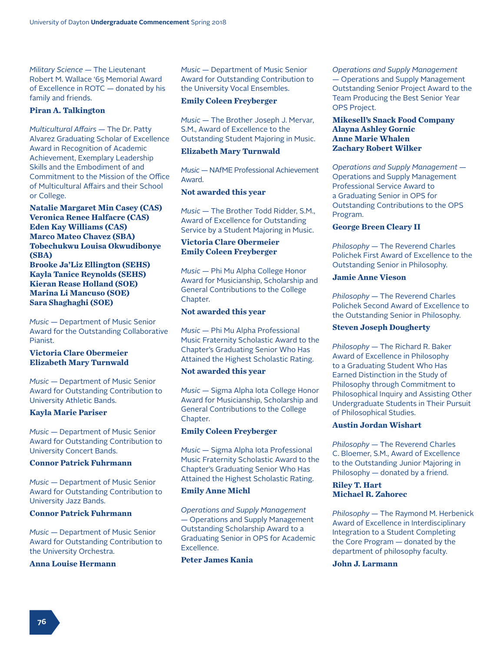*Military Science* — The Lieutenant Robert M. Wallace '65 Memorial Award of Excellence in ROTC — donated by his family and friends.

## **Piran A. Talkington**

*Multicultural Affairs* — The Dr. Patty Alvarez Graduating Scholar of Excellence Award in Recognition of Academic Achievement, Exemplary Leadership Skills and the Embodiment of and Commitment to the Mission of the Office of Multicultural Affairs and their School or College.

**Natalie Margaret Min Casey (CAS) Veronica Renee Halfacre (CAS) Eden Kay Williams (CAS) Marco Mateo Chavez (SBA) Tobechukwu Louisa Okwudibonye (SBA) Brooke Ja'Liz Ellington (SEHS) Kayla Tanice Reynolds (SEHS) Kieran Rease Holland (SOE) Marina Li Mancuso (SOE) Sara Shaghaghi (SOE)**

*Music* — Department of Music Senior Award for the Outstanding Collaborative Pianist.

## **Victoria Clare Obermeier Elizabeth Mary Turnwald**

*Music* — Department of Music Senior Award for Outstanding Contribution to University Athletic Bands.

## **Kayla Marie Pariser**

*Music* — Department of Music Senior Award for Outstanding Contribution to University Concert Bands.

## **Connor Patrick Fuhrmann**

*Music* — Department of Music Senior Award for Outstanding Contribution to University Jazz Bands.

## **Connor Patrick Fuhrmann**

*Music* — Department of Music Senior Award for Outstanding Contribution to the University Orchestra.

## **Anna Louise Hermann**

*Music* — Department of Music Senior Award for Outstanding Contribution to the University Vocal Ensembles.

## **Emily Coleen Freyberger**

*Music* — The Brother Joseph J. Mervar, S.M., Award of Excellence to the Outstanding Student Majoring in Music.

## **Elizabeth Mary Turnwald**

*Music* — NAfME Professional Achievement Award.

## **Not awarded this year**

*Music* — The Brother Todd Ridder, S.M., Award of Excellence for Outstanding Service by a Student Majoring in Music.

## **Victoria Clare Obermeier Emily Coleen Freyberger**

*Music* — Phi Mu Alpha College Honor Award for Musicianship, Scholarship and General Contributions to the College Chapter.

## **Not awarded this year**

*Music* — Phi Mu Alpha Professional Music Fraternity Scholastic Award to the Chapter's Graduating Senior Who Has Attained the Highest Scholastic Rating.

## **Not awarded this year**

*Music* — Sigma Alpha Iota College Honor Award for Musicianship, Scholarship and General Contributions to the College Chapter.

## **Emily Coleen Freyberger**

*Music* — Sigma Alpha Iota Professional Music Fraternity Scholastic Award to the Chapter's Graduating Senior Who Has Attained the Highest Scholastic Rating.

## **Emily Anne Michl**

*Operations and Supply Management*  — Operations and Supply Management Outstanding Scholarship Award to a Graduating Senior in OPS for Academic Excellence.

## **Peter James Kania**

*Operations and Supply Management* — Operations and Supply Management Outstanding Senior Project Award to the Team Producing the Best Senior Year OPS Project.

## **Mikesell's Snack Food Company Alayna Ashley Gornic Anne Marie Whalen Zachary Robert Wilker**

*Operations and Supply Management* — Operations and Supply Management Professional Service Award to a Graduating Senior in OPS for Outstanding Contributions to the OPS Program.

## **George Breen Cleary II**

*Philosophy* — The Reverend Charles Polichek First Award of Excellence to the Outstanding Senior in Philosophy.

## **Jamie Anne Vieson**

*Philosophy* — The Reverend Charles Polichek Second Award of Excellence to the Outstanding Senior in Philosophy.

## **Steven Joseph Dougherty**

*Philosophy* — The Richard R. Baker Award of Excellence in Philosophy to a Graduating Student Who Has Earned Distinction in the Study of Philosophy through Commitment to Philosophical Inquiry and Assisting Other Undergraduate Students in Their Pursuit of Philosophical Studies.

## **Austin Jordan Wishart**

*Philosophy* — The Reverend Charles C. Bloemer, S.M., Award of Excellence to the Outstanding Junior Majoring in Philosophy — donated by a friend.

## **Riley T. Hart Michael R. Zahorec**

*Philosophy* — The Raymond M. Herbenick Award of Excellence in Interdisciplinary Integration to a Student Completing the Core Program — donated by the department of philosophy faculty.

## **John J. Larmann**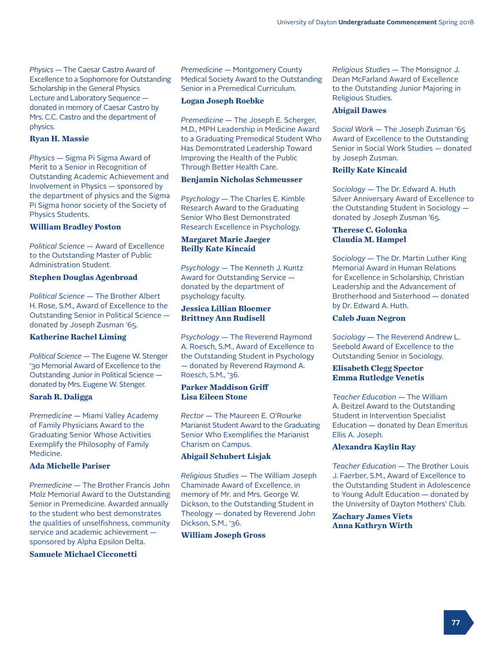*Physics* — The Caesar Castro Award of Excellence to a Sophomore for Outstanding Scholarship in the General Physics Lecture and Laboratory Sequence donated in memory of Caesar Castro by Mrs. C.C. Castro and the department of physics.

## **Ryan H. Massie**

*Physics* — Sigma Pi Sigma Award of Merit to a Senior in Recognition of Outstanding Academic Achievement and Involvement in Physics — sponsored by the department of physics and the Sigma Pi Sigma honor society of the Society of Physics Students.

## **William Bradley Poston**

*Political Science* — Award of Excellence to the Outstanding Master of Public Administration Student.

### **Stephen Douglas Agenbroad**

*Political Science* — The Brother Albert H. Rose, S.M., Award of Excellence to the Outstanding Senior in Political Science donated by Joseph Zusman '65.

## **Katherine Rachel Liming**

*Political Science* — The Eugene W. Stenger '30 Memorial Award of Excellence to the Outstanding Junior in Political Science donated by Mrs. Eugene W. Stenger.

#### **Sarah R. Daligga**

*Premedicine* — Miami Valley Academy of Family Physicians Award to the Graduating Senior Whose Activities Exemplify the Philosophy of Family Medicine.

## **Ada Michelle Pariser**

*Premedicine* — The Brother Francis John Molz Memorial Award to the Outstanding Senior in Premedicine. Awarded annually to the student who best demonstrates the qualities of unselfishness, community service and academic achievement sponsored by Alpha Epsilon Delta.

**Samuele Michael Cicconetti**

*Premedicine* — Montgomery County Medical Society Award to the Outstanding Senior in a Premedical Curriculum.

### **Logan Joseph Roebke**

*Premedicine* — The Joseph E. Scherger, M.D., MPH Leadership in Medicine Award to a Graduating Premedical Student Who Has Demonstrated Leadership Toward Improving the Health of the Public Through Better Health Care.

### **Benjamin Nicholas Schmeusser**

*Psychology* — The Charles E. Kimble Research Award to the Graduating Senior Who Best Demonstrated Research Excellence in Psychology.

## **Margaret Marie Jaeger Reilly Kate Kincaid**

*Psychology* — The Kenneth J. Kuntz Award for Outstanding Service donated by the department of psychology faculty.

## **Jessica Lillian Bloemer Brittney Ann Rudisell**

*Psychology* — The Reverend Raymond A. Roesch, S.M., Award of Excellence to the Outstanding Student in Psychology — donated by Reverend Raymond A. Roesch, S.M., '36.

## **Parker Maddison Griff Lisa Eileen Stone**

*Rector* — The Maureen E. O'Rourke Marianist Student Award to the Graduating Senior Who Exemplifies the Marianist Charism on Campus.

## **Abigail Schubert Lisjak**

*Religious Studies* — The William Joseph Chaminade Award of Excellence, in memory of Mr. and Mrs. George W. Dickson, to the Outstanding Student in Theology — donated by Reverend John Dickson, S.M., '36.

## **William Joseph Gross**

*Religious Studies* — The Monsignor J. Dean McFarland Award of Excellence to the Outstanding Junior Majoring in Religious Studies.

#### **Abigail Dawes**

*Social Work* — The Joseph Zusman '65 Award of Excellence to the Outstanding Senior in Social Work Studies — donated by Joseph Zusman.

## **Reilly Kate Kincaid**

*Sociology* — The Dr. Edward A. Huth Silver Anniversary Award of Excellence to the Outstanding Student in Sociology donated by Joseph Zusman '65.

## **Therese C. Golonka Claudia M. Hampel**

*Sociology* — The Dr. Martin Luther King Memorial Award in Human Relations for Excellence in Scholarship, Christian Leadership and the Advancement of Brotherhood and Sisterhood — donated by Dr. Edward A. Huth.

### **Caleb Juan Negron**

*Sociology* — The Reverend Andrew L. Seebold Award of Excellence to the Outstanding Senior in Sociology.

### **Elisabeth Clegg Spector Emma Rutledge Venetis**

*Teacher Education* — The William A. Beitzel Award to the Outstanding Student in Intervention Specialist Education — donated by Dean Emeritus Ellis A. Joseph.

## **Alexandra Kaylin Ray**

*Teacher Education* — The Brother Louis J. Faerber, S.M., Award of Excellence to the Outstanding Student in Adolescence to Young Adult Education — donated by the University of Dayton Mothers' Club.

**Zachary James Viets Anna Kathryn Wirth**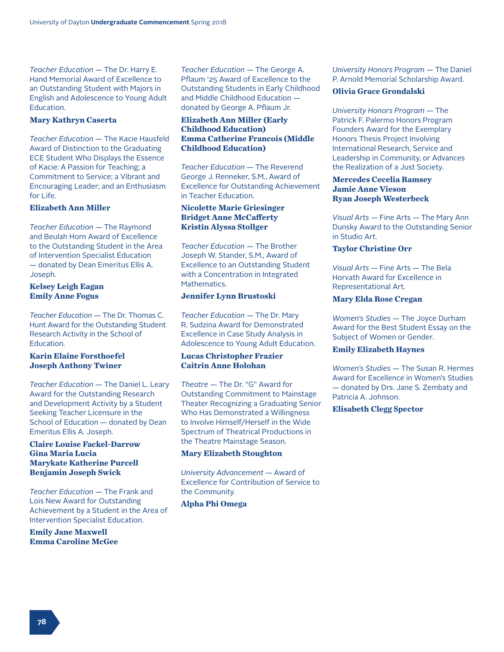*Teacher Education* — The Dr. Harry E. Hand Memorial Award of Excellence to an Outstanding Student with Majors in English and Adolescence to Young Adult Education.

#### **Mary Kathryn Caserta**

*Teacher Education* — The Kacie Hausfeld Award of Distinction to the Graduating ECE Student Who Displays the Essence of Kacie: A Passion for Teaching; a Commitment to Service; a Vibrant and Encouraging Leader; and an Enthusiasm for Life.

## **Elizabeth Ann Miller**

*Teacher Education* — The Raymond and Beulah Horn Award of Excellence to the Outstanding Student in the Area of Intervention Specialist Education — donated by Dean Emeritus Ellis A. Joseph.

#### **Kelsey Leigh Eagan Emily Anne Fogus**

*Teacher Education* — The Dr. Thomas C. Hunt Award for the Outstanding Student Research Activity in the School of Education.

#### **Karin Elaine Forsthoefel Joseph Anthony Twiner**

*Teacher Education* — The Daniel L. Leary Award for the Outstanding Research and Development Activity by a Student Seeking Teacher Licensure in the School of Education — donated by Dean Emeritus Ellis A. Joseph.

## **Claire Louise Fackel-Darrow Gina Maria Lucia Marykate Katherine Purcell Benjamin Joseph Swick**

*Teacher Education* — The Frank and Lois New Award for Outstanding Achievement by a Student in the Area of Intervention Specialist Education.

**Emily Jane Maxwell Emma Caroline McGee** *Teacher Education* — The George A. Pflaum '25 Award of Excellence to the Outstanding Students in Early Childhood and Middle Childhood Education donated by George A. Pflaum Jr.

## **Elizabeth Ann Miller (Early Childhood Education) Emma Catherine Francois (Middle Childhood Education)**

*Teacher Education* — The Reverend George J. Renneker, S.M., Award of Excellence for Outstanding Achievement in Teacher Education.

#### **Nicolette Marie Griesinger Bridget Anne McCafferty Kristin Alyssa Stollger**

*Teacher Education* — The Brother Joseph W. Stander, S.M., Award of Excellence to an Outstanding Student with a Concentration in Integrated Mathematics.

#### **Jennifer Lynn Brustoski**

*Teacher Education* — The Dr. Mary R. Sudzina Award for Demonstrated Excellence in Case Study Analysis in Adolescence to Young Adult Education.

#### **Lucas Christopher Frazier Caitrin Anne Holohan**

*Theatre* — The Dr. "G" Award for Outstanding Commitment to Mainstage Theater Recognizing a Graduating Senior Who Has Demonstrated a Willingness to Involve Himself/Herself in the Wide Spectrum of Theatrical Productions in the Theatre Mainstage Season.

## **Mary Elizabeth Stoughton**

*University Advancement* — Award of Excellence for Contribution of Service to the Community.

#### **Alpha Phi Omega**

*University Honors Program* — The Daniel P. Arnold Memorial Scholarship Award.

#### **Olivia Grace Grondalski**

*University Honors Program* — The Patrick F. Palermo Honors Program Founders Award for the Exemplary Honors Thesis Project Involving International Research, Service and Leadership in Community, or Advances the Realization of a Just Society.

#### **Mercedes Cecelia Ramsey Jamie Anne Vieson Ryan Joseph Westerbeck**

*Visual Arts* — Fine Arts — The Mary Ann Dunsky Award to the Outstanding Senior in Studio Art.

#### **Taylor Christine Orr**

*Visual Arts* — Fine Arts — The Bela Horvath Award for Excellence in Representational Art.

### **Mary Elda Rose Cregan**

*Women's Studies* — The Joyce Durham Award for the Best Student Essay on the Subject of Women or Gender.

### **Emily Elizabeth Haynes**

*Women's Studies* — The Susan R. Hermes Award for Excellence in Women's Studies — donated by Drs. Jane S. Zembaty and Patricia A. Johnson.

#### **Elisabeth Clegg Spector**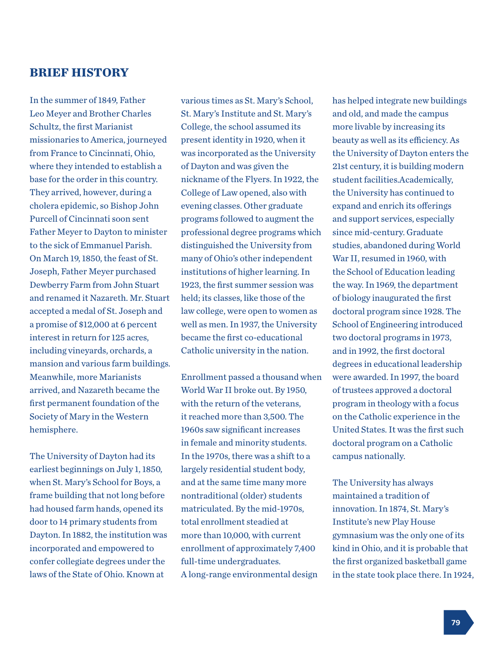## **BRIEF HISTORY**

In the summer of 1849, Father Leo Meyer and Brother Charles Schultz, the first Marianist missionaries to America, journeyed from France to Cincinnati, Ohio, where they intended to establish a base for the order in this country. They arrived, however, during a cholera epidemic, so Bishop John Purcell of Cincinnati soon sent Father Meyer to Dayton to minister to the sick of Emmanuel Parish. On March 19, 1850, the feast of St. Joseph, Father Meyer purchased Dewberry Farm from John Stuart and renamed it Nazareth. Mr. Stuart accepted a medal of St. Joseph and a promise of \$12,000 at 6 percent interest in return for 125 acres, including vineyards, orchards, a mansion and various farm buildings. Meanwhile, more Marianists arrived, and Nazareth became the first permanent foundation of the Society of Mary in the Western hemisphere.

The University of Dayton had its earliest beginnings on July 1, 1850, when St. Mary's School for Boys, a frame building that not long before had housed farm hands, opened its door to 14 primary students from Dayton. In 1882, the institution was incorporated and empowered to confer collegiate degrees under the laws of the State of Ohio. Known at

various times as St. Mary's School, St. Mary's Institute and St. Mary's College, the school assumed its present identity in 1920, when it was incorporated as the University of Dayton and was given the nickname of the Flyers. In 1922, the College of Law opened, also with evening classes. Other graduate programs followed to augment the professional degree programs which distinguished the University from many of Ohio's other independent institutions of higher learning. In 1923, the first summer session was held; its classes, like those of the law college, were open to women as well as men. In 1937, the University became the first co-educational Catholic university in the nation.

Enrollment passed a thousand when World War II broke out. By 1950, with the return of the veterans, it reached more than 3,500. The 1960s saw significant increases in female and minority students. In the 1970s, there was a shift to a largely residential student body, and at the same time many more nontraditional (older) students matriculated. By the mid-1970s, total enrollment steadied at more than 10,000, with current enrollment of approximately 7,400 full-time undergraduates. A long-range environmental design

has helped integrate new buildings and old, and made the campus more livable by increasing its beauty as well as its efficiency. As the University of Dayton enters the 21st century, it is building modern student facilities.Academically, the University has continued to expand and enrich its offerings and support services, especially since mid-century. Graduate studies, abandoned during World War II, resumed in 1960, with the School of Education leading the way. In 1969, the department of biology inaugurated the first doctoral program since 1928. The School of Engineering introduced two doctoral programs in 1973, and in 1992, the first doctoral degrees in educational leadership were awarded. In 1997, the board of trustees approved a doctoral program in theology with a focus on the Catholic experience in the United States. It was the first such doctoral program on a Catholic campus nationally.

The University has always maintained a tradition of innovation. In 1874, St. Mary's Institute's new Play House gymnasium was the only one of its kind in Ohio, and it is probable that the first organized basketball game in the state took place there. In 1924,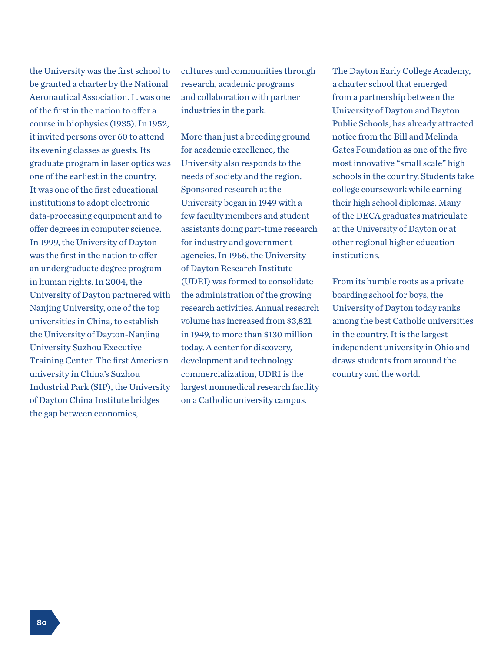the University was the first school to be granted a charter by the National Aeronautical Association. It was one of the first in the nation to offer a course in biophysics (1935). In 1952, it invited persons over 60 to attend its evening classes as guests. Its graduate program in laser optics was one of the earliest in the country. It was one of the first educational institutions to adopt electronic data-processing equipment and to offer degrees in computer science. In 1999, the University of Dayton was the first in the nation to offer an undergraduate degree program in human rights. In 2004, the University of Dayton partnered with Nanjing University, one of the top universities in China, to establish the University of Dayton-Nanjing University Suzhou Executive Training Center. The first American university in China's Suzhou Industrial Park (SIP), the University of Dayton China Institute bridges the gap between economies,

cultures and communities through research, academic programs and collaboration with partner industries in the park.

More than just a breeding ground for academic excellence, the University also responds to the needs of society and the region. Sponsored research at the University began in 1949 with a few faculty members and student assistants doing part-time research for industry and government agencies. In 1956, the University of Dayton Research Institute (UDRI) was formed to consolidate the administration of the growing research activities. Annual research volume has increased from \$3,821 in 1949, to more than \$130 million today. A center for discovery, development and technology commercialization, UDRI is the largest nonmedical research facility on a Catholic university campus.

The Dayton Early College Academy, a charter school that emerged from a partnership between the University of Dayton and Dayton Public Schools, has already attracted notice from the Bill and Melinda Gates Foundation as one of the five most innovative "small scale" high schools in the country. Students take college coursework while earning their high school diplomas. Many of the DECA graduates matriculate at the University of Dayton or at other regional higher education institutions.

From its humble roots as a private boarding school for boys, the University of Dayton today ranks among the best Catholic universities in the country. It is the largest independent university in Ohio and draws students from around the country and the world.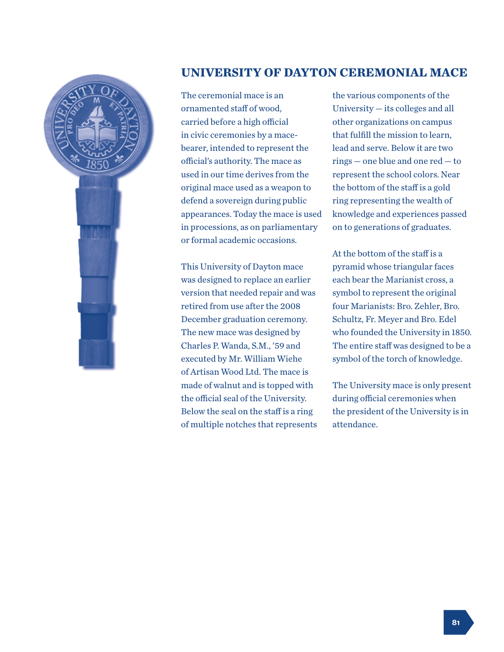

# **UNIVERSITY OF DAYTON CEREMONIAL MACE**

The ceremonial mace is an ornamented staff of wood, carried before a high official in civic ceremonies by a macebearer, intended to represent the official's authority. The mace as used in our time derives from the original mace used as a weapon to defend a sovereign during public appearances. Today the mace is used in processions, as on parliamentary or formal academic occasions.

This University of Dayton mace was designed to replace an earlier version that needed repair and was retired from use after the 2008 December graduation ceremony. The new mace was designed by Charles P. Wanda, S.M., '59 and executed by Mr. William Wiehe of Artisan Wood Ltd. The mace is made of walnut and is topped with the official seal of the University. Below the seal on the staff is a ring of multiple notches that represents the various components of the University — its colleges and all other organizations on campus that fulfill the mission to learn, lead and serve. Below it are two rings — one blue and one red — to represent the school colors. Near the bottom of the staff is a gold ring representing the wealth of knowledge and experiences passed on to generations of graduates.

At the bottom of the staff is a pyramid whose triangular faces each bear the Marianist cross, a symbol to represent the original four Marianists: Bro. Zehler, Bro. Schultz, Fr. Meyer and Bro. Edel who founded the University in 1850. The entire staff was designed to be a symbol of the torch of knowledge.

The University mace is only present during official ceremonies when the president of the University is in attendance.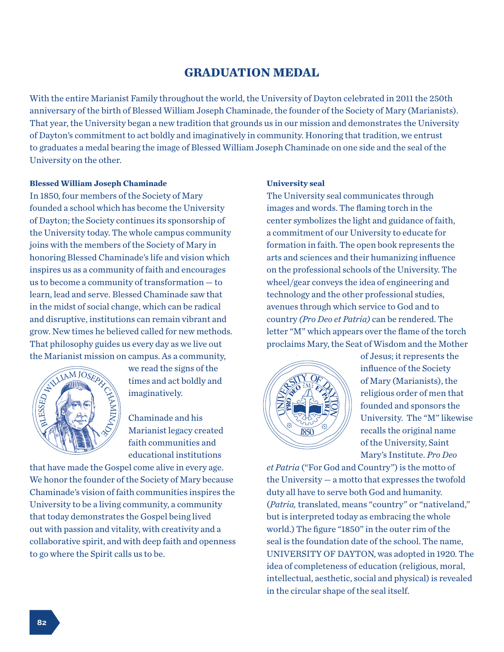## **GRADUATION MEDAL**

With the entire Marianist Family throughout the world, the University of Dayton celebrated in 2011 the 250th anniversary of the birth of Blessed William Joseph Chaminade, the founder of the Society of Mary (Marianists). That year, the University began a new tradition that grounds us in our mission and demonstrates the University of Dayton's commitment to act boldly and imaginatively in community. Honoring that tradition, we entrust to graduates a medal bearing the image of Blessed William Joseph Chaminade on one side and the seal of the University on the other.

## **Blessed William Joseph Chaminade**

In 1850, four members of the Society of Mary founded a school which has become the University of Dayton; the Society continues its sponsorship of cen the University today. The whole campus community joins with the members of the Society of Mary in points with the members of the beelerg of hair, in Inspires us as a community of faith and encourages and the professional schools of the University of The Context of Mary, we begin a new tradition that grounds us in our ages on the professional schools of the University us to become a community of transformation  $-$  to  $\hskip1cm$  wheel/gear conveys the idea of engineering an learn, lead and serve. Blessed Chaminade saw that in the midst of social change, which can be radical and disruptive, institutions can remain vibrant and grow. New times he believed called for new methods. That philosophy guides us every day as we live out That philosophy guides us every day as we live out<br>the Marianist mission on campus. As a community,<br> $\frac{1}{2}$  and  $\frac{1}{2}$  and  $\frac{1}{2}$  and  $\frac{1}{2}$  and  $\frac{1}{2}$  and  $\frac{1}{2}$  and  $\frac{1}{2}$  and  $\frac{1}{2}$  and  $\frac{1}{2}$  $\mu$  is a demonstrative of  $\mu$  and and encourages  $\mu$  and imaginative professional schools of the University.  $\mu$  are a community of faith and encourages  $t_{\text{max}}$  of  $t_{\text{max}}$  of  $t_{\text{max}}$  of  $t_{\text{max}}$  the  $t_{\text{max}}$ 250th and birth of Blessed William Joseph Alexander William Joseph Alexander William Joseph Alexander William Joseph Alexander William Joseph Alexander William Joseph Alexander William Joseph Alexander William Joseph Alexa diminade saw that idst of social change<br>uptive, institutions of<br>ew times he believed<br>ilosophy guides us ev<br>ianist mission on can



 $\frac{1}{2}$  we read the signs of the we read the signs of the University of Marian Shares and act boldly and  $\mathbb{R}$  imaginatively.  $\mathcal{S}$ and act boldly and

Chaminade and his  $\mathbb{R} \leftarrow \mathbb{S}$  Marianist legacy created  $\left\{\bigvee\right\}$  faith communities and today. We consider the communications and grow. Next, in special special special special special special special special special special special special special special special special special special special special speci  $\mathbb{Z}/\mathbb{Z}$   $\mathbb{Z}/\mathbb{Z}$  Chaminade and his

equeational institutions<br>that have made the Gospel come alive in every age. We honor the founder of the Society of Mary because Chaminade's vision of faith communities inspires the University to be a living community, a community that today demonstrates the Gospel being lived  $\frac{1}{2}$  out with passion and vitality, with creativity and a collaborative spirit, and with deep faith and openness to go where the Spirit calls us to be. aminade's vision of faith communities inspires t  $\overline{a}$ e made the Gospel come alive in every age. passion and vitancy, with creativity and a

community, a community that today demonstrates the

# **University seal**

ary in formation in faith. The open book represents the country *(Pro Deo et Patria)* can be rendered. The letter "M" which appears over the flame of the torch proclaims Mary, the Seat of Wisdom and the Mother four members of the Society of Mary, The University seal communicates through a school which has become the University **of Dayton's community** images and words. The flaming torch in the n; the Society continues its sponsorship of a medal of the symbolizes the light and guidance of faith, a commitment of our University to educate for arts and sciences and their humanizing influence on the professional schools of the University. The wheel/gear conveys the idea of engineering and meer, gear correct and a commitment of change of the rate of engineering and the other professional studies, avenues through which service to God and to echnology and the other professional studies,



*et Patria)* commitment of Jesus; it represents the  $\widehat{f}$  influence of the Society  $\frac{1}{\sqrt{2\pi}}\sum_{i=1}^{N} Q_i^T$  of Mary (Marianists), the  $\frac{1}{\sqrt{2}}$   $\frac{1}{\sqrt{2}}$   $\frac{1}{\sqrt{2}}$   $\frac{1}{\sqrt{2}}$  religious order of men that  $\left( \left( \frac{1}{2} \sum_{i=1}^n \frac{1}{i} \sum_{i=1}^n \frac{1}{i} \right) \right)$  founded and sponsors the  $\left\| \left( \sum_{n \in \mathbb{Z}} \sum_{n \in \mathbb{Z}} f(n) \right)^n \right\|$  University. The "M" likewise  $\mathscr{W}$  recalls the original name of the University, Saint Mother of Jesus; it represents the Mary's Institute. *Pro Deo*  University, Saint Mary's Institute.  $M$ <sup>1</sup> of mary (mariamsts), the *Pro Deo et a Pro Deo et al. Pro Deo* 

*et Patria* ("For God and Country") is the motto of the University — a motto that expresses the twofold  $\frac{1}{2}$  and  $\frac{1}{2}$  and  $\frac{1}{2}$  and  $\frac{1}{2}$  and  $\frac{1}{2}$  sponsors  $\frac{1}{2}$  sponsors  $\frac{1}{2}$ duty all have to serve both God and humanity. (*Patria*, translated, means "country" or "nativeland," but is interpreted today as embracing the whole world.) The figure "1850" in the outer rim of the seal is the foundation date of the school. The name, UNIVERSITY OF DAYTON, was adopted in 1920. The  $c_1$  or  $c_2$  or  $c_3$  or  $c_4$  or  $c_5$  or  $c_6$  or  $c_7$  as extensions of  $c_7$  as embracing today as extensions of  $c_7$ idea of completeness of education (religious, moral, intellectual, aesthetic, social and physical) is revealed in the circular shape of the seal itself. of education (religious, moral, intellectual, intellectual, social and social and social and social and social and social and social and social and social and social and social and social and social and social and social a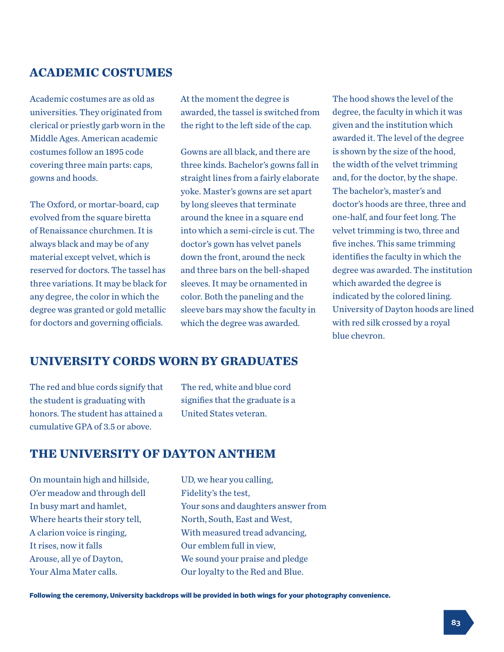# **ACADEMIC COSTUMES**

Academic costumes are as old as universities. They originated from clerical or priestly garb worn in the Middle Ages. American academic costumes follow an 1895 code covering three main parts: caps, gowns and hoods.

The Oxford, or mortar-board, cap evolved from the square biretta of Renaissance churchmen. It is always black and may be of any material except velvet, which is reserved for doctors. The tassel has three variations. It may be black for any degree, the color in which the degree was granted or gold metallic for doctors and governing officials.

At the moment the degree is awarded, the tassel is switched from the right to the left side of the cap.

Gowns are all black, and there are three kinds. Bachelor's gowns fall in straight lines from a fairly elaborate yoke. Master's gowns are set apart by long sleeves that terminate around the knee in a square end into which a semi-circle is cut. The doctor's gown has velvet panels down the front, around the neck and three bars on the bell-shaped sleeves. It may be ornamented in color. Both the paneling and the sleeve bars may show the faculty in which the degree was awarded.

The hood shows the level of the degree, the faculty in which it was given and the institution which awarded it. The level of the degree is shown by the size of the hood, the width of the velvet trimming and, for the doctor, by the shape. The bachelor's, master's and doctor's hoods are three, three and one-half, and four feet long. The velvet trimming is two, three and five inches. This same trimming identifies the faculty in which the degree was awarded. The institution which awarded the degree is indicated by the colored lining. University of Dayton hoods are lined with red silk crossed by a royal blue chevron.

# **UNIVERSITY CORDS WORN BY GRADUATES**

The red and blue cords signify that the student is graduating with honors. The student has attained a cumulative GPA of 3.5 or above.

The red, white and blue cord signifies that the graduate is a United States veteran.

# **THE UNIVERSITY OF DAYTON ANTHEM**

- On mountain high and hillside, O'er meadow and through dell In busy mart and hamlet, Where hearts their story tell, A clarion voice is ringing, It rises, now it falls Arouse, all ye of Dayton, Your Alma Mater calls.
- UD, we hear you calling, Fidelity's the test, Your sons and daughters answer from North, South, East and West, With measured tread advancing. Our emblem full in view, We sound your praise and pledge Our loyalty to the Red and Blue.

Following the ceremony, University backdrops will be provided in both wings for your photography convenience.